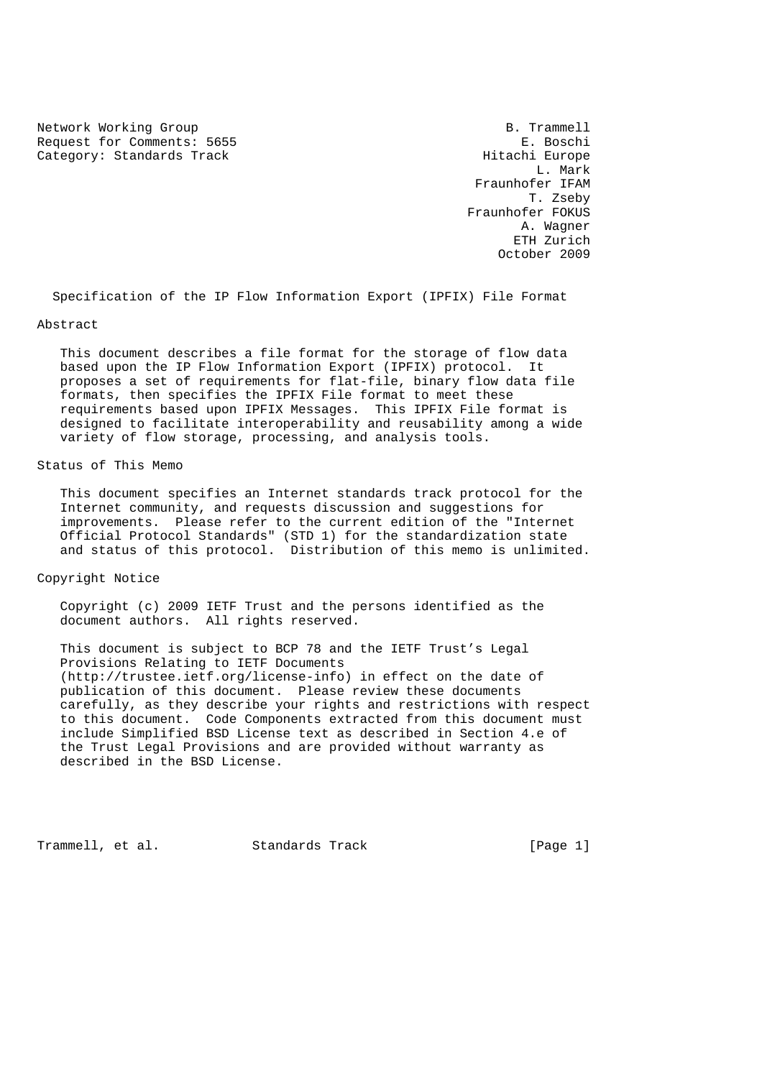Network Working Group and the set of the set of the set of the B. Trammell Request for Comments: 5655 E. Boschi E. Boschi E. Boschi E. Boschi E. Boschi E. Boschi Europe Category: Standards Track

 L. Mark Fraunhofer IFAM T. Zseby Fraunhofer FOKUS A. Wagner ETH Zurich October 2009

Specification of the IP Flow Information Export (IPFIX) File Format

Abstract

 This document describes a file format for the storage of flow data based upon the IP Flow Information Export (IPFIX) protocol. It proposes a set of requirements for flat-file, binary flow data file formats, then specifies the IPFIX File format to meet these requirements based upon IPFIX Messages. This IPFIX File format is designed to facilitate interoperability and reusability among a wide variety of flow storage, processing, and analysis tools.

Status of This Memo

 This document specifies an Internet standards track protocol for the Internet community, and requests discussion and suggestions for improvements. Please refer to the current edition of the "Internet Official Protocol Standards" (STD 1) for the standardization state and status of this protocol. Distribution of this memo is unlimited.

Copyright Notice

 Copyright (c) 2009 IETF Trust and the persons identified as the document authors. All rights reserved.

 This document is subject to BCP 78 and the IETF Trust's Legal Provisions Relating to IETF Documents (http://trustee.ietf.org/license-info) in effect on the date of publication of this document. Please review these documents carefully, as they describe your rights and restrictions with respect to this document. Code Components extracted from this document must include Simplified BSD License text as described in Section 4.e of the Trust Legal Provisions and are provided without warranty as described in the BSD License.

Trammell, et al. Standards Track [Page 1]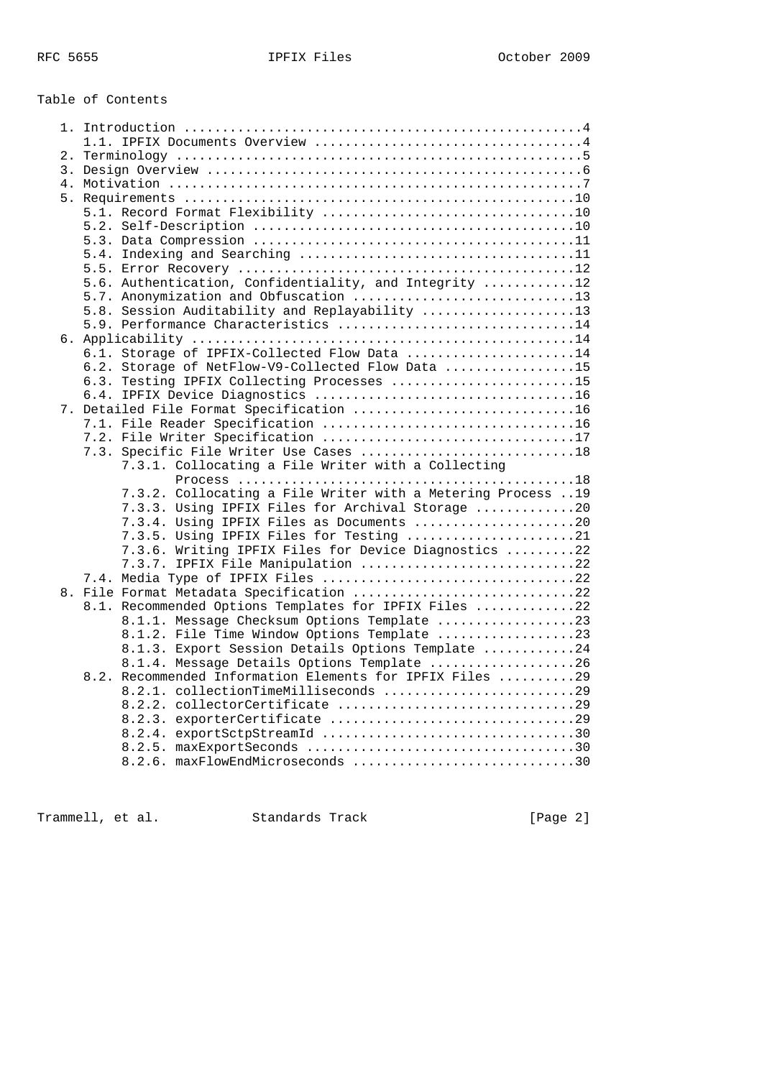# Table of Contents

|  | 5.6. Authentication, Confidentiality, and Integrity 12      |
|--|-------------------------------------------------------------|
|  | 5.7. Anonymization and Obfuscation 13                       |
|  | 5.8. Session Auditability and Replayability 13              |
|  | 5.9. Performance Characteristics 14                         |
|  |                                                             |
|  | 6.1. Storage of IPFIX-Collected Flow Data 14                |
|  | 6.2. Storage of NetFlow-V9-Collected Flow Data 15           |
|  | 6.3. Testing IPFIX Collecting Processes 15                  |
|  |                                                             |
|  | 7. Detailed File Format Specification 16                    |
|  |                                                             |
|  |                                                             |
|  |                                                             |
|  | 7.3.1. Collocating a File Writer with a Collecting          |
|  |                                                             |
|  | 7.3.2. Collocating a File Writer with a Metering Process 19 |
|  | 7.3.3. Using IPFIX Files for Archival Storage 20            |
|  | 7.3.4. Using IPFIX Files as Documents 20                    |
|  | 7.3.5. Using IPFIX Files for Testing 21                     |
|  | 7.3.6. Writing IPFIX Files for Device Diagnostics 22        |
|  | 7.3.7. IPFIX File Manipulation 22                           |
|  |                                                             |
|  | 8. File Format Metadata Specification 22                    |
|  | 8.1. Recommended Options Templates for IPFIX Files 22       |
|  | 8.1.1. Message Checksum Options Template 23                 |
|  | 8.1.2. File Time Window Options Template 23                 |
|  | 8.1.3. Export Session Details Options Template 24           |
|  | 8.1.4. Message Details Options Template 26                  |
|  | 8.2. Recommended Information Elements for IPFIX Files 29    |
|  | 8.2.1. collectionTimeMilliseconds 29                        |
|  |                                                             |
|  |                                                             |
|  |                                                             |
|  |                                                             |
|  | 8.2.6. maxFlowEndMicroseconds 30                            |
|  |                                                             |

Trammell, et al. Standards Track [Page 2]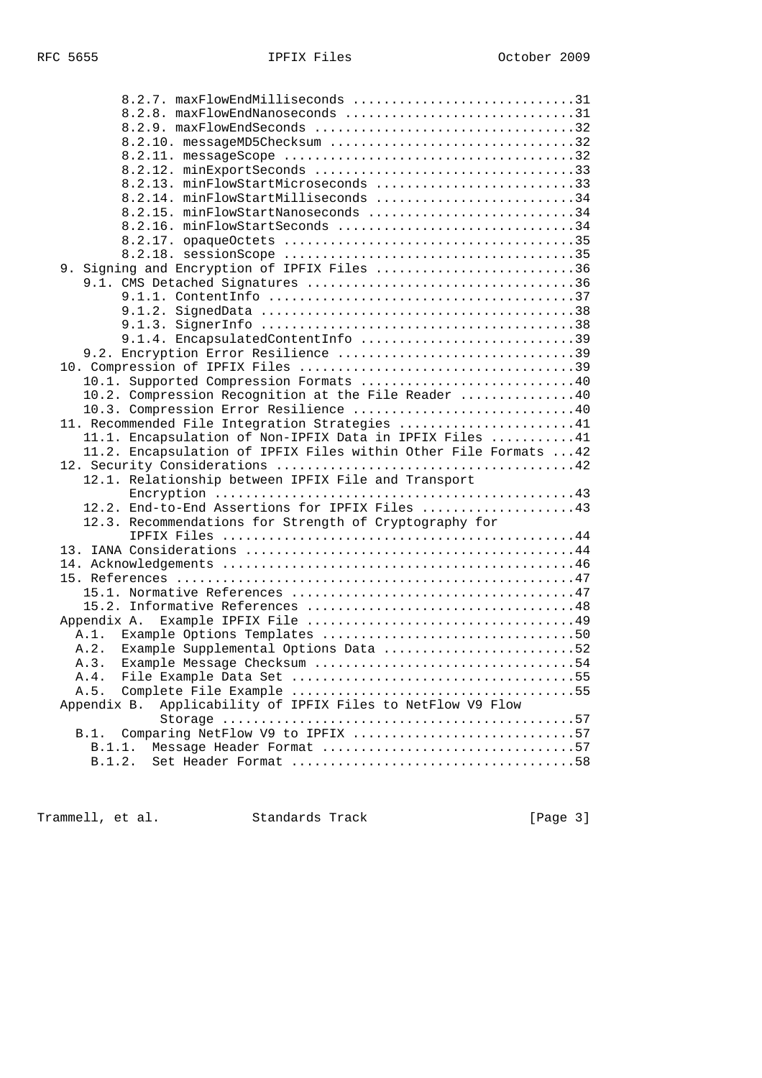| 8.2.7. maxFlowEndMilliseconds 31                                 |  |
|------------------------------------------------------------------|--|
| 8.2.8. maxFlowEndNanoseconds 31                                  |  |
|                                                                  |  |
| 8.2.10. messageMD5Checksum 32                                    |  |
|                                                                  |  |
|                                                                  |  |
| 8.2.13. minFlowStartMicroseconds 33                              |  |
| 8.2.14. minFlowStartMilliseconds 34                              |  |
| 8.2.15. minFlowStartNanoseconds 34                               |  |
| 8.2.16. minFlowStartSeconds 34                                   |  |
|                                                                  |  |
|                                                                  |  |
| 9. Signing and Encryption of IPFIX Files 36                      |  |
|                                                                  |  |
|                                                                  |  |
|                                                                  |  |
|                                                                  |  |
| 9.1.4. EncapsulatedContentInfo 39                                |  |
| 9.2. Encryption Error Resilience 39                              |  |
|                                                                  |  |
| 10.1. Supported Compression Formats 40                           |  |
| 10.2. Compression Recognition at the File Reader 40              |  |
| 10.3. Compression Error Resilience 40                            |  |
| 11. Recommended File Integration Strategies 41                   |  |
|                                                                  |  |
| 11.1. Encapsulation of Non-IPFIX Data in IPFIX Files 41          |  |
| 11.2. Encapsulation of IPFIX Files within Other File Formats  42 |  |
|                                                                  |  |
| 12.1. Relationship between IPFIX File and Transport              |  |
|                                                                  |  |
| 12.2. End-to-End Assertions for IPFIX Files 43                   |  |
| 12.3. Recommendations for Strength of Cryptography for           |  |
|                                                                  |  |
|                                                                  |  |
|                                                                  |  |
|                                                                  |  |
|                                                                  |  |
|                                                                  |  |
|                                                                  |  |
|                                                                  |  |
| A.2. Example Supplemental Options Data 52                        |  |
|                                                                  |  |
| A.4.                                                             |  |
| A.5.                                                             |  |
| Applicability of IPFIX Files to NetFlow V9 Flow<br>Appendix B.   |  |
|                                                                  |  |
| Comparing NetFlow V9 to IPFIX 57<br>B.1.                         |  |
| Message Header Format 57<br>B.1.1.                               |  |

Trammell, et al. Standards Track [Page 3]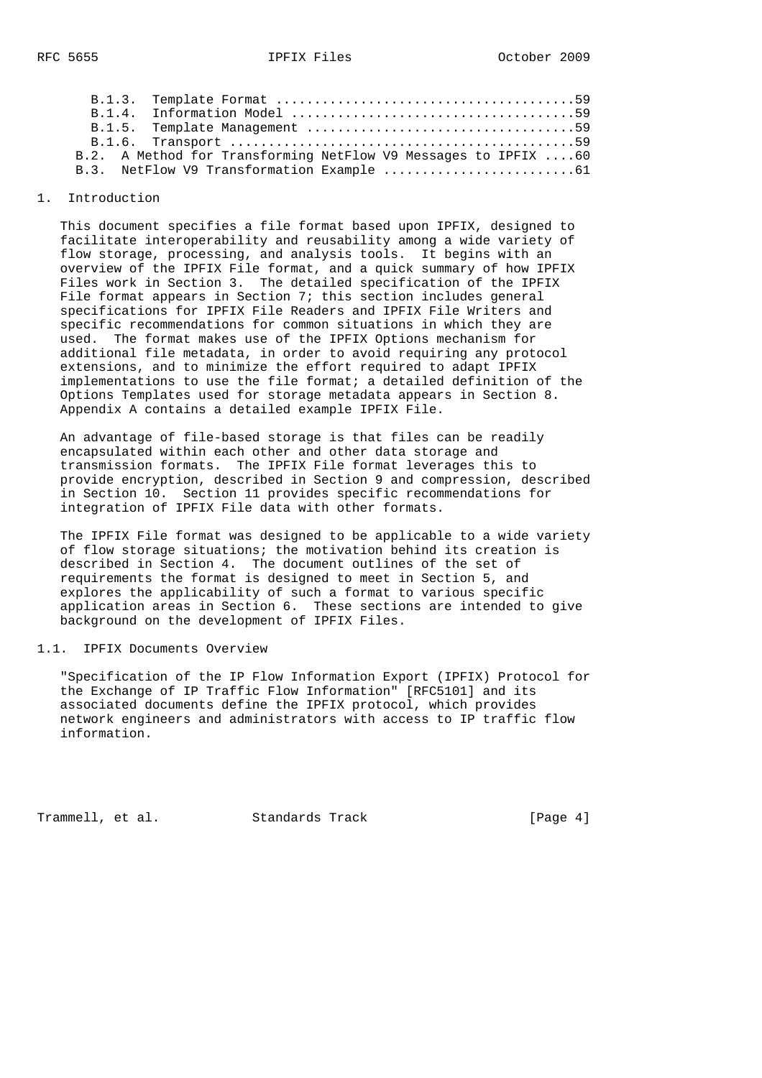|  | B.2. A Method for Transforming NetFlow V9 Messages to IPFIX  60 |
|--|-----------------------------------------------------------------|
|  |                                                                 |
|  |                                                                 |

## 1. Introduction

 This document specifies a file format based upon IPFIX, designed to facilitate interoperability and reusability among a wide variety of flow storage, processing, and analysis tools. It begins with an overview of the IPFIX File format, and a quick summary of how IPFIX Files work in Section 3. The detailed specification of the IPFIX File format appears in Section 7; this section includes general specifications for IPFIX File Readers and IPFIX File Writers and specific recommendations for common situations in which they are used. The format makes use of the IPFIX Options mechanism for additional file metadata, in order to avoid requiring any protocol extensions, and to minimize the effort required to adapt IPFIX implementations to use the file format; a detailed definition of the Options Templates used for storage metadata appears in Section 8. Appendix A contains a detailed example IPFIX File.

 An advantage of file-based storage is that files can be readily encapsulated within each other and other data storage and transmission formats. The IPFIX File format leverages this to provide encryption, described in Section 9 and compression, described in Section 10. Section 11 provides specific recommendations for integration of IPFIX File data with other formats.

 The IPFIX File format was designed to be applicable to a wide variety of flow storage situations; the motivation behind its creation is described in Section 4. The document outlines of the set of requirements the format is designed to meet in Section 5, and explores the applicability of such a format to various specific application areas in Section 6. These sections are intended to give background on the development of IPFIX Files.

### 1.1. IPFIX Documents Overview

 "Specification of the IP Flow Information Export (IPFIX) Protocol for the Exchange of IP Traffic Flow Information" [RFC5101] and its associated documents define the IPFIX protocol, which provides network engineers and administrators with access to IP traffic flow information.

Trammell, et al. Standards Track [Page 4]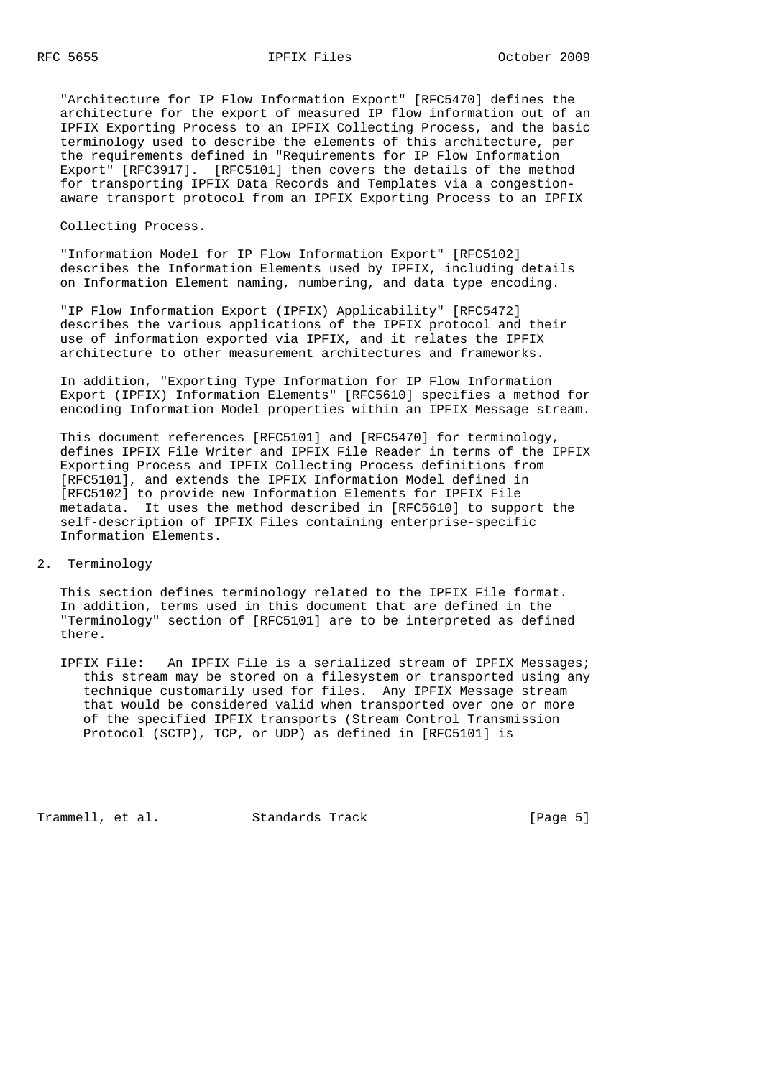"Architecture for IP Flow Information Export" [RFC5470] defines the architecture for the export of measured IP flow information out of an IPFIX Exporting Process to an IPFIX Collecting Process, and the basic terminology used to describe the elements of this architecture, per the requirements defined in "Requirements for IP Flow Information Export" [RFC3917]. [RFC5101] then covers the details of the method for transporting IPFIX Data Records and Templates via a congestion aware transport protocol from an IPFIX Exporting Process to an IPFIX

Collecting Process.

 "Information Model for IP Flow Information Export" [RFC5102] describes the Information Elements used by IPFIX, including details on Information Element naming, numbering, and data type encoding.

 "IP Flow Information Export (IPFIX) Applicability" [RFC5472] describes the various applications of the IPFIX protocol and their use of information exported via IPFIX, and it relates the IPFIX architecture to other measurement architectures and frameworks.

 In addition, "Exporting Type Information for IP Flow Information Export (IPFIX) Information Elements" [RFC5610] specifies a method for encoding Information Model properties within an IPFIX Message stream.

 This document references [RFC5101] and [RFC5470] for terminology, defines IPFIX File Writer and IPFIX File Reader in terms of the IPFIX Exporting Process and IPFIX Collecting Process definitions from [RFC5101], and extends the IPFIX Information Model defined in [RFC5102] to provide new Information Elements for IPFIX File metadata. It uses the method described in [RFC5610] to support the self-description of IPFIX Files containing enterprise-specific Information Elements.

2. Terminology

 This section defines terminology related to the IPFIX File format. In addition, terms used in this document that are defined in the "Terminology" section of [RFC5101] are to be interpreted as defined there.

 IPFIX File: An IPFIX File is a serialized stream of IPFIX Messages; this stream may be stored on a filesystem or transported using any technique customarily used for files. Any IPFIX Message stream that would be considered valid when transported over one or more of the specified IPFIX transports (Stream Control Transmission Protocol (SCTP), TCP, or UDP) as defined in [RFC5101] is

Trammell, et al. Standards Track [Page 5]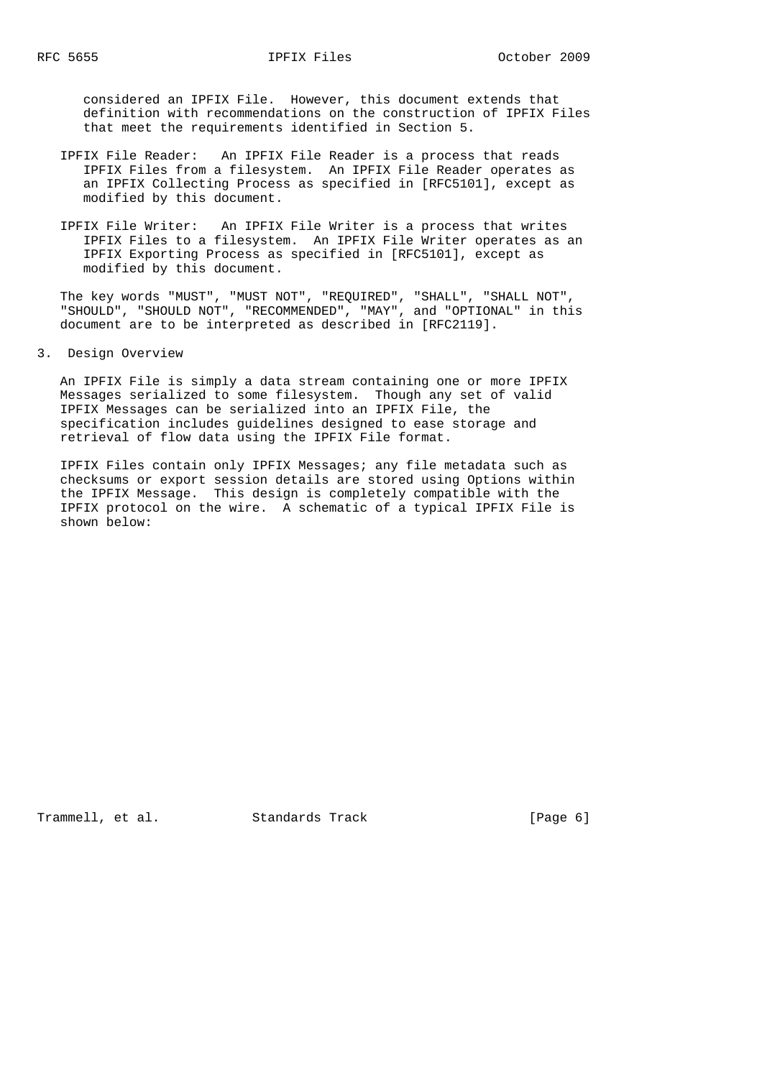considered an IPFIX File. However, this document extends that definition with recommendations on the construction of IPFIX Files that meet the requirements identified in Section 5.

- IPFIX File Reader: An IPFIX File Reader is a process that reads IPFIX Files from a filesystem. An IPFIX File Reader operates as an IPFIX Collecting Process as specified in [RFC5101], except as modified by this document.
- IPFIX File Writer: An IPFIX File Writer is a process that writes IPFIX Files to a filesystem. An IPFIX File Writer operates as an IPFIX Exporting Process as specified in [RFC5101], except as modified by this document.

 The key words "MUST", "MUST NOT", "REQUIRED", "SHALL", "SHALL NOT", "SHOULD", "SHOULD NOT", "RECOMMENDED", "MAY", and "OPTIONAL" in this document are to be interpreted as described in [RFC2119].

3. Design Overview

 An IPFIX File is simply a data stream containing one or more IPFIX Messages serialized to some filesystem. Though any set of valid IPFIX Messages can be serialized into an IPFIX File, the specification includes guidelines designed to ease storage and retrieval of flow data using the IPFIX File format.

 IPFIX Files contain only IPFIX Messages; any file metadata such as checksums or export session details are stored using Options within the IPFIX Message. This design is completely compatible with the IPFIX protocol on the wire. A schematic of a typical IPFIX File is shown below:

Trammell, et al. Standards Track [Page 6]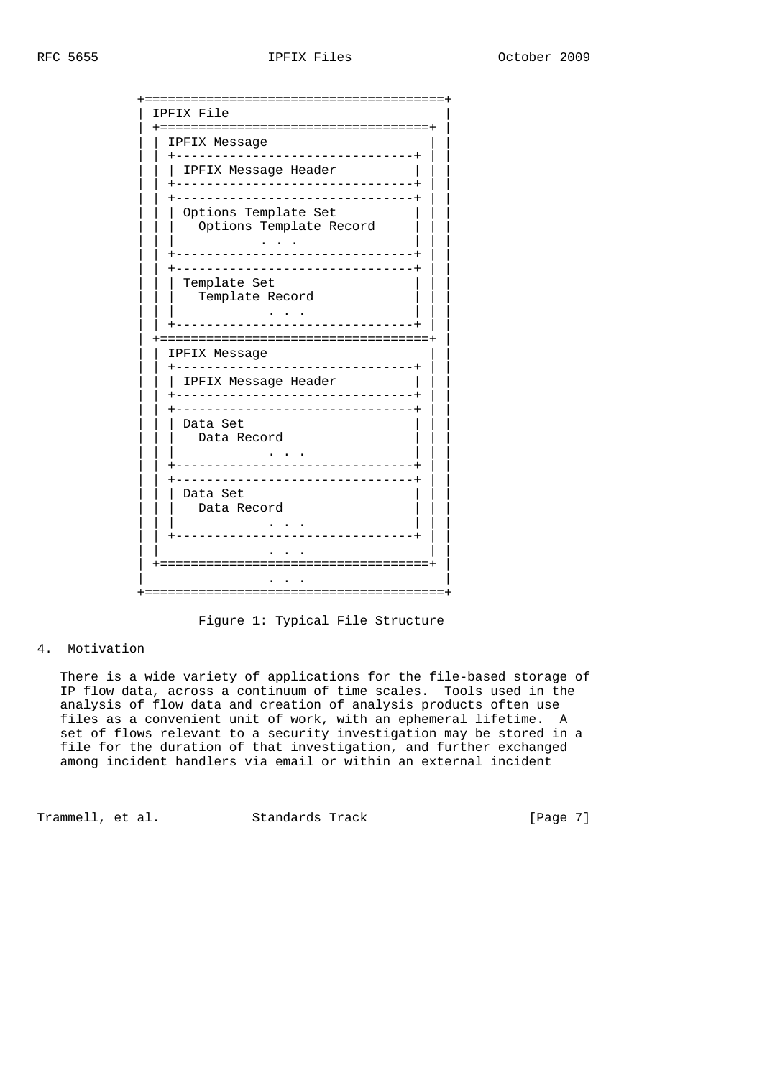| =====<br>--------                     |
|---------------------------------------|
| IPFIX File                            |
| :===========                          |
| IPFIX Message<br>-------              |
|                                       |
| IPFIX Message Header                  |
| ---------------                       |
| Options Template Set                  |
| Options Template Record               |
|                                       |
| ----------------                      |
|                                       |
| Template Set                          |
| Template Record                       |
|                                       |
|                                       |
| :===================<br>IPFIX Message |
|                                       |
| IPFIX Message Header                  |
| --------------------------            |
| ---------                             |
| Data Set                              |
| Data Record                           |
|                                       |
|                                       |
|                                       |
| Data Set                              |
| Data Record                           |
| -------------------                   |
|                                       |
| ==================================    |
|                                       |
|                                       |

Figure 1: Typical File Structure

#### 4. Motivation

 There is a wide variety of applications for the file-based storage of IP flow data, across a continuum of time scales. Tools used in the analysis of flow data and creation of analysis products often use files as a convenient unit of work, with an ephemeral lifetime. A set of flows relevant to a security investigation may be stored in a file for the duration of that investigation, and further exchanged among incident handlers via email or within an external incident

Trammell, et al. Standards Track [Page 7]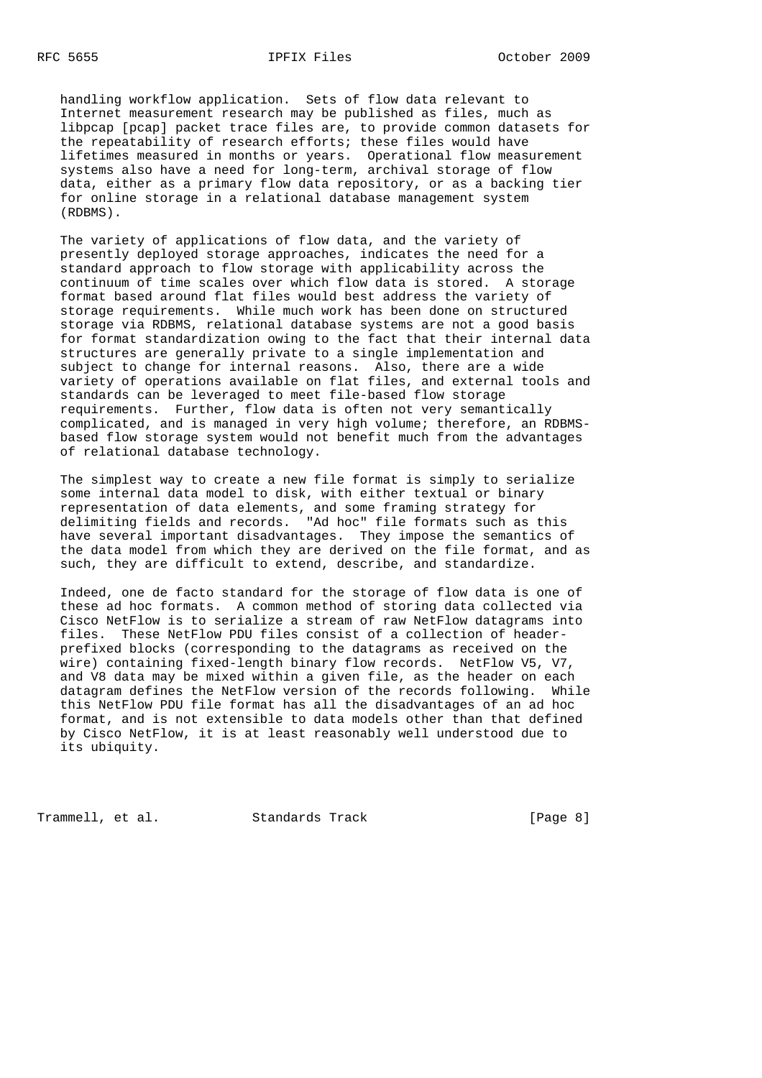handling workflow application. Sets of flow data relevant to Internet measurement research may be published as files, much as libpcap [pcap] packet trace files are, to provide common datasets for the repeatability of research efforts; these files would have lifetimes measured in months or years. Operational flow measurement systems also have a need for long-term, archival storage of flow data, either as a primary flow data repository, or as a backing tier for online storage in a relational database management system (RDBMS).

 The variety of applications of flow data, and the variety of presently deployed storage approaches, indicates the need for a standard approach to flow storage with applicability across the continuum of time scales over which flow data is stored. A storage format based around flat files would best address the variety of storage requirements. While much work has been done on structured storage via RDBMS, relational database systems are not a good basis for format standardization owing to the fact that their internal data structures are generally private to a single implementation and subject to change for internal reasons. Also, there are a wide variety of operations available on flat files, and external tools and standards can be leveraged to meet file-based flow storage requirements. Further, flow data is often not very semantically complicated, and is managed in very high volume; therefore, an RDBMS based flow storage system would not benefit much from the advantages of relational database technology.

 The simplest way to create a new file format is simply to serialize some internal data model to disk, with either textual or binary representation of data elements, and some framing strategy for delimiting fields and records. "Ad hoc" file formats such as this have several important disadvantages. They impose the semantics of the data model from which they are derived on the file format, and as such, they are difficult to extend, describe, and standardize.

 Indeed, one de facto standard for the storage of flow data is one of these ad hoc formats. A common method of storing data collected via Cisco NetFlow is to serialize a stream of raw NetFlow datagrams into files. These NetFlow PDU files consist of a collection of header prefixed blocks (corresponding to the datagrams as received on the wire) containing fixed-length binary flow records. NetFlow V5, V7, and V8 data may be mixed within a given file, as the header on each datagram defines the NetFlow version of the records following. While this NetFlow PDU file format has all the disadvantages of an ad hoc format, and is not extensible to data models other than that defined by Cisco NetFlow, it is at least reasonably well understood due to its ubiquity.

Trammell, et al. Standards Track [Page 8]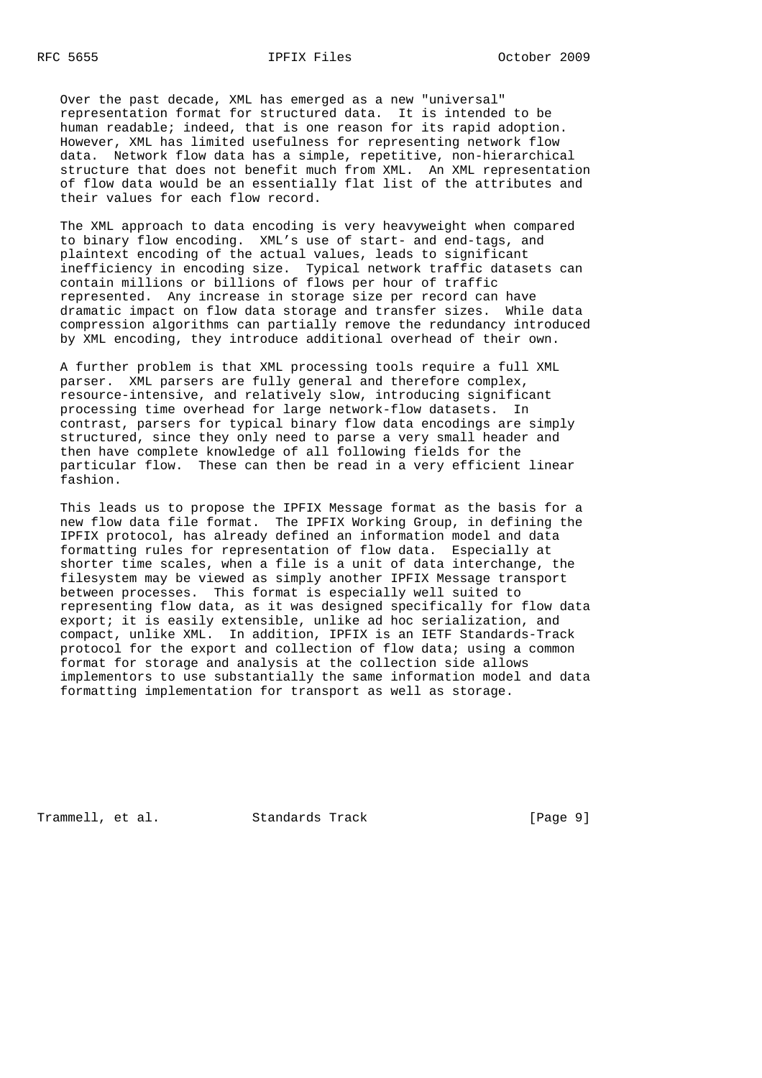Over the past decade, XML has emerged as a new "universal" representation format for structured data. It is intended to be human readable; indeed, that is one reason for its rapid adoption. However, XML has limited usefulness for representing network flow data. Network flow data has a simple, repetitive, non-hierarchical structure that does not benefit much from XML. An XML representation of flow data would be an essentially flat list of the attributes and their values for each flow record.

 The XML approach to data encoding is very heavyweight when compared to binary flow encoding. XML's use of start- and end-tags, and plaintext encoding of the actual values, leads to significant inefficiency in encoding size. Typical network traffic datasets can contain millions or billions of flows per hour of traffic represented. Any increase in storage size per record can have dramatic impact on flow data storage and transfer sizes. While data compression algorithms can partially remove the redundancy introduced by XML encoding, they introduce additional overhead of their own.

 A further problem is that XML processing tools require a full XML parser. XML parsers are fully general and therefore complex, resource-intensive, and relatively slow, introducing significant processing time overhead for large network-flow datasets. In contrast, parsers for typical binary flow data encodings are simply structured, since they only need to parse a very small header and then have complete knowledge of all following fields for the particular flow. These can then be read in a very efficient linear fashion.

 This leads us to propose the IPFIX Message format as the basis for a new flow data file format. The IPFIX Working Group, in defining the IPFIX protocol, has already defined an information model and data formatting rules for representation of flow data. Especially at shorter time scales, when a file is a unit of data interchange, the filesystem may be viewed as simply another IPFIX Message transport between processes. This format is especially well suited to representing flow data, as it was designed specifically for flow data export; it is easily extensible, unlike ad hoc serialization, and compact, unlike XML. In addition, IPFIX is an IETF Standards-Track protocol for the export and collection of flow data; using a common format for storage and analysis at the collection side allows implementors to use substantially the same information model and data formatting implementation for transport as well as storage.

Trammell, et al. Standards Track [Page 9]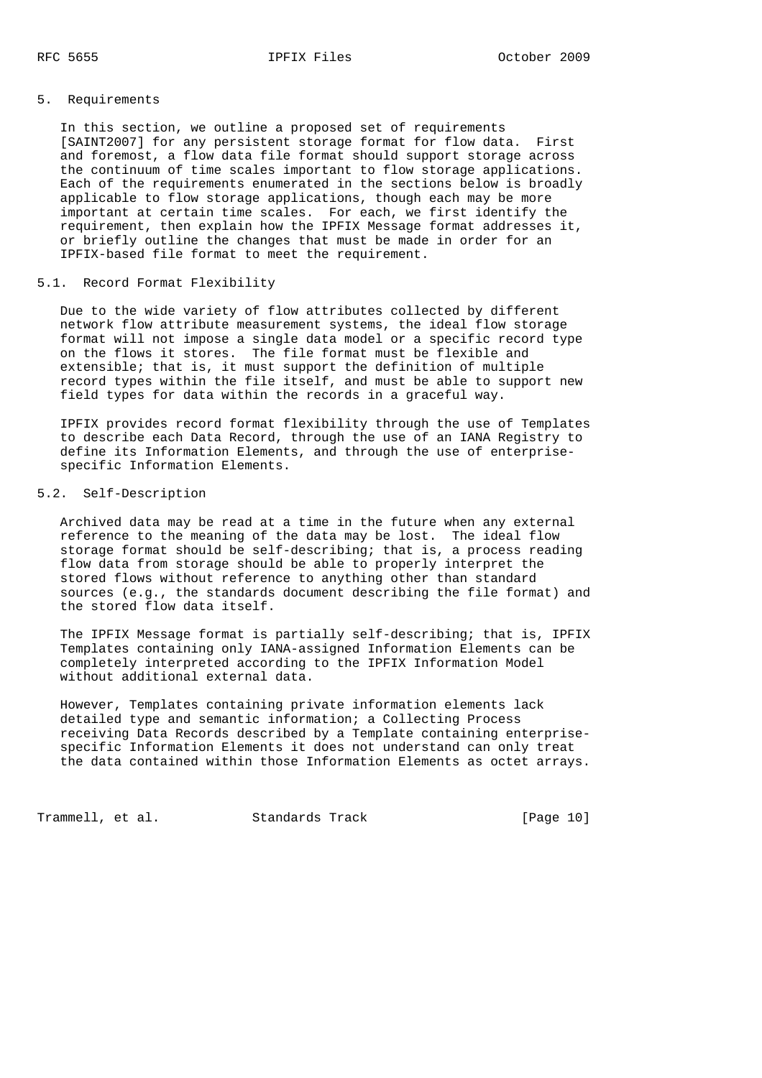## 5. Requirements

 In this section, we outline a proposed set of requirements [SAINT2007] for any persistent storage format for flow data. First and foremost, a flow data file format should support storage across the continuum of time scales important to flow storage applications. Each of the requirements enumerated in the sections below is broadly applicable to flow storage applications, though each may be more important at certain time scales. For each, we first identify the requirement, then explain how the IPFIX Message format addresses it, or briefly outline the changes that must be made in order for an IPFIX-based file format to meet the requirement.

## 5.1. Record Format Flexibility

 Due to the wide variety of flow attributes collected by different network flow attribute measurement systems, the ideal flow storage format will not impose a single data model or a specific record type on the flows it stores. The file format must be flexible and extensible; that is, it must support the definition of multiple record types within the file itself, and must be able to support new field types for data within the records in a graceful way.

 IPFIX provides record format flexibility through the use of Templates to describe each Data Record, through the use of an IANA Registry to define its Information Elements, and through the use of enterprise specific Information Elements.

## 5.2. Self-Description

 Archived data may be read at a time in the future when any external reference to the meaning of the data may be lost. The ideal flow storage format should be self-describing; that is, a process reading flow data from storage should be able to properly interpret the stored flows without reference to anything other than standard sources (e.g., the standards document describing the file format) and the stored flow data itself.

 The IPFIX Message format is partially self-describing; that is, IPFIX Templates containing only IANA-assigned Information Elements can be completely interpreted according to the IPFIX Information Model without additional external data.

 However, Templates containing private information elements lack detailed type and semantic information; a Collecting Process receiving Data Records described by a Template containing enterprise specific Information Elements it does not understand can only treat the data contained within those Information Elements as octet arrays.

Trammell, et al. Standards Track [Page 10]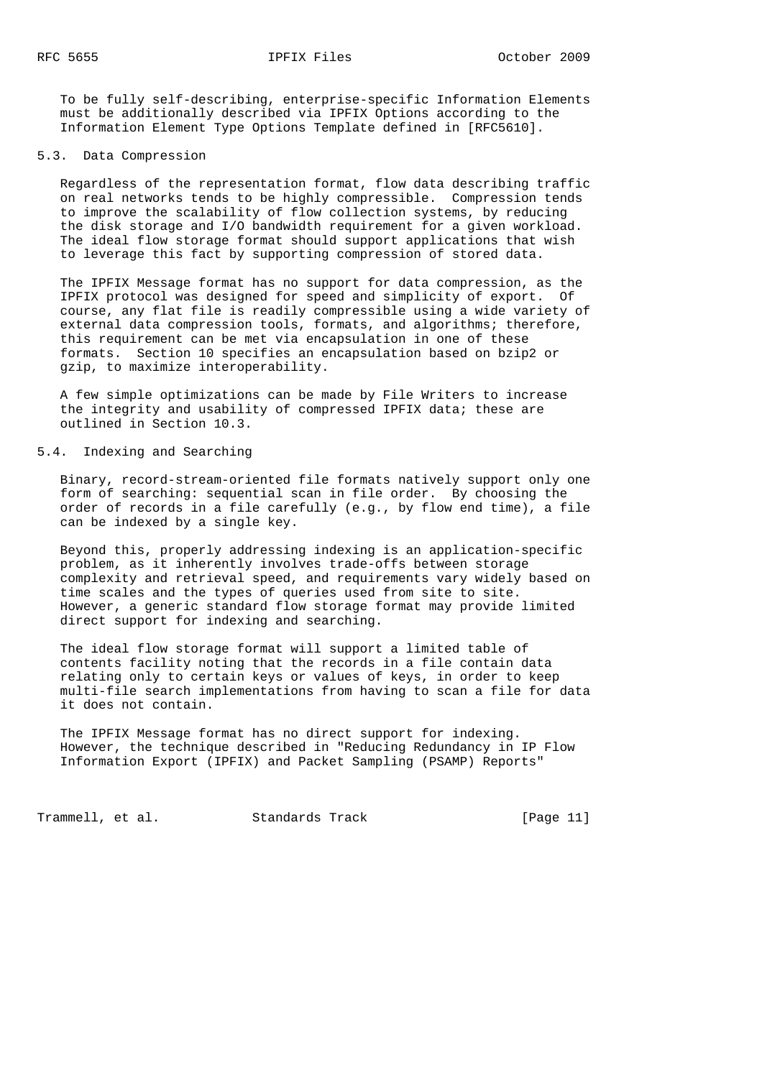To be fully self-describing, enterprise-specific Information Elements must be additionally described via IPFIX Options according to the Information Element Type Options Template defined in [RFC5610].

#### 5.3. Data Compression

 Regardless of the representation format, flow data describing traffic on real networks tends to be highly compressible. Compression tends to improve the scalability of flow collection systems, by reducing the disk storage and I/O bandwidth requirement for a given workload. The ideal flow storage format should support applications that wish to leverage this fact by supporting compression of stored data.

 The IPFIX Message format has no support for data compression, as the IPFIX protocol was designed for speed and simplicity of export. Of course, any flat file is readily compressible using a wide variety of external data compression tools, formats, and algorithms; therefore, this requirement can be met via encapsulation in one of these formats. Section 10 specifies an encapsulation based on bzip2 or gzip, to maximize interoperability.

 A few simple optimizations can be made by File Writers to increase the integrity and usability of compressed IPFIX data; these are outlined in Section 10.3.

# 5.4. Indexing and Searching

 Binary, record-stream-oriented file formats natively support only one form of searching: sequential scan in file order. By choosing the order of records in a file carefully (e.g., by flow end time), a file can be indexed by a single key.

 Beyond this, properly addressing indexing is an application-specific problem, as it inherently involves trade-offs between storage complexity and retrieval speed, and requirements vary widely based on time scales and the types of queries used from site to site. However, a generic standard flow storage format may provide limited direct support for indexing and searching.

 The ideal flow storage format will support a limited table of contents facility noting that the records in a file contain data relating only to certain keys or values of keys, in order to keep multi-file search implementations from having to scan a file for data it does not contain.

 The IPFIX Message format has no direct support for indexing. However, the technique described in "Reducing Redundancy in IP Flow Information Export (IPFIX) and Packet Sampling (PSAMP) Reports"

Trammell, et al. Standards Track [Page 11]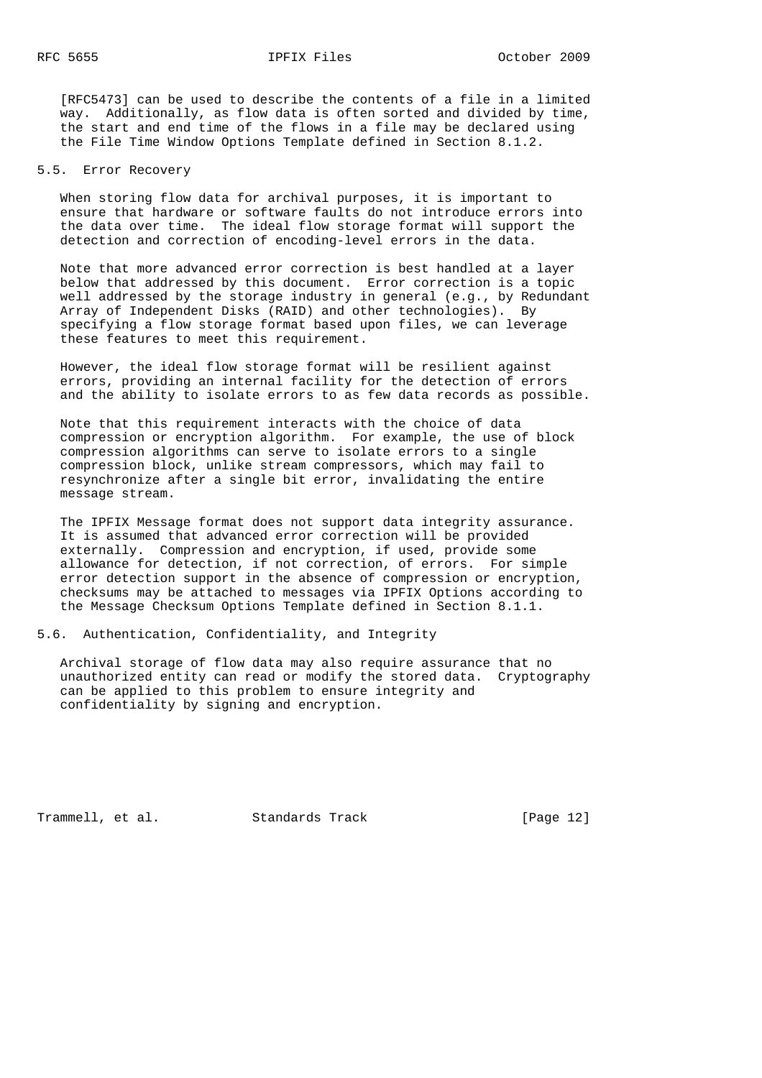[RFC5473] can be used to describe the contents of a file in a limited way. Additionally, as flow data is often sorted and divided by time, the start and end time of the flows in a file may be declared using the File Time Window Options Template defined in Section 8.1.2.

5.5. Error Recovery

 When storing flow data for archival purposes, it is important to ensure that hardware or software faults do not introduce errors into the data over time. The ideal flow storage format will support the detection and correction of encoding-level errors in the data.

 Note that more advanced error correction is best handled at a layer below that addressed by this document. Error correction is a topic well addressed by the storage industry in general (e.g., by Redundant Array of Independent Disks (RAID) and other technologies). By specifying a flow storage format based upon files, we can leverage these features to meet this requirement.

 However, the ideal flow storage format will be resilient against errors, providing an internal facility for the detection of errors and the ability to isolate errors to as few data records as possible.

 Note that this requirement interacts with the choice of data compression or encryption algorithm. For example, the use of block compression algorithms can serve to isolate errors to a single compression block, unlike stream compressors, which may fail to resynchronize after a single bit error, invalidating the entire message stream.

 The IPFIX Message format does not support data integrity assurance. It is assumed that advanced error correction will be provided externally. Compression and encryption, if used, provide some allowance for detection, if not correction, of errors. For simple error detection support in the absence of compression or encryption, checksums may be attached to messages via IPFIX Options according to the Message Checksum Options Template defined in Section 8.1.1.

5.6. Authentication, Confidentiality, and Integrity

 Archival storage of flow data may also require assurance that no unauthorized entity can read or modify the stored data. Cryptography can be applied to this problem to ensure integrity and confidentiality by signing and encryption.

Trammell, et al. Standards Track [Page 12]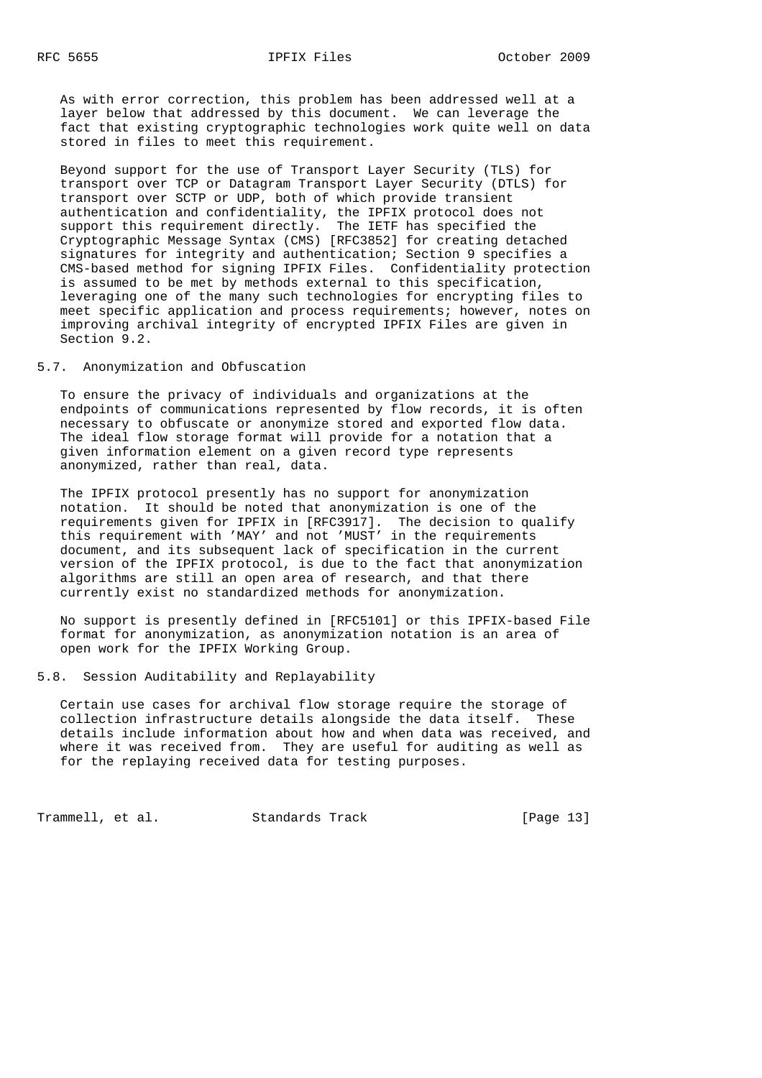As with error correction, this problem has been addressed well at a layer below that addressed by this document. We can leverage the fact that existing cryptographic technologies work quite well on data stored in files to meet this requirement.

 Beyond support for the use of Transport Layer Security (TLS) for transport over TCP or Datagram Transport Layer Security (DTLS) for transport over SCTP or UDP, both of which provide transient authentication and confidentiality, the IPFIX protocol does not support this requirement directly. The IETF has specified the Cryptographic Message Syntax (CMS) [RFC3852] for creating detached signatures for integrity and authentication; Section 9 specifies a CMS-based method for signing IPFIX Files. Confidentiality protection is assumed to be met by methods external to this specification, leveraging one of the many such technologies for encrypting files to meet specific application and process requirements; however, notes on improving archival integrity of encrypted IPFIX Files are given in Section 9.2.

5.7. Anonymization and Obfuscation

 To ensure the privacy of individuals and organizations at the endpoints of communications represented by flow records, it is often necessary to obfuscate or anonymize stored and exported flow data. The ideal flow storage format will provide for a notation that a given information element on a given record type represents anonymized, rather than real, data.

 The IPFIX protocol presently has no support for anonymization notation. It should be noted that anonymization is one of the requirements given for IPFIX in [RFC3917]. The decision to qualify this requirement with 'MAY' and not 'MUST' in the requirements document, and its subsequent lack of specification in the current version of the IPFIX protocol, is due to the fact that anonymization algorithms are still an open area of research, and that there currently exist no standardized methods for anonymization.

 No support is presently defined in [RFC5101] or this IPFIX-based File format for anonymization, as anonymization notation is an area of open work for the IPFIX Working Group.

5.8. Session Auditability and Replayability

 Certain use cases for archival flow storage require the storage of collection infrastructure details alongside the data itself. These details include information about how and when data was received, and where it was received from. They are useful for auditing as well as for the replaying received data for testing purposes.

Trammell, et al. Standards Track [Page 13]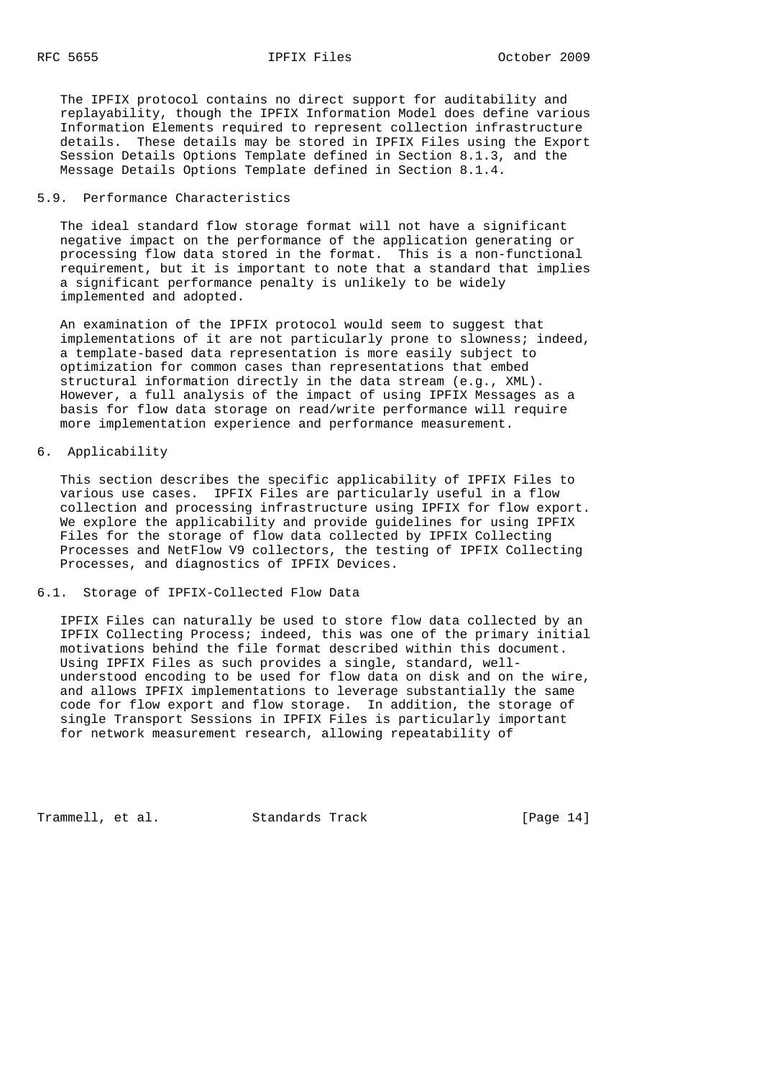The IPFIX protocol contains no direct support for auditability and replayability, though the IPFIX Information Model does define various Information Elements required to represent collection infrastructure details. These details may be stored in IPFIX Files using the Export Session Details Options Template defined in Section 8.1.3, and the Message Details Options Template defined in Section 8.1.4.

### 5.9. Performance Characteristics

 The ideal standard flow storage format will not have a significant negative impact on the performance of the application generating or processing flow data stored in the format. This is a non-functional requirement, but it is important to note that a standard that implies a significant performance penalty is unlikely to be widely implemented and adopted.

 An examination of the IPFIX protocol would seem to suggest that implementations of it are not particularly prone to slowness; indeed, a template-based data representation is more easily subject to optimization for common cases than representations that embed structural information directly in the data stream (e.g., XML). However, a full analysis of the impact of using IPFIX Messages as a basis for flow data storage on read/write performance will require more implementation experience and performance measurement.

### 6. Applicability

 This section describes the specific applicability of IPFIX Files to various use cases. IPFIX Files are particularly useful in a flow collection and processing infrastructure using IPFIX for flow export. We explore the applicability and provide guidelines for using IPFIX Files for the storage of flow data collected by IPFIX Collecting Processes and NetFlow V9 collectors, the testing of IPFIX Collecting Processes, and diagnostics of IPFIX Devices.

6.1. Storage of IPFIX-Collected Flow Data

 IPFIX Files can naturally be used to store flow data collected by an IPFIX Collecting Process; indeed, this was one of the primary initial motivations behind the file format described within this document. Using IPFIX Files as such provides a single, standard, well understood encoding to be used for flow data on disk and on the wire, and allows IPFIX implementations to leverage substantially the same code for flow export and flow storage. In addition, the storage of single Transport Sessions in IPFIX Files is particularly important for network measurement research, allowing repeatability of

Trammell, et al. Standards Track [Page 14]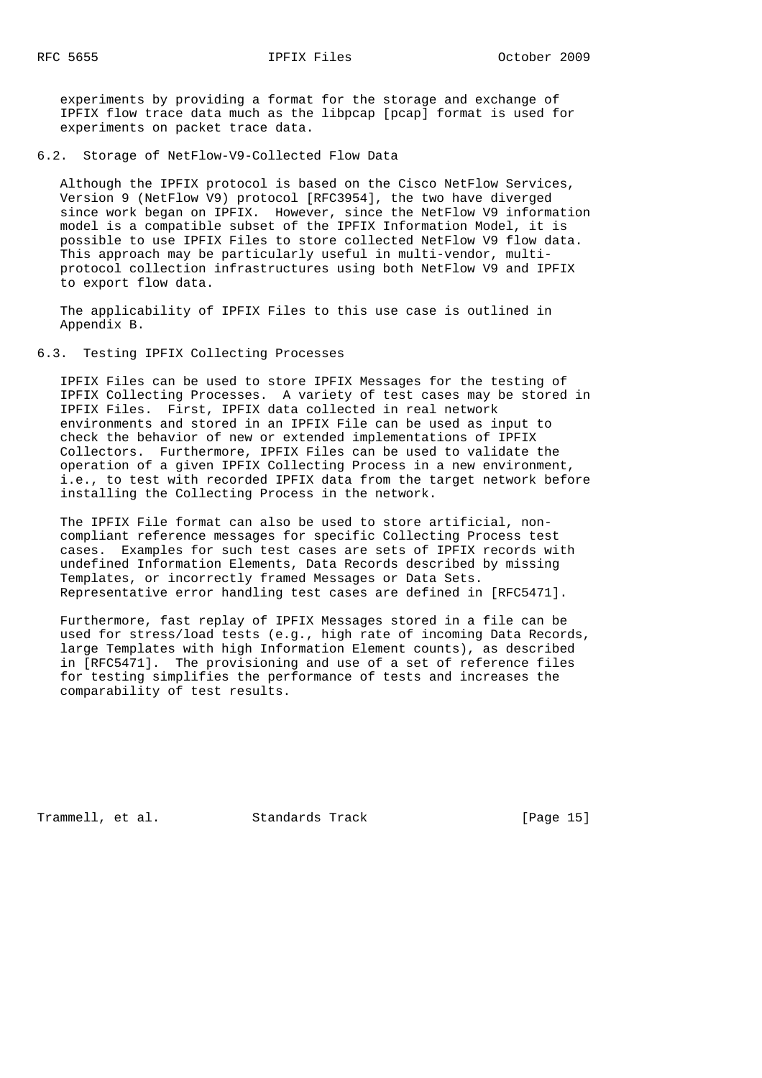experiments by providing a format for the storage and exchange of IPFIX flow trace data much as the libpcap [pcap] format is used for experiments on packet trace data.

### 6.2. Storage of NetFlow-V9-Collected Flow Data

 Although the IPFIX protocol is based on the Cisco NetFlow Services, Version 9 (NetFlow V9) protocol [RFC3954], the two have diverged since work began on IPFIX. However, since the NetFlow V9 information model is a compatible subset of the IPFIX Information Model, it is possible to use IPFIX Files to store collected NetFlow V9 flow data. This approach may be particularly useful in multi-vendor, multi protocol collection infrastructures using both NetFlow V9 and IPFIX to export flow data.

 The applicability of IPFIX Files to this use case is outlined in Appendix B.

### 6.3. Testing IPFIX Collecting Processes

 IPFIX Files can be used to store IPFIX Messages for the testing of IPFIX Collecting Processes. A variety of test cases may be stored in IPFIX Files. First, IPFIX data collected in real network environments and stored in an IPFIX File can be used as input to check the behavior of new or extended implementations of IPFIX Collectors. Furthermore, IPFIX Files can be used to validate the operation of a given IPFIX Collecting Process in a new environment, i.e., to test with recorded IPFIX data from the target network before installing the Collecting Process in the network.

 The IPFIX File format can also be used to store artificial, non compliant reference messages for specific Collecting Process test cases. Examples for such test cases are sets of IPFIX records with undefined Information Elements, Data Records described by missing Templates, or incorrectly framed Messages or Data Sets. Representative error handling test cases are defined in [RFC5471].

 Furthermore, fast replay of IPFIX Messages stored in a file can be used for stress/load tests (e.g., high rate of incoming Data Records, large Templates with high Information Element counts), as described in [RFC5471]. The provisioning and use of a set of reference files for testing simplifies the performance of tests and increases the comparability of test results.

Trammell, et al. Standards Track [Page 15]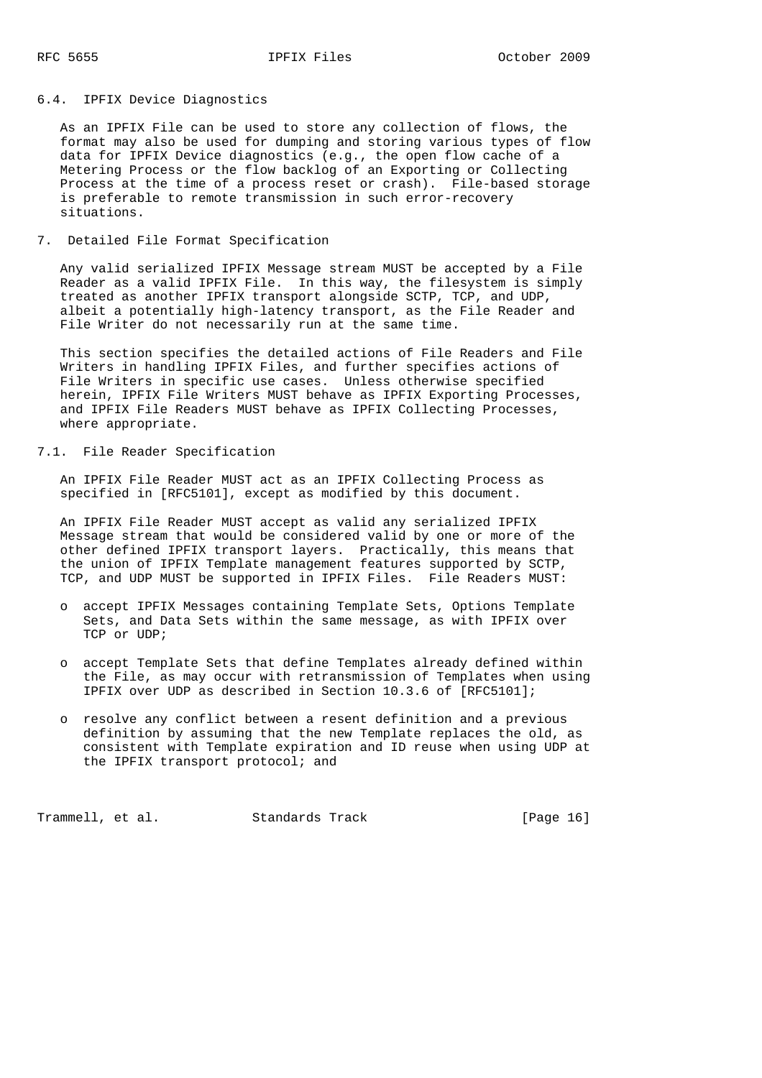## 6.4. IPFIX Device Diagnostics

 As an IPFIX File can be used to store any collection of flows, the format may also be used for dumping and storing various types of flow data for IPFIX Device diagnostics (e.g., the open flow cache of a Metering Process or the flow backlog of an Exporting or Collecting Process at the time of a process reset or crash). File-based storage is preferable to remote transmission in such error-recovery situations.

## 7. Detailed File Format Specification

 Any valid serialized IPFIX Message stream MUST be accepted by a File Reader as a valid IPFIX File. In this way, the filesystem is simply treated as another IPFIX transport alongside SCTP, TCP, and UDP, albeit a potentially high-latency transport, as the File Reader and File Writer do not necessarily run at the same time.

 This section specifies the detailed actions of File Readers and File Writers in handling IPFIX Files, and further specifies actions of File Writers in specific use cases. Unless otherwise specified herein, IPFIX File Writers MUST behave as IPFIX Exporting Processes, and IPFIX File Readers MUST behave as IPFIX Collecting Processes, where appropriate.

## 7.1. File Reader Specification

 An IPFIX File Reader MUST act as an IPFIX Collecting Process as specified in [RFC5101], except as modified by this document.

 An IPFIX File Reader MUST accept as valid any serialized IPFIX Message stream that would be considered valid by one or more of the other defined IPFIX transport layers. Practically, this means that the union of IPFIX Template management features supported by SCTP, TCP, and UDP MUST be supported in IPFIX Files. File Readers MUST:

- o accept IPFIX Messages containing Template Sets, Options Template Sets, and Data Sets within the same message, as with IPFIX over TCP or UDP;
- o accept Template Sets that define Templates already defined within the File, as may occur with retransmission of Templates when using IPFIX over UDP as described in Section 10.3.6 of [RFC5101];
- o resolve any conflict between a resent definition and a previous definition by assuming that the new Template replaces the old, as consistent with Template expiration and ID reuse when using UDP at the IPFIX transport protocol; and

Trammell, et al. Standards Track [Page 16]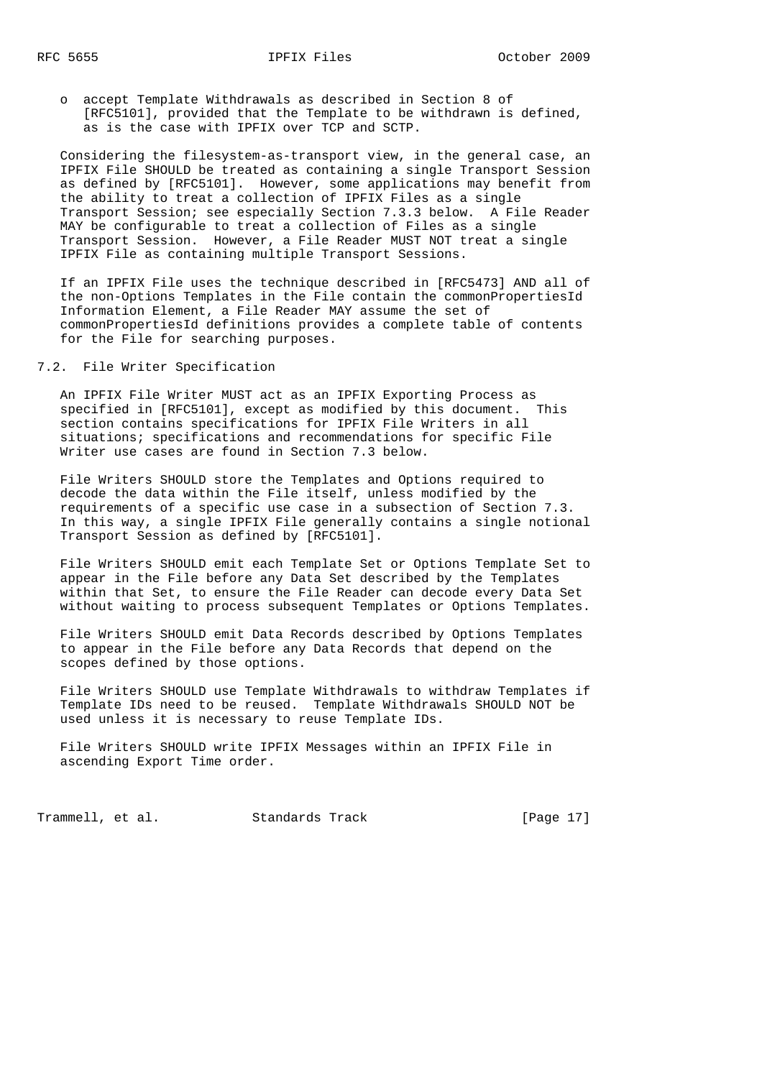o accept Template Withdrawals as described in Section 8 of [RFC5101], provided that the Template to be withdrawn is defined, as is the case with IPFIX over TCP and SCTP.

 Considering the filesystem-as-transport view, in the general case, an IPFIX File SHOULD be treated as containing a single Transport Session as defined by [RFC5101]. However, some applications may benefit from the ability to treat a collection of IPFIX Files as a single Transport Session; see especially Section 7.3.3 below. A File Reader MAY be configurable to treat a collection of Files as a single Transport Session. However, a File Reader MUST NOT treat a single IPFIX File as containing multiple Transport Sessions.

 If an IPFIX File uses the technique described in [RFC5473] AND all of the non-Options Templates in the File contain the commonPropertiesId Information Element, a File Reader MAY assume the set of commonPropertiesId definitions provides a complete table of contents for the File for searching purposes.

## 7.2. File Writer Specification

 An IPFIX File Writer MUST act as an IPFIX Exporting Process as specified in [RFC5101], except as modified by this document. This section contains specifications for IPFIX File Writers in all situations; specifications and recommendations for specific File Writer use cases are found in Section 7.3 below.

 File Writers SHOULD store the Templates and Options required to decode the data within the File itself, unless modified by the requirements of a specific use case in a subsection of Section 7.3. In this way, a single IPFIX File generally contains a single notional Transport Session as defined by [RFC5101].

 File Writers SHOULD emit each Template Set or Options Template Set to appear in the File before any Data Set described by the Templates within that Set, to ensure the File Reader can decode every Data Set without waiting to process subsequent Templates or Options Templates.

 File Writers SHOULD emit Data Records described by Options Templates to appear in the File before any Data Records that depend on the scopes defined by those options.

 File Writers SHOULD use Template Withdrawals to withdraw Templates if Template IDs need to be reused. Template Withdrawals SHOULD NOT be used unless it is necessary to reuse Template IDs.

 File Writers SHOULD write IPFIX Messages within an IPFIX File in ascending Export Time order.

Trammell, et al. Standards Track [Page 17]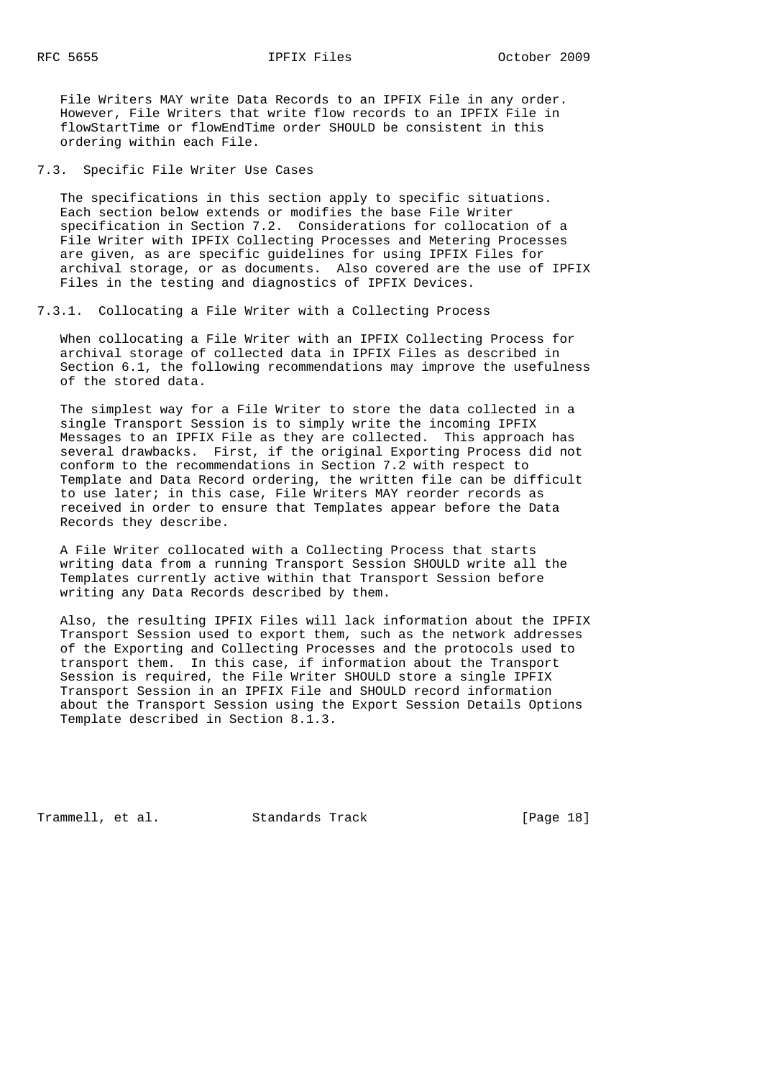File Writers MAY write Data Records to an IPFIX File in any order. However, File Writers that write flow records to an IPFIX File in flowStartTime or flowEndTime order SHOULD be consistent in this ordering within each File.

7.3. Specific File Writer Use Cases

 The specifications in this section apply to specific situations. Each section below extends or modifies the base File Writer specification in Section 7.2. Considerations for collocation of a File Writer with IPFIX Collecting Processes and Metering Processes are given, as are specific guidelines for using IPFIX Files for archival storage, or as documents. Also covered are the use of IPFIX Files in the testing and diagnostics of IPFIX Devices.

7.3.1. Collocating a File Writer with a Collecting Process

 When collocating a File Writer with an IPFIX Collecting Process for archival storage of collected data in IPFIX Files as described in Section 6.1, the following recommendations may improve the usefulness of the stored data.

 The simplest way for a File Writer to store the data collected in a single Transport Session is to simply write the incoming IPFIX Messages to an IPFIX File as they are collected. This approach has several drawbacks. First, if the original Exporting Process did not conform to the recommendations in Section 7.2 with respect to Template and Data Record ordering, the written file can be difficult to use later; in this case, File Writers MAY reorder records as received in order to ensure that Templates appear before the Data Records they describe.

 A File Writer collocated with a Collecting Process that starts writing data from a running Transport Session SHOULD write all the Templates currently active within that Transport Session before writing any Data Records described by them.

 Also, the resulting IPFIX Files will lack information about the IPFIX Transport Session used to export them, such as the network addresses of the Exporting and Collecting Processes and the protocols used to transport them. In this case, if information about the Transport Session is required, the File Writer SHOULD store a single IPFIX Transport Session in an IPFIX File and SHOULD record information about the Transport Session using the Export Session Details Options Template described in Section 8.1.3.

Trammell, et al. Standards Track [Page 18]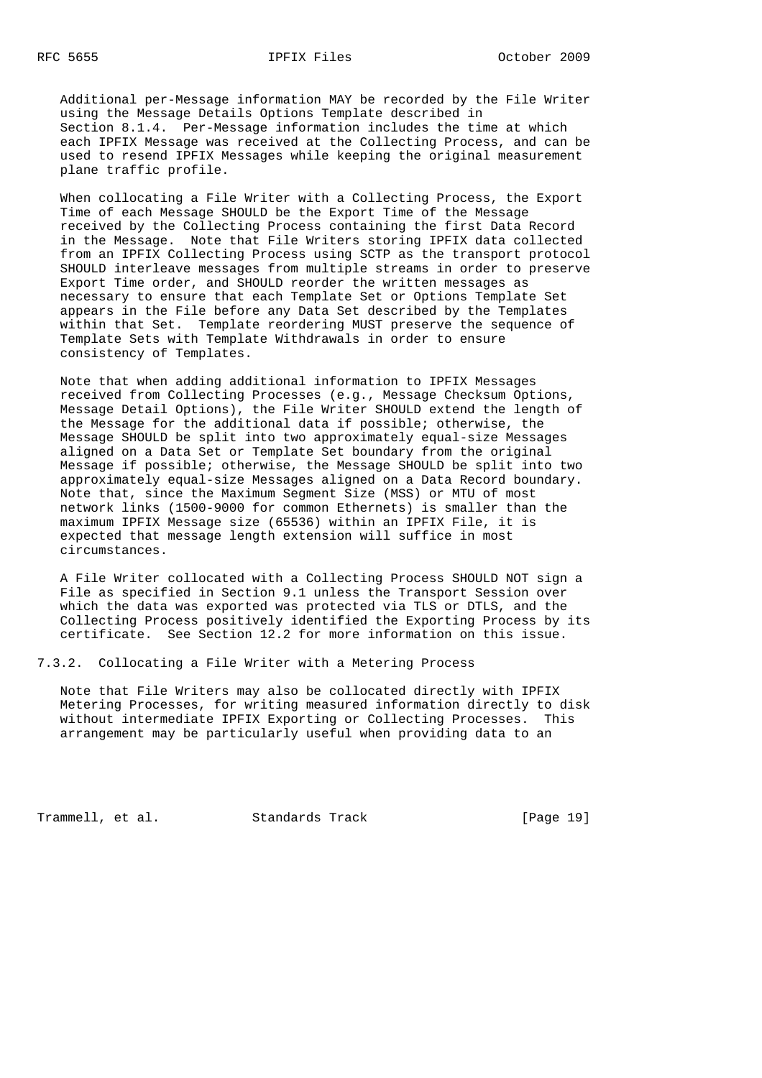Additional per-Message information MAY be recorded by the File Writer using the Message Details Options Template described in Section 8.1.4. Per-Message information includes the time at which each IPFIX Message was received at the Collecting Process, and can be used to resend IPFIX Messages while keeping the original measurement plane traffic profile.

 When collocating a File Writer with a Collecting Process, the Export Time of each Message SHOULD be the Export Time of the Message received by the Collecting Process containing the first Data Record in the Message. Note that File Writers storing IPFIX data collected from an IPFIX Collecting Process using SCTP as the transport protocol SHOULD interleave messages from multiple streams in order to preserve Export Time order, and SHOULD reorder the written messages as necessary to ensure that each Template Set or Options Template Set appears in the File before any Data Set described by the Templates within that Set. Template reordering MUST preserve the sequence of Template Sets with Template Withdrawals in order to ensure consistency of Templates.

 Note that when adding additional information to IPFIX Messages received from Collecting Processes (e.g., Message Checksum Options, Message Detail Options), the File Writer SHOULD extend the length of the Message for the additional data if possible; otherwise, the Message SHOULD be split into two approximately equal-size Messages aligned on a Data Set or Template Set boundary from the original Message if possible; otherwise, the Message SHOULD be split into two approximately equal-size Messages aligned on a Data Record boundary. Note that, since the Maximum Segment Size (MSS) or MTU of most network links (1500-9000 for common Ethernets) is smaller than the maximum IPFIX Message size (65536) within an IPFIX File, it is expected that message length extension will suffice in most circumstances.

 A File Writer collocated with a Collecting Process SHOULD NOT sign a File as specified in Section 9.1 unless the Transport Session over which the data was exported was protected via TLS or DTLS, and the Collecting Process positively identified the Exporting Process by its certificate. See Section 12.2 for more information on this issue.

7.3.2. Collocating a File Writer with a Metering Process

 Note that File Writers may also be collocated directly with IPFIX Metering Processes, for writing measured information directly to disk without intermediate IPFIX Exporting or Collecting Processes. This arrangement may be particularly useful when providing data to an

Trammell, et al. Standards Track [Page 19]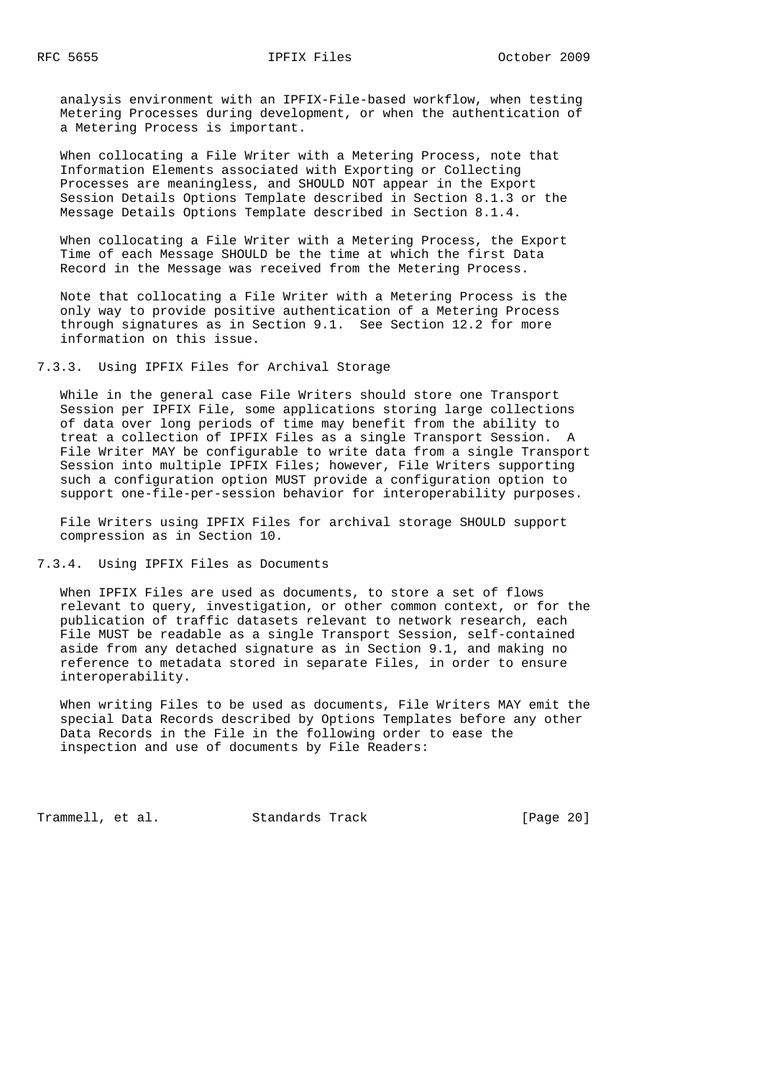analysis environment with an IPFIX-File-based workflow, when testing Metering Processes during development, or when the authentication of a Metering Process is important.

 When collocating a File Writer with a Metering Process, note that Information Elements associated with Exporting or Collecting Processes are meaningless, and SHOULD NOT appear in the Export Session Details Options Template described in Section 8.1.3 or the Message Details Options Template described in Section 8.1.4.

 When collocating a File Writer with a Metering Process, the Export Time of each Message SHOULD be the time at which the first Data Record in the Message was received from the Metering Process.

 Note that collocating a File Writer with a Metering Process is the only way to provide positive authentication of a Metering Process through signatures as in Section 9.1. See Section 12.2 for more information on this issue.

7.3.3. Using IPFIX Files for Archival Storage

 While in the general case File Writers should store one Transport Session per IPFIX File, some applications storing large collections of data over long periods of time may benefit from the ability to treat a collection of IPFIX Files as a single Transport Session. A File Writer MAY be configurable to write data from a single Transport Session into multiple IPFIX Files; however, File Writers supporting such a configuration option MUST provide a configuration option to support one-file-per-session behavior for interoperability purposes.

 File Writers using IPFIX Files for archival storage SHOULD support compression as in Section 10.

7.3.4. Using IPFIX Files as Documents

 When IPFIX Files are used as documents, to store a set of flows relevant to query, investigation, or other common context, or for the publication of traffic datasets relevant to network research, each File MUST be readable as a single Transport Session, self-contained aside from any detached signature as in Section 9.1, and making no reference to metadata stored in separate Files, in order to ensure interoperability.

 When writing Files to be used as documents, File Writers MAY emit the special Data Records described by Options Templates before any other Data Records in the File in the following order to ease the inspection and use of documents by File Readers:

Trammell, et al. Standards Track [Page 20]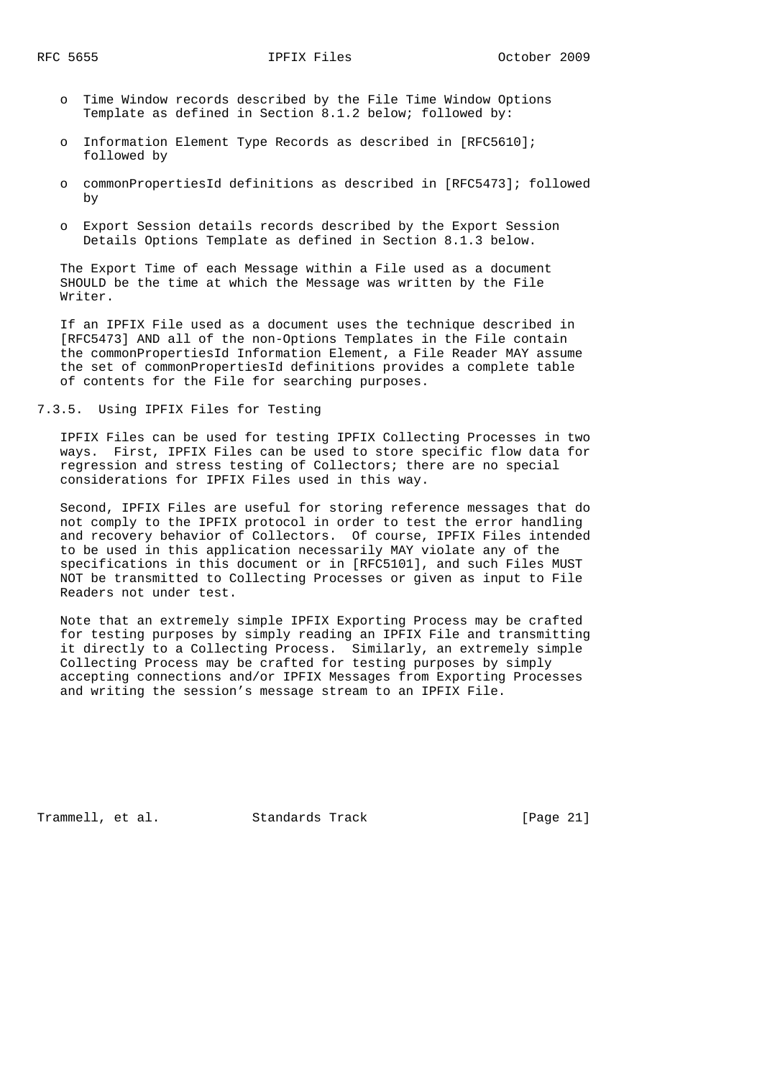- o Time Window records described by the File Time Window Options Template as defined in Section 8.1.2 below; followed by:
- o Information Element Type Records as described in [RFC5610]; followed by
- o commonPropertiesId definitions as described in [RFC5473]; followed by
- o Export Session details records described by the Export Session Details Options Template as defined in Section 8.1.3 below.

 The Export Time of each Message within a File used as a document SHOULD be the time at which the Message was written by the File Writer.

 If an IPFIX File used as a document uses the technique described in [RFC5473] AND all of the non-Options Templates in the File contain the commonPropertiesId Information Element, a File Reader MAY assume the set of commonPropertiesId definitions provides a complete table of contents for the File for searching purposes.

## 7.3.5. Using IPFIX Files for Testing

 IPFIX Files can be used for testing IPFIX Collecting Processes in two ways. First, IPFIX Files can be used to store specific flow data for regression and stress testing of Collectors; there are no special considerations for IPFIX Files used in this way.

 Second, IPFIX Files are useful for storing reference messages that do not comply to the IPFIX protocol in order to test the error handling and recovery behavior of Collectors. Of course, IPFIX Files intended to be used in this application necessarily MAY violate any of the specifications in this document or in [RFC5101], and such Files MUST NOT be transmitted to Collecting Processes or given as input to File Readers not under test.

 Note that an extremely simple IPFIX Exporting Process may be crafted for testing purposes by simply reading an IPFIX File and transmitting it directly to a Collecting Process. Similarly, an extremely simple Collecting Process may be crafted for testing purposes by simply accepting connections and/or IPFIX Messages from Exporting Processes and writing the session's message stream to an IPFIX File.

Trammell, et al. Standards Track [Page 21]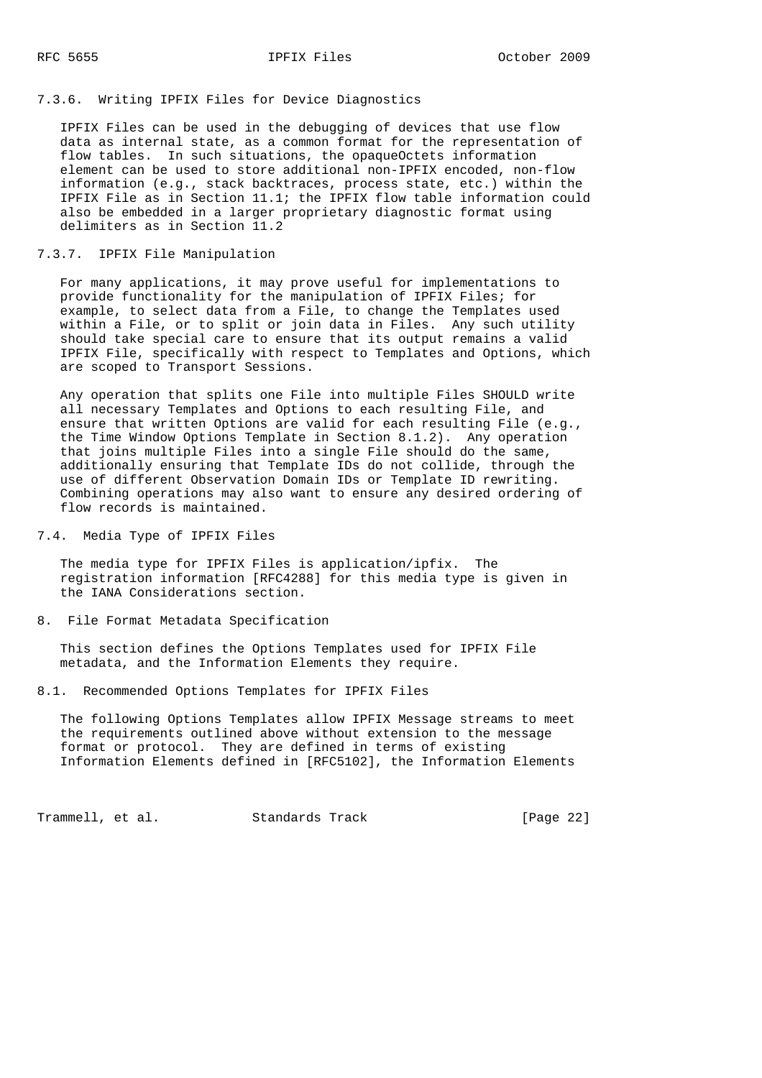## 7.3.6. Writing IPFIX Files for Device Diagnostics

 IPFIX Files can be used in the debugging of devices that use flow data as internal state, as a common format for the representation of flow tables. In such situations, the opaqueOctets information element can be used to store additional non-IPFIX encoded, non-flow information (e.g., stack backtraces, process state, etc.) within the IPFIX File as in Section 11.1; the IPFIX flow table information could also be embedded in a larger proprietary diagnostic format using delimiters as in Section 11.2

### 7.3.7. IPFIX File Manipulation

 For many applications, it may prove useful for implementations to provide functionality for the manipulation of IPFIX Files; for example, to select data from a File, to change the Templates used within a File, or to split or join data in Files. Any such utility should take special care to ensure that its output remains a valid IPFIX File, specifically with respect to Templates and Options, which are scoped to Transport Sessions.

 Any operation that splits one File into multiple Files SHOULD write all necessary Templates and Options to each resulting File, and ensure that written Options are valid for each resulting File (e.g., the Time Window Options Template in Section 8.1.2). Any operation that joins multiple Files into a single File should do the same, additionally ensuring that Template IDs do not collide, through the use of different Observation Domain IDs or Template ID rewriting. Combining operations may also want to ensure any desired ordering of flow records is maintained.

### 7.4. Media Type of IPFIX Files

 The media type for IPFIX Files is application/ipfix. The registration information [RFC4288] for this media type is given in the IANA Considerations section.

#### 8. File Format Metadata Specification

 This section defines the Options Templates used for IPFIX File metadata, and the Information Elements they require.

8.1. Recommended Options Templates for IPFIX Files

 The following Options Templates allow IPFIX Message streams to meet the requirements outlined above without extension to the message format or protocol. They are defined in terms of existing Information Elements defined in [RFC5102], the Information Elements

Trammell, et al. Standards Track [Page 22]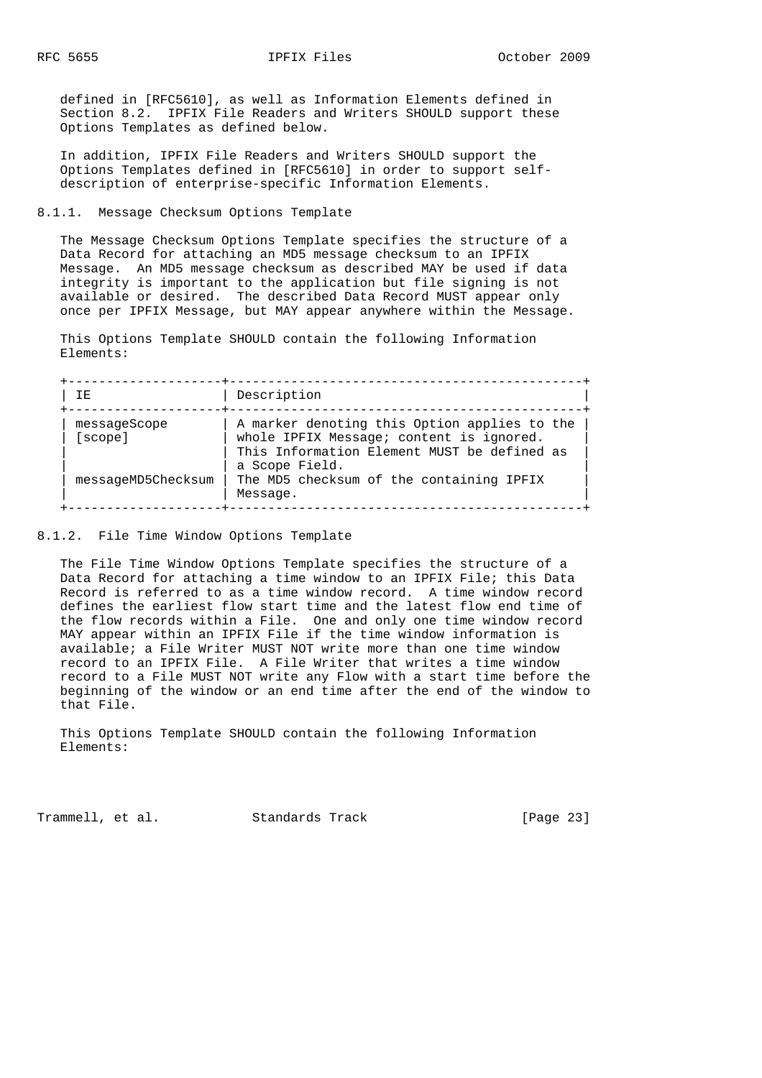defined in [RFC5610], as well as Information Elements defined in Section 8.2. IPFIX File Readers and Writers SHOULD support these Options Templates as defined below.

 In addition, IPFIX File Readers and Writers SHOULD support the Options Templates defined in [RFC5610] in order to support self description of enterprise-specific Information Elements.

8.1.1. Message Checksum Options Template

 The Message Checksum Options Template specifies the structure of a Data Record for attaching an MD5 message checksum to an IPFIX Message. An MD5 message checksum as described MAY be used if data integrity is important to the application but file signing is not available or desired. The described Data Record MUST appear only once per IPFIX Message, but MAY appear anywhere within the Message.

 This Options Template SHOULD contain the following Information Elements:

| TE.                     | Description                                                                              |
|-------------------------|------------------------------------------------------------------------------------------|
| messageScope<br>[scope] | A marker denoting this Option applies to the<br>whole IPFIX Message; content is ignored. |
|                         | This Information Element MUST be defined as<br>a Scope Field.                            |
| messageMD5Checksum      | The MD5 checksum of the containing IPFIX<br>Message.                                     |

8.1.2. File Time Window Options Template

 The File Time Window Options Template specifies the structure of a Data Record for attaching a time window to an IPFIX File; this Data Record is referred to as a time window record. A time window record defines the earliest flow start time and the latest flow end time of the flow records within a File. One and only one time window record MAY appear within an IPFIX File if the time window information is available; a File Writer MUST NOT write more than one time window record to an IPFIX File. A File Writer that writes a time window record to a File MUST NOT write any Flow with a start time before the beginning of the window or an end time after the end of the window to that File.

 This Options Template SHOULD contain the following Information Elements:

Trammell, et al. Standards Track [Page 23]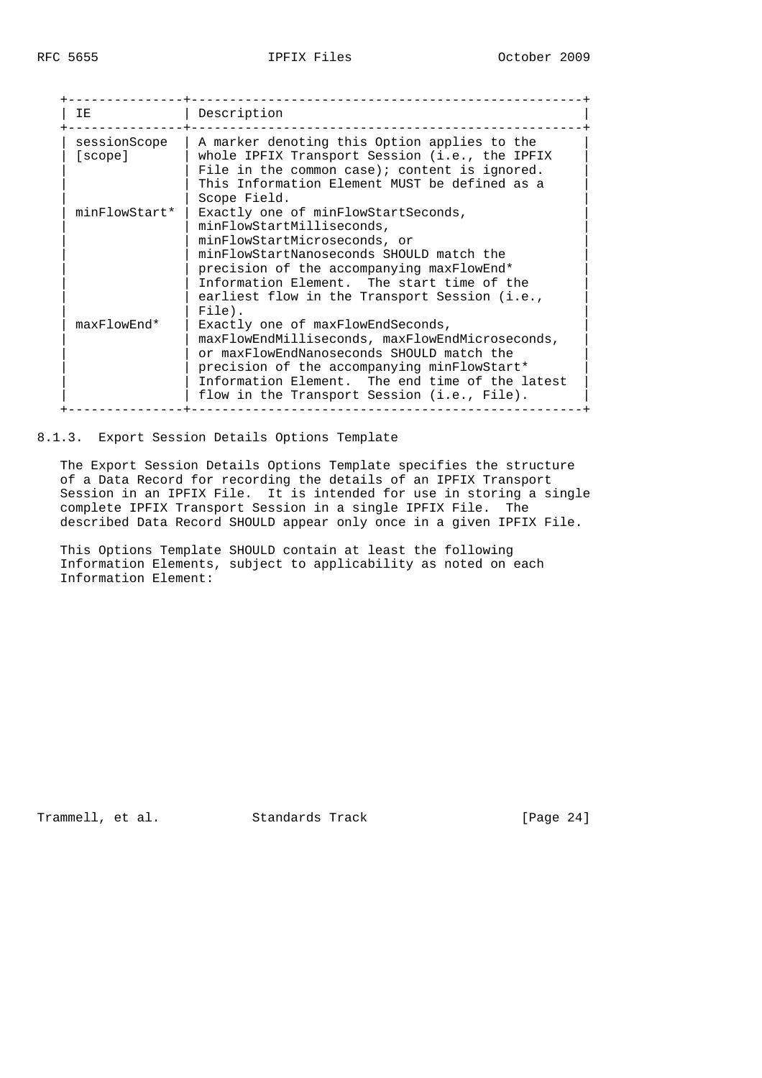| TE.                     | Description                                                                                                                                                                                                                                                                                           |
|-------------------------|-------------------------------------------------------------------------------------------------------------------------------------------------------------------------------------------------------------------------------------------------------------------------------------------------------|
| sessionScope<br>[scope] | A marker denoting this Option applies to the<br>whole IPFIX Transport Session (i.e., the IPFIX<br>File in the common case); content is ignored.<br>This Information Element MUST be defined as a<br>Scope Field.                                                                                      |
| minFlowStart*           | Exactly one of minFlowStartSeconds,<br>minFlowStartMilliseconds,<br>minFlowStartMicroseconds, or<br>minFlowStartNanoseconds SHOULD match the<br>precision of the accompanying maxFlowEnd*<br>Information Element. The start time of the<br>earliest flow in the Transport Session (i.e.,<br>$File$ ). |
| maxFlowEnd*             | Exactly one of maxFlowEndSeconds,<br>maxFlowEndMilliseconds, maxFlowEndMicroseconds,<br>or maxFlowEndNanoseconds SHOULD match the<br>precision of the accompanying minFlowStart*<br>Information Element. The end time of the latest<br>flow in the Transport Session (i.e., File).                    |

## 8.1.3. Export Session Details Options Template

 The Export Session Details Options Template specifies the structure of a Data Record for recording the details of an IPFIX Transport Session in an IPFIX File. It is intended for use in storing a single complete IPFIX Transport Session in a single IPFIX File. The described Data Record SHOULD appear only once in a given IPFIX File.

 This Options Template SHOULD contain at least the following Information Elements, subject to applicability as noted on each Information Element:

Trammell, et al. Standards Track [Page 24]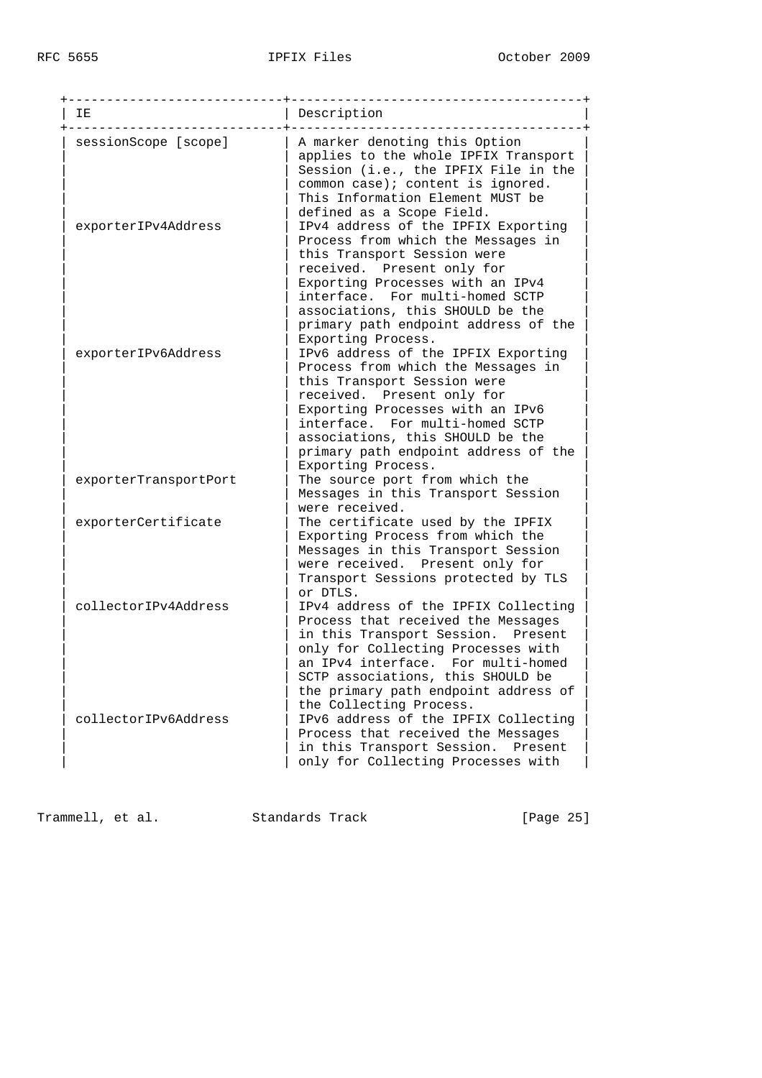| IΕ                    | Description                                                                                                                                                                                                                                                                                                     |
|-----------------------|-----------------------------------------------------------------------------------------------------------------------------------------------------------------------------------------------------------------------------------------------------------------------------------------------------------------|
| sessionScope [scope]  | A marker denoting this Option<br>applies to the whole IPFIX Transport<br>Session (i.e., the IPFIX File in the<br>common case); content is ignored.<br>This Information Element MUST be<br>defined as a Scope Field.                                                                                             |
| exporterIPv4Address   | IPv4 address of the IPFIX Exporting<br>Process from which the Messages in<br>this Transport Session were<br>received. Present only for<br>Exporting Processes with an IPv4<br>interface. For multi-homed SCTP<br>associations, this SHOULD be the<br>primary path endpoint address of the<br>Exporting Process. |
| exporterIPv6Address   | IPv6 address of the IPFIX Exporting<br>Process from which the Messages in<br>this Transport Session were<br>received. Present only for<br>Exporting Processes with an IPv6<br>interface. For multi-homed SCTP<br>associations, this SHOULD be the<br>primary path endpoint address of the<br>Exporting Process. |
| exporterTransportPort | The source port from which the<br>Messages in this Transport Session<br>were received.                                                                                                                                                                                                                          |
| exporterCertificate   | The certificate used by the IPFIX<br>Exporting Process from which the<br>Messages in this Transport Session<br>were received. Present only for<br>Transport Sessions protected by TLS<br>or DTLS.                                                                                                               |
| collectorIPv4Address  | IPv4 address of the IPFIX Collecting<br>Process that received the Messages<br>in this Transport Session. Present<br>only for Collecting Processes with<br>an IPv4 interface.<br>For multi-homed<br>SCTP associations, this SHOULD be<br>the primary path endpoint address of                                    |
| collectorIPv6Address  | the Collecting Process.<br>IPv6 address of the IPFIX Collecting<br>Process that received the Messages<br>in this Transport Session.<br>Present<br>only for Collecting Processes with                                                                                                                            |

Trammell, et al. Standards Track [Page 25]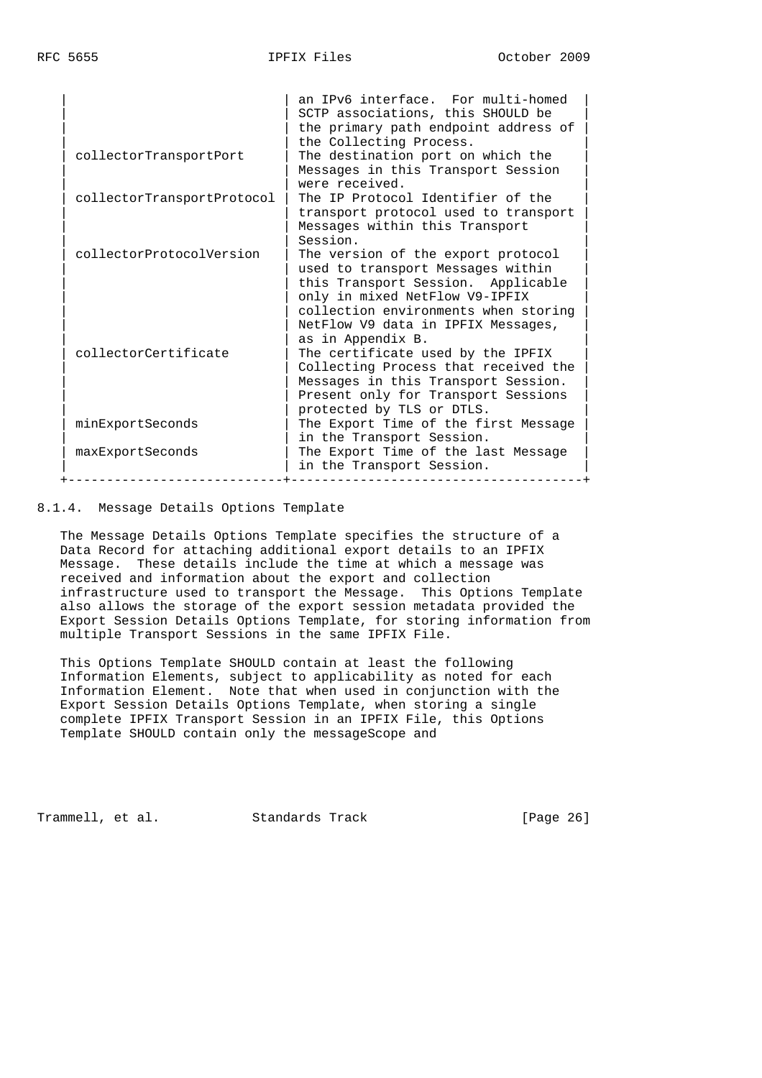|                            | an IPv6 interface. For multi-homed<br>SCTP associations, this SHOULD be<br>the primary path endpoint address of<br>the Collecting Process.                                                                                                                                                                                |
|----------------------------|---------------------------------------------------------------------------------------------------------------------------------------------------------------------------------------------------------------------------------------------------------------------------------------------------------------------------|
| collectorTransportPort     | The destination port on which the                                                                                                                                                                                                                                                                                         |
|                            | Messages in this Transport Session<br>were received.                                                                                                                                                                                                                                                                      |
| collectorTransportProtocol | The IP Protocol Identifier of the<br>transport protocol used to transport<br>Messages within this Transport                                                                                                                                                                                                               |
|                            | Session.                                                                                                                                                                                                                                                                                                                  |
| collectorProtocolVersion   | The version of the export protocol<br>used to transport Messages within<br>this Transport Session. Applicable                                                                                                                                                                                                             |
| collectorCertificate       | only in mixed NetFlow V9-IPFIX<br>collection environments when storing<br>NetFlow V9 data in IPFIX Messages,<br>as in Appendix B.<br>The certificate used by the IPFIX<br>Collecting Process that received the<br>Messages in this Transport Session.<br>Present only for Transport Sessions<br>protected by TLS or DTLS. |
| minExportSeconds           | The Export Time of the first Message<br>in the Transport Session.                                                                                                                                                                                                                                                         |
| maxExportSeconds           | The Export Time of the last Message<br>in the Transport Session.                                                                                                                                                                                                                                                          |

8.1.4. Message Details Options Template

 The Message Details Options Template specifies the structure of a Data Record for attaching additional export details to an IPFIX Message. These details include the time at which a message was received and information about the export and collection infrastructure used to transport the Message. This Options Template also allows the storage of the export session metadata provided the Export Session Details Options Template, for storing information from multiple Transport Sessions in the same IPFIX File.

 This Options Template SHOULD contain at least the following Information Elements, subject to applicability as noted for each Information Element. Note that when used in conjunction with the Export Session Details Options Template, when storing a single complete IPFIX Transport Session in an IPFIX File, this Options Template SHOULD contain only the messageScope and

Trammell, et al. Standards Track [Page 26]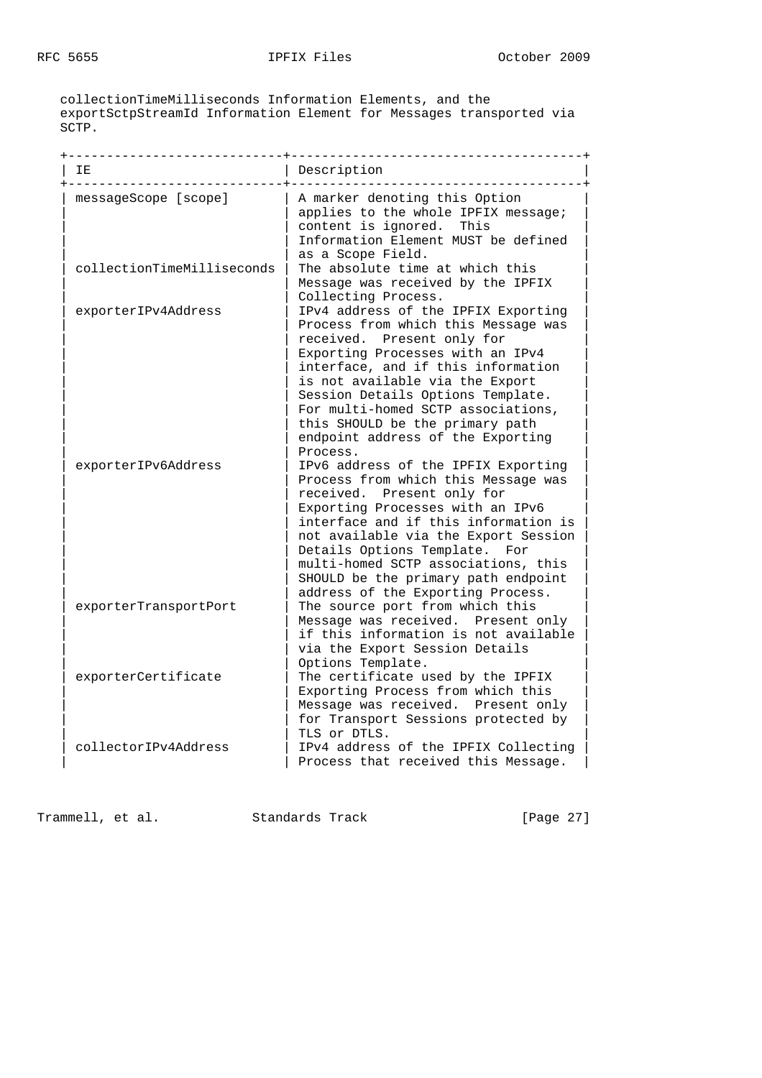collectionTimeMilliseconds Information Elements, and the exportSctpStreamId Information Element for Messages transported via SCTP.

| IΕ                         | Description                                                                                                                                                                                                                                                                                                                                                                          |
|----------------------------|--------------------------------------------------------------------------------------------------------------------------------------------------------------------------------------------------------------------------------------------------------------------------------------------------------------------------------------------------------------------------------------|
| messageScope [scope]       | A marker denoting this Option<br>applies to the whole IPFIX message;<br>content is ignored.<br>This<br>Information Element MUST be defined<br>as a Scope Field.                                                                                                                                                                                                                      |
| collectionTimeMilliseconds | The absolute time at which this<br>Message was received by the IPFIX<br>Collecting Process.                                                                                                                                                                                                                                                                                          |
| exporterIPv4Address        | IPv4 address of the IPFIX Exporting<br>Process from which this Message was<br>received. Present only for<br>Exporting Processes with an IPv4<br>interface, and if this information<br>is not available via the Export<br>Session Details Options Template.<br>For multi-homed SCTP associations,<br>this SHOULD be the primary path<br>endpoint address of the Exporting<br>Process. |
| exporterIPv6Address        | IPv6 address of the IPFIX Exporting<br>Process from which this Message was<br>received. Present only for<br>Exporting Processes with an IPv6<br>interface and if this information is<br>not available via the Export Session<br>Details Options Template.<br>For<br>multi-homed SCTP associations, this<br>SHOULD be the primary path endpoint<br>address of the Exporting Process.  |
| exporterTransportPort      | The source port from which this<br>Message was received. Present only<br>if this information is not available<br>via the Export Session Details<br>Options Template.                                                                                                                                                                                                                 |
| exporterCertificate        | The certificate used by the IPFIX<br>Exporting Process from which this<br>Message was received. Present only<br>for Transport Sessions protected by<br>TLS or DTLS.                                                                                                                                                                                                                  |
| collectorIPv4Address       | IPv4 address of the IPFIX Collecting<br>Process that received this Message.                                                                                                                                                                                                                                                                                                          |

Trammell, et al. Standards Track [Page 27]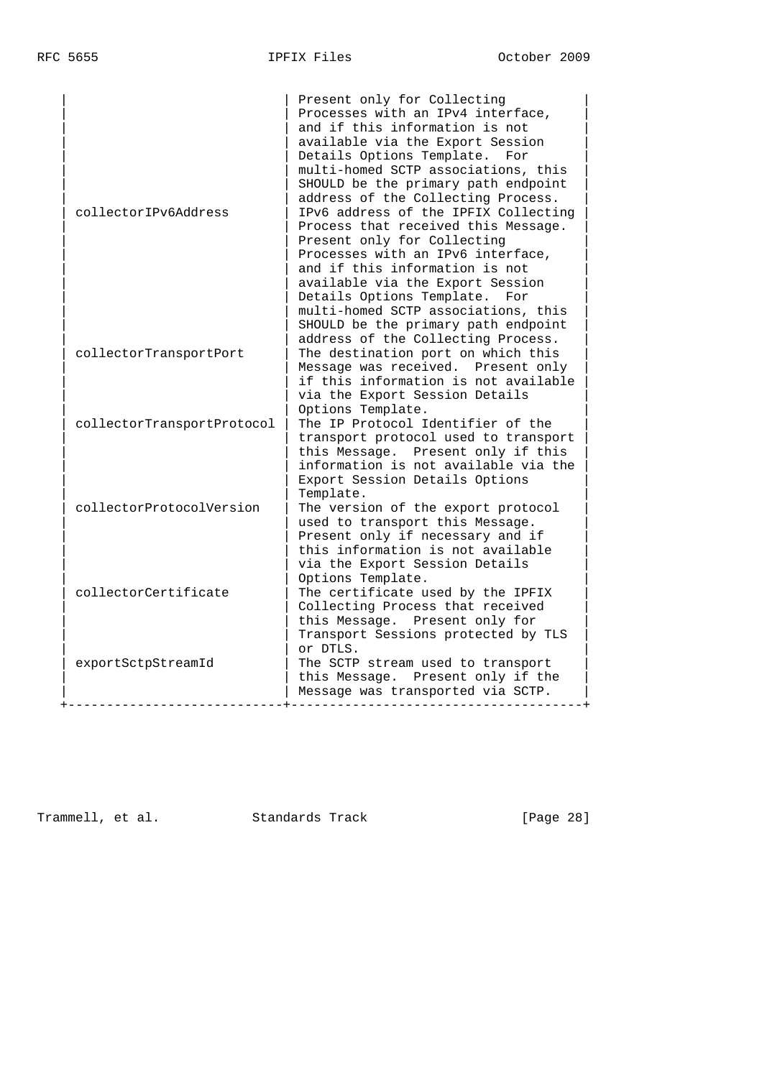| collectorIPv6Address       | Present only for Collecting<br>Processes with an IPv4 interface,<br>and if this information is not<br>available via the Export Session<br>Details Options Template.<br>For<br>multi-homed SCTP associations, this<br>SHOULD be the primary path endpoint<br>address of the Collecting Process.<br>IPv6 address of the IPFIX Collecting<br>Process that received this Message.<br>Present only for Collecting<br>Processes with an IPv6 interface,<br>and if this information is not<br>available via the Export Session<br>Details Options Template.<br>For<br>multi-homed SCTP associations, this |
|----------------------------|----------------------------------------------------------------------------------------------------------------------------------------------------------------------------------------------------------------------------------------------------------------------------------------------------------------------------------------------------------------------------------------------------------------------------------------------------------------------------------------------------------------------------------------------------------------------------------------------------|
| collectorTransportPort     | SHOULD be the primary path endpoint<br>address of the Collecting Process.<br>The destination port on which this<br>Message was received. Present only<br>if this information is not available<br>via the Export Session Details                                                                                                                                                                                                                                                                                                                                                                    |
| collectorTransportProtocol | Options Template.<br>The IP Protocol Identifier of the<br>transport protocol used to transport<br>this Message. Present only if this<br>information is not available via the<br>Export Session Details Options                                                                                                                                                                                                                                                                                                                                                                                     |
| collectorProtocolVersion   | Template.<br>The version of the export protocol<br>used to transport this Message.<br>Present only if necessary and if<br>this information is not available<br>via the Export Session Details                                                                                                                                                                                                                                                                                                                                                                                                      |
| collectorCertificate       | Options Template.<br>The certificate used by the IPFIX<br>Collecting Process that received<br>this Message. Present only for<br>Transport Sessions protected by TLS                                                                                                                                                                                                                                                                                                                                                                                                                                |
| exportSctpStreamId         | or DTLS.<br>The SCTP stream used to transport<br>this Message. Present only if the<br>Message was transported via SCTP.                                                                                                                                                                                                                                                                                                                                                                                                                                                                            |

Trammell, et al. Standards Track [Page 28]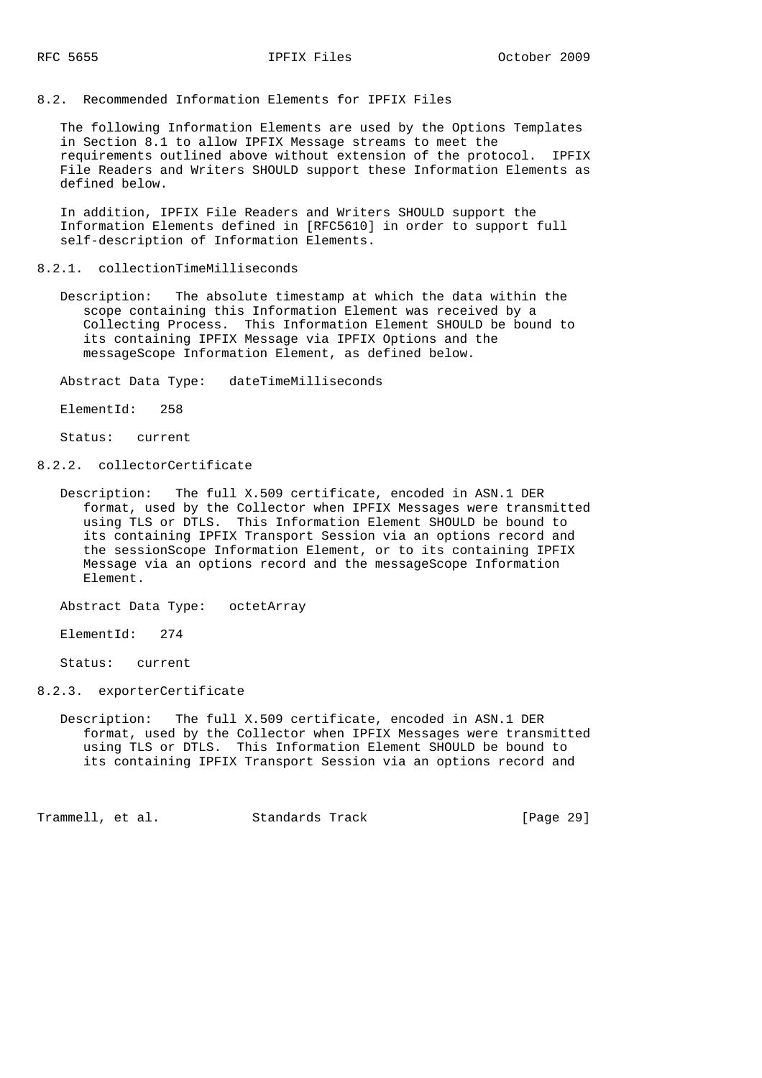8.2. Recommended Information Elements for IPFIX Files

 The following Information Elements are used by the Options Templates in Section 8.1 to allow IPFIX Message streams to meet the requirements outlined above without extension of the protocol. IPFIX File Readers and Writers SHOULD support these Information Elements as defined below.

 In addition, IPFIX File Readers and Writers SHOULD support the Information Elements defined in [RFC5610] in order to support full self-description of Information Elements.

#### 8.2.1. collectionTimeMilliseconds

 Description: The absolute timestamp at which the data within the scope containing this Information Element was received by a Collecting Process. This Information Element SHOULD be bound to its containing IPFIX Message via IPFIX Options and the messageScope Information Element, as defined below.

Abstract Data Type: dateTimeMilliseconds

ElementId: 258

Status: current

- 8.2.2. collectorCertificate
	- Description: The full X.509 certificate, encoded in ASN.1 DER format, used by the Collector when IPFIX Messages were transmitted using TLS or DTLS. This Information Element SHOULD be bound to its containing IPFIX Transport Session via an options record and the sessionScope Information Element, or to its containing IPFIX Message via an options record and the messageScope Information Element.

Abstract Data Type: octetArray

ElementId: 274

Status: current

- 8.2.3. exporterCertificate
	- Description: The full X.509 certificate, encoded in ASN.1 DER format, used by the Collector when IPFIX Messages were transmitted using TLS or DTLS. This Information Element SHOULD be bound to its containing IPFIX Transport Session via an options record and

Trammell, et al. Standards Track [Page 29]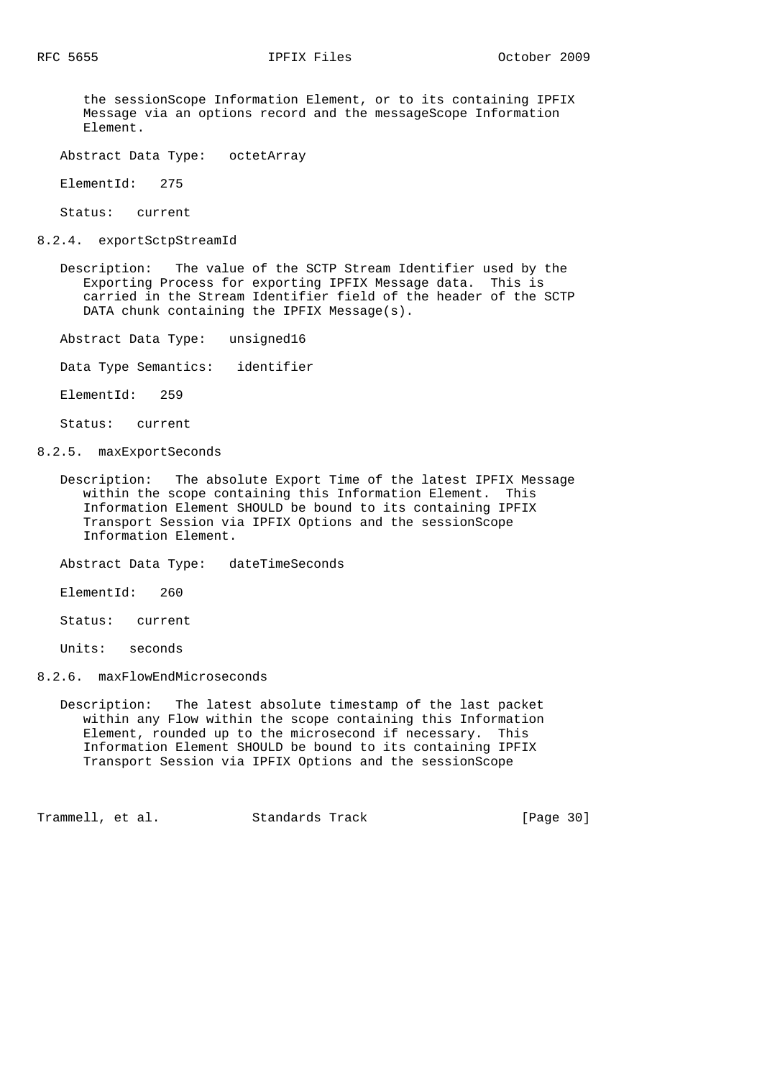the sessionScope Information Element, or to its containing IPFIX Message via an options record and the messageScope Information Element.

Abstract Data Type: octetArray

ElementId: 275

Status: current

8.2.4. exportSctpStreamId

 Description: The value of the SCTP Stream Identifier used by the Exporting Process for exporting IPFIX Message data. This is carried in the Stream Identifier field of the header of the SCTP DATA chunk containing the IPFIX Message(s).

Abstract Data Type: unsigned16

Data Type Semantics: identifier

ElementId: 259

Status: current

8.2.5. maxExportSeconds

 Description: The absolute Export Time of the latest IPFIX Message within the scope containing this Information Element. This Information Element SHOULD be bound to its containing IPFIX Transport Session via IPFIX Options and the sessionScope Information Element.

Abstract Data Type: dateTimeSeconds

ElementId: 260

Status: current

Units: seconds

8.2.6. maxFlowEndMicroseconds

 Description: The latest absolute timestamp of the last packet within any Flow within the scope containing this Information Element, rounded up to the microsecond if necessary. This Information Element SHOULD be bound to its containing IPFIX Transport Session via IPFIX Options and the sessionScope

Trammell, et al. Standards Track [Page 30]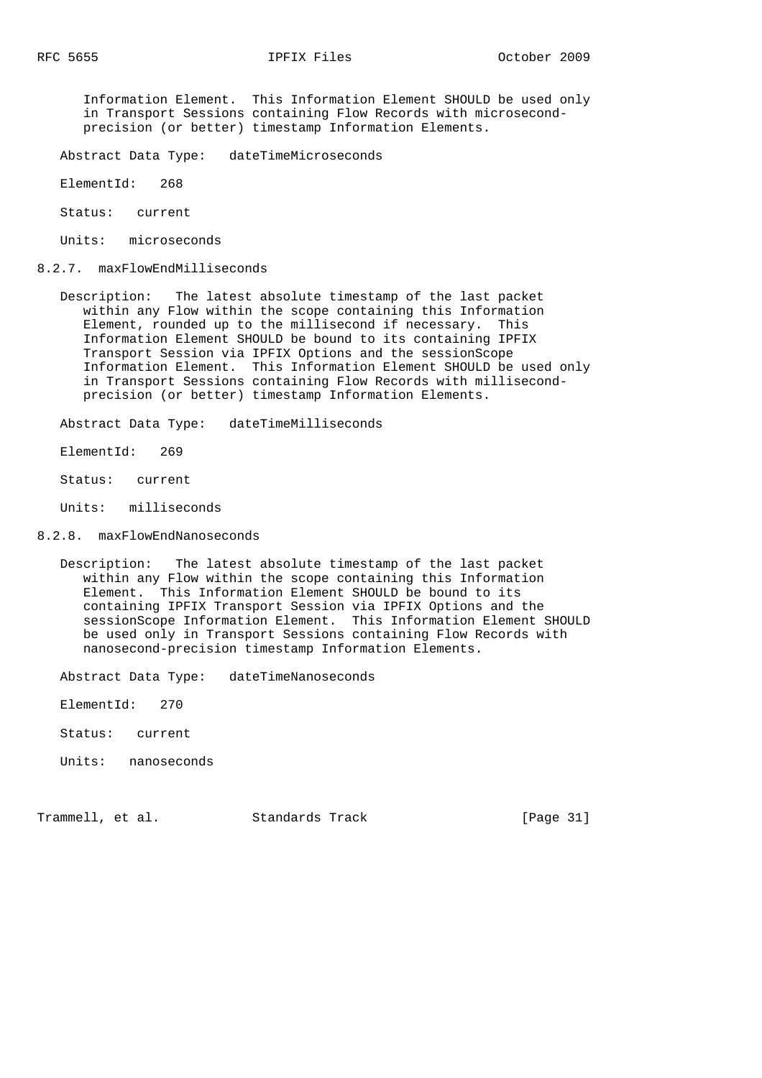Information Element. This Information Element SHOULD be used only in Transport Sessions containing Flow Records with microsecond precision (or better) timestamp Information Elements.

- Abstract Data Type: dateTimeMicroseconds
- ElementId: 268
- Status: current
- Units: microseconds
- 8.2.7. maxFlowEndMilliseconds
- Description: The latest absolute timestamp of the last packet within any Flow within the scope containing this Information Element, rounded up to the millisecond if necessary. This Information Element SHOULD be bound to its containing IPFIX Transport Session via IPFIX Options and the sessionScope Information Element. This Information Element SHOULD be used only in Transport Sessions containing Flow Records with millisecond precision (or better) timestamp Information Elements.

Abstract Data Type: dateTimeMilliseconds

- ElementId: 269
- Status: current

Units: milliseconds

### 8.2.8. maxFlowEndNanoseconds

 Description: The latest absolute timestamp of the last packet within any Flow within the scope containing this Information Element. This Information Element SHOULD be bound to its containing IPFIX Transport Session via IPFIX Options and the sessionScope Information Element. This Information Element SHOULD be used only in Transport Sessions containing Flow Records with nanosecond-precision timestamp Information Elements.

Abstract Data Type: dateTimeNanoseconds

ElementId: 270

- Status: current
- Units: nanoseconds

Trammell, et al. Standards Track [Page 31]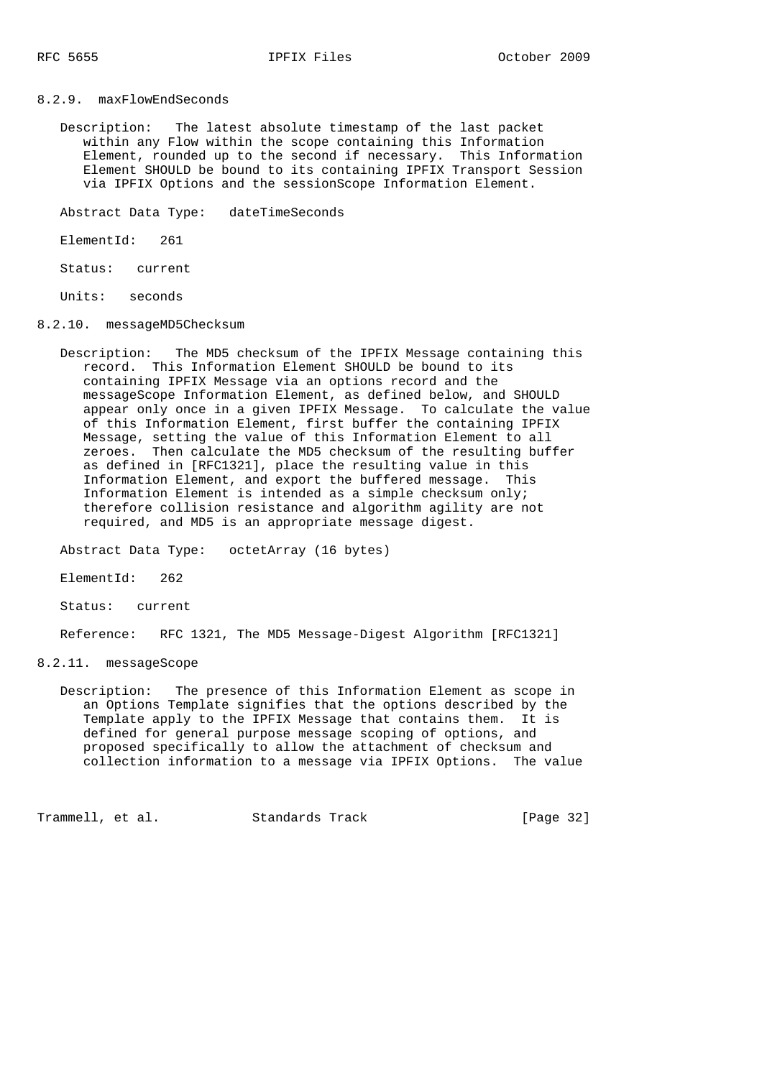8.2.9. maxFlowEndSeconds

 Description: The latest absolute timestamp of the last packet within any Flow within the scope containing this Information Element, rounded up to the second if necessary. This Information Element SHOULD be bound to its containing IPFIX Transport Session via IPFIX Options and the sessionScope Information Element.

Abstract Data Type: dateTimeSeconds

ElementId: 261

Status: current

Units: seconds

- 8.2.10. messageMD5Checksum
- Description: The MD5 checksum of the IPFIX Message containing this record. This Information Element SHOULD be bound to its containing IPFIX Message via an options record and the messageScope Information Element, as defined below, and SHOULD appear only once in a given IPFIX Message. To calculate the value of this Information Element, first buffer the containing IPFIX Message, setting the value of this Information Element to all zeroes. Then calculate the MD5 checksum of the resulting buffer as defined in [RFC1321], place the resulting value in this Information Element, and export the buffered message. This Information Element is intended as a simple checksum only; therefore collision resistance and algorithm agility are not required, and MD5 is an appropriate message digest.

Abstract Data Type: octetArray (16 bytes)

ElementId: 262

Status: current

Reference: RFC 1321, The MD5 Message-Digest Algorithm [RFC1321]

8.2.11. messageScope

 Description: The presence of this Information Element as scope in an Options Template signifies that the options described by the Template apply to the IPFIX Message that contains them. It is defined for general purpose message scoping of options, and proposed specifically to allow the attachment of checksum and collection information to a message via IPFIX Options. The value

Trammell, et al. Standards Track [Page 32]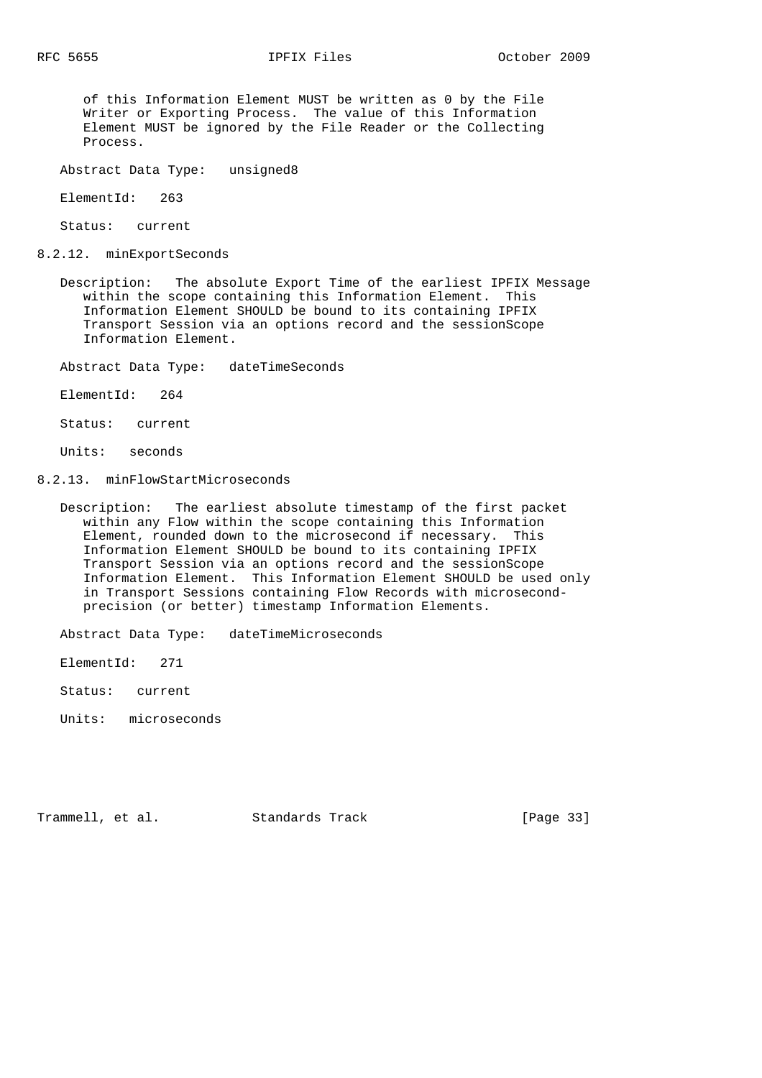of this Information Element MUST be written as 0 by the File Writer or Exporting Process. The value of this Information Element MUST be ignored by the File Reader or the Collecting Process.

Abstract Data Type: unsigned8

ElementId: 263

Status: current

8.2.12. minExportSeconds

 Description: The absolute Export Time of the earliest IPFIX Message within the scope containing this Information Element. This Information Element SHOULD be bound to its containing IPFIX Transport Session via an options record and the sessionScope Information Element.

Abstract Data Type: dateTimeSeconds

ElementId: 264

Status: current

Units: seconds

8.2.13. minFlowStartMicroseconds

 Description: The earliest absolute timestamp of the first packet within any Flow within the scope containing this Information Element, rounded down to the microsecond if necessary. This Information Element SHOULD be bound to its containing IPFIX Transport Session via an options record and the sessionScope Information Element. This Information Element SHOULD be used only in Transport Sessions containing Flow Records with microsecond precision (or better) timestamp Information Elements.

Abstract Data Type: dateTimeMicroseconds

ElementId: 271

Status: current

Units: microseconds

Trammell, et al. Standards Track [Page 33]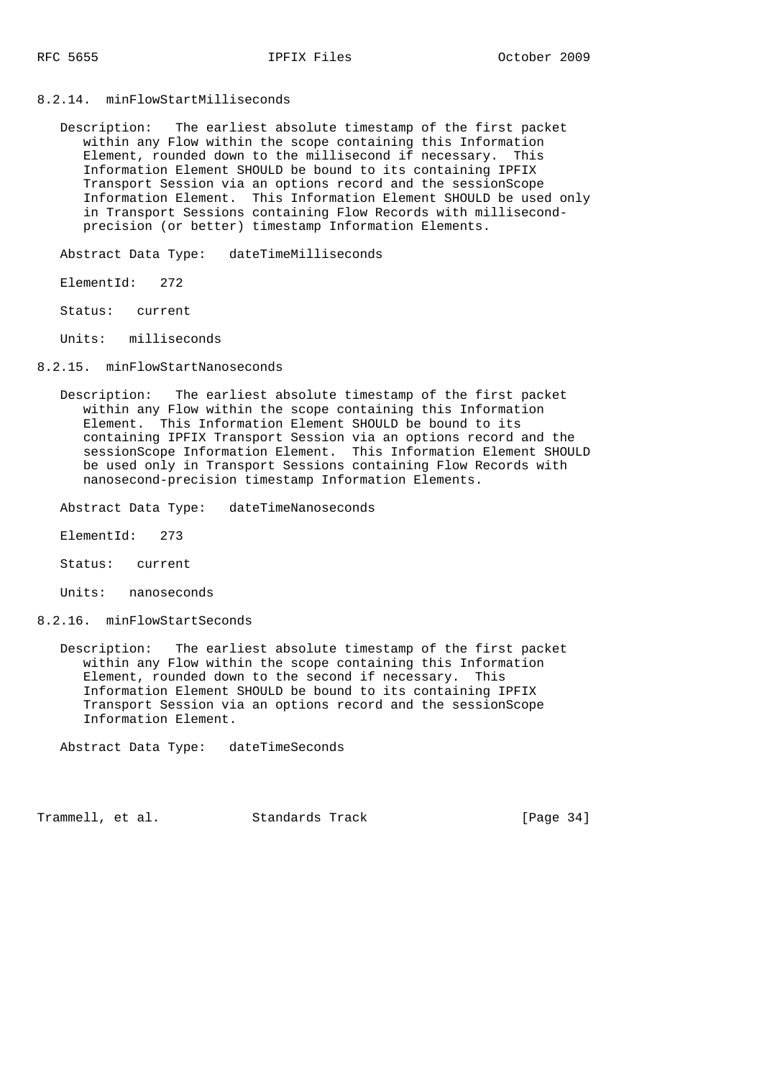## 8.2.14. minFlowStartMilliseconds

 Description: The earliest absolute timestamp of the first packet within any Flow within the scope containing this Information Element, rounded down to the millisecond if necessary. This Information Element SHOULD be bound to its containing IPFIX Transport Session via an options record and the sessionScope Information Element. This Information Element SHOULD be used only in Transport Sessions containing Flow Records with millisecond precision (or better) timestamp Information Elements.

Abstract Data Type: dateTimeMilliseconds

ElementId: 272

Status: current

Units: milliseconds

8.2.15. minFlowStartNanoseconds

 Description: The earliest absolute timestamp of the first packet within any Flow within the scope containing this Information Element. This Information Element SHOULD be bound to its containing IPFIX Transport Session via an options record and the sessionScope Information Element. This Information Element SHOULD be used only in Transport Sessions containing Flow Records with nanosecond-precision timestamp Information Elements.

Abstract Data Type: dateTimeNanoseconds

ElementId: 273

Status: current

Units: nanoseconds

8.2.16. minFlowStartSeconds

 Description: The earliest absolute timestamp of the first packet within any Flow within the scope containing this Information Element, rounded down to the second if necessary. This Information Element SHOULD be bound to its containing IPFIX Transport Session via an options record and the sessionScope Information Element.

Abstract Data Type: dateTimeSeconds

Trammell, et al. Standards Track [Page 34]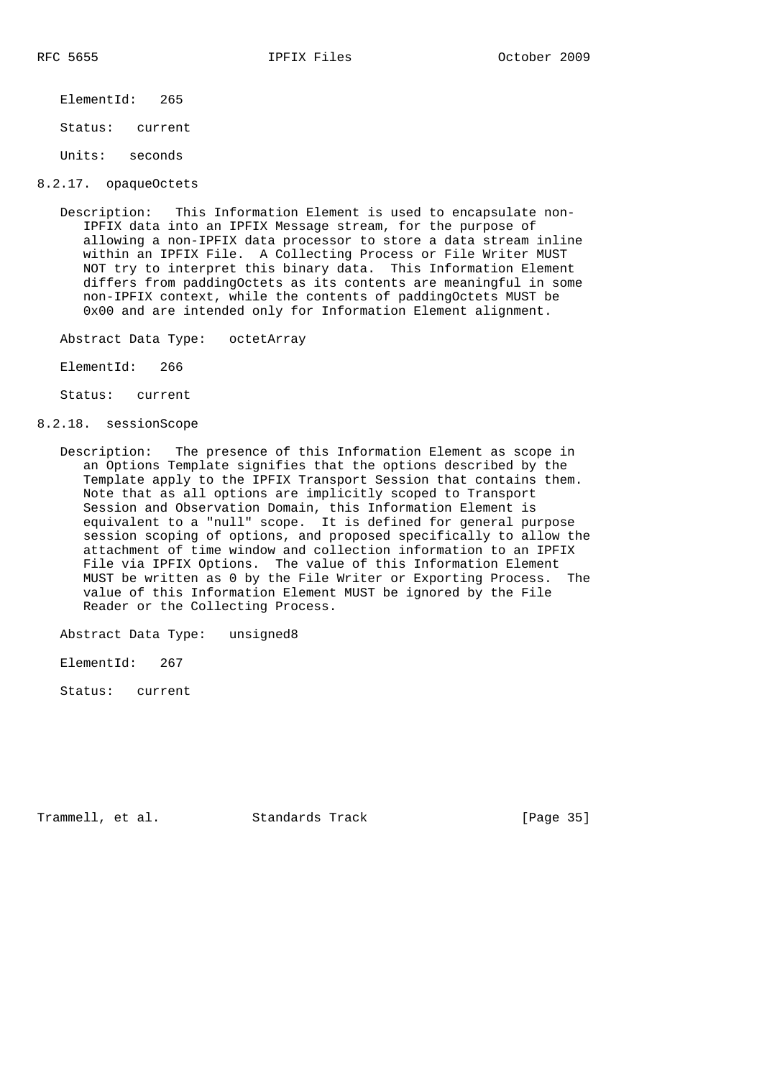ElementId: 265

Status: current

Units: seconds

8.2.17. opaqueOctets

 Description: This Information Element is used to encapsulate non- IPFIX data into an IPFIX Message stream, for the purpose of allowing a non-IPFIX data processor to store a data stream inline within an IPFIX File. A Collecting Process or File Writer MUST NOT try to interpret this binary data. This Information Element differs from paddingOctets as its contents are meaningful in some non-IPFIX context, while the contents of paddingOctets MUST be 0x00 and are intended only for Information Element alignment.

Abstract Data Type: octetArray

ElementId: 266

Status: current

8.2.18. sessionScope

 Description: The presence of this Information Element as scope in an Options Template signifies that the options described by the Template apply to the IPFIX Transport Session that contains them. Note that as all options are implicitly scoped to Transport Session and Observation Domain, this Information Element is equivalent to a "null" scope. It is defined for general purpose session scoping of options, and proposed specifically to allow the attachment of time window and collection information to an IPFIX File via IPFIX Options. The value of this Information Element MUST be written as 0 by the File Writer or Exporting Process. The value of this Information Element MUST be ignored by the File Reader or the Collecting Process.

Abstract Data Type: unsigned8

ElementId: 267

Status: current

Trammell, et al. Standards Track [Page 35]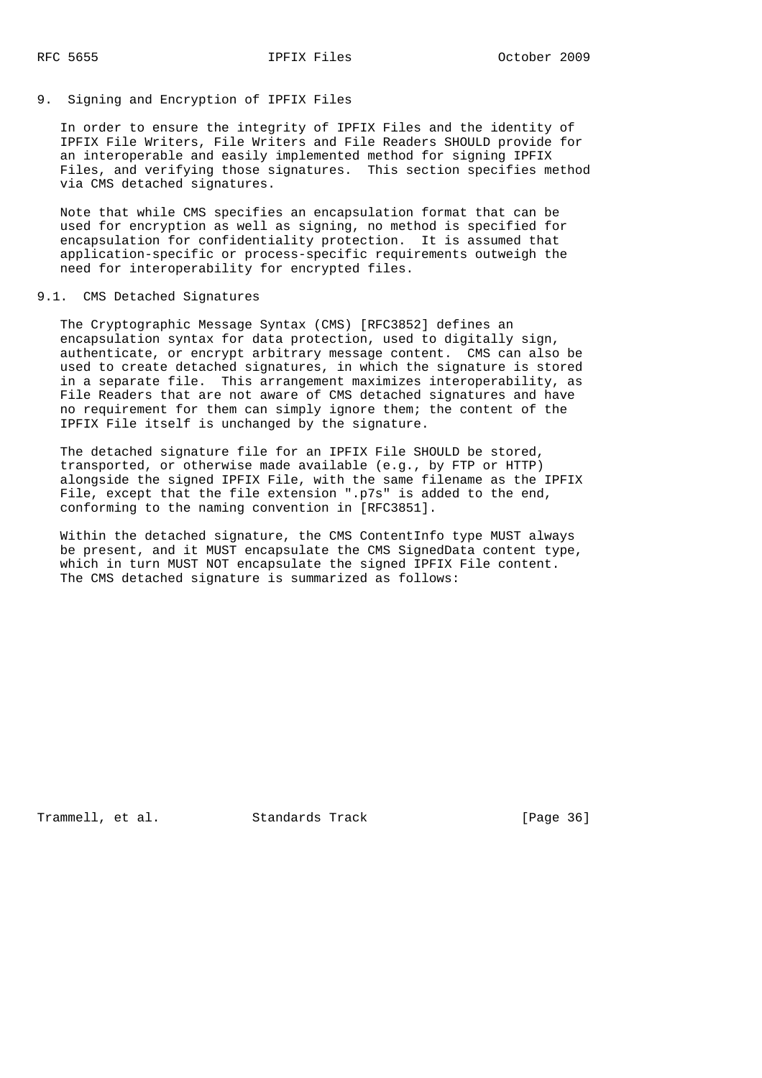### 9. Signing and Encryption of IPFIX Files

 In order to ensure the integrity of IPFIX Files and the identity of IPFIX File Writers, File Writers and File Readers SHOULD provide for an interoperable and easily implemented method for signing IPFIX Files, and verifying those signatures. This section specifies method via CMS detached signatures.

 Note that while CMS specifies an encapsulation format that can be used for encryption as well as signing, no method is specified for encapsulation for confidentiality protection. It is assumed that application-specific or process-specific requirements outweigh the need for interoperability for encrypted files.

## 9.1. CMS Detached Signatures

 The Cryptographic Message Syntax (CMS) [RFC3852] defines an encapsulation syntax for data protection, used to digitally sign, authenticate, or encrypt arbitrary message content. CMS can also be used to create detached signatures, in which the signature is stored in a separate file. This arrangement maximizes interoperability, as File Readers that are not aware of CMS detached signatures and have no requirement for them can simply ignore them; the content of the IPFIX File itself is unchanged by the signature.

 The detached signature file for an IPFIX File SHOULD be stored, transported, or otherwise made available (e.g., by FTP or HTTP) alongside the signed IPFIX File, with the same filename as the IPFIX File, except that the file extension ".p7s" is added to the end, conforming to the naming convention in [RFC3851].

 Within the detached signature, the CMS ContentInfo type MUST always be present, and it MUST encapsulate the CMS SignedData content type, which in turn MUST NOT encapsulate the signed IPFIX File content. The CMS detached signature is summarized as follows:

Trammell, et al. Standards Track [Page 36]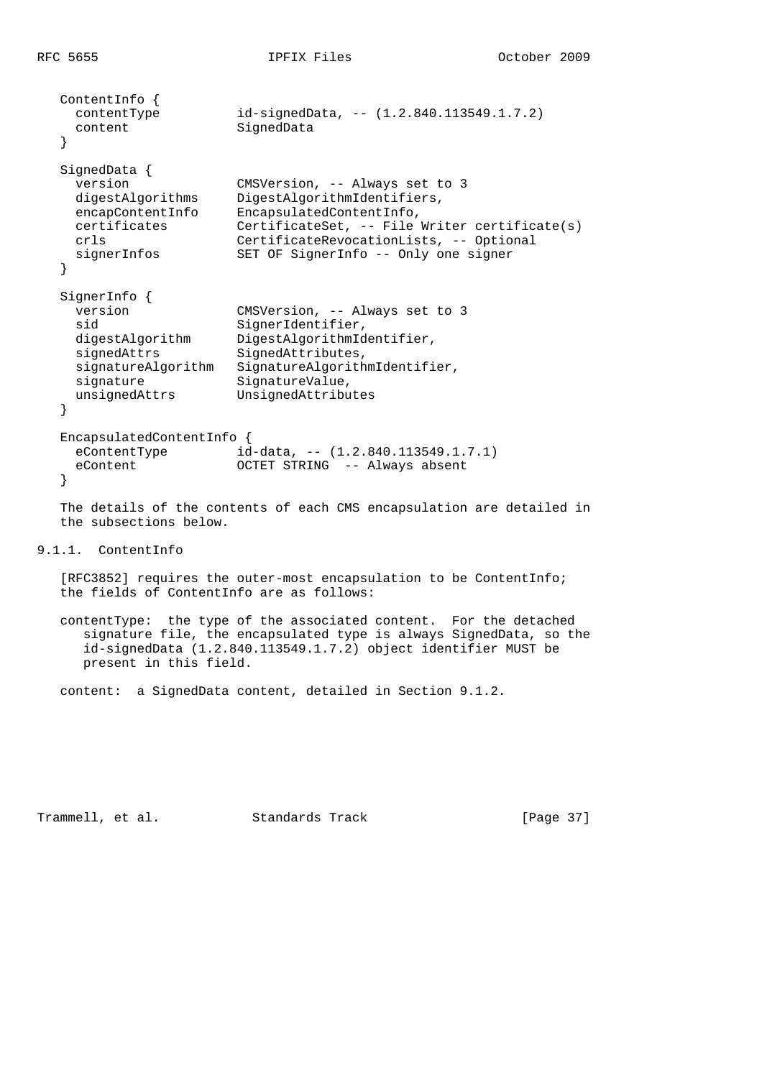```
 ContentInfo {
                    id-signedData, -- (1.2.840.113549.1.7.2)content SignedData
   }
  SignedData {
    version CMSVersion, -- Always set to 3
 digestAlgorithms DigestAlgorithmIdentifiers,
 encapContentInfo EncapsulatedContentInfo,
 certificates CertificateSet, -- File Writer certificate(s)
 crls CertificateRevocationLists, -- Optional
 signerInfos SET OF SignerInfo -- Only one signer
   }
   SignerInfo {
    version CMSVersion, -- Always set to 3
sid SignerIdentifier,
 digestAlgorithm DigestAlgorithmIdentifier,
signedAttrs SignedAttributes,
 signatureAlgorithm SignatureAlgorithmIdentifier,
signature SignatureValue,
 unsignedAttrs UnsignedAttributes
   }
   EncapsulatedContentInfo {
                    id-data, -- (1.2.840.113549.1.7.1) eContent OCTET STRING -- Always absent
   }
```
 The details of the contents of each CMS encapsulation are detailed in the subsections below.

## 9.1.1. ContentInfo

 [RFC3852] requires the outer-most encapsulation to be ContentInfo; the fields of ContentInfo are as follows:

 contentType: the type of the associated content. For the detached signature file, the encapsulated type is always SignedData, so the id-signedData (1.2.840.113549.1.7.2) object identifier MUST be present in this field.

content: a SignedData content, detailed in Section 9.1.2.

Trammell, et al. Standards Track [Page 37]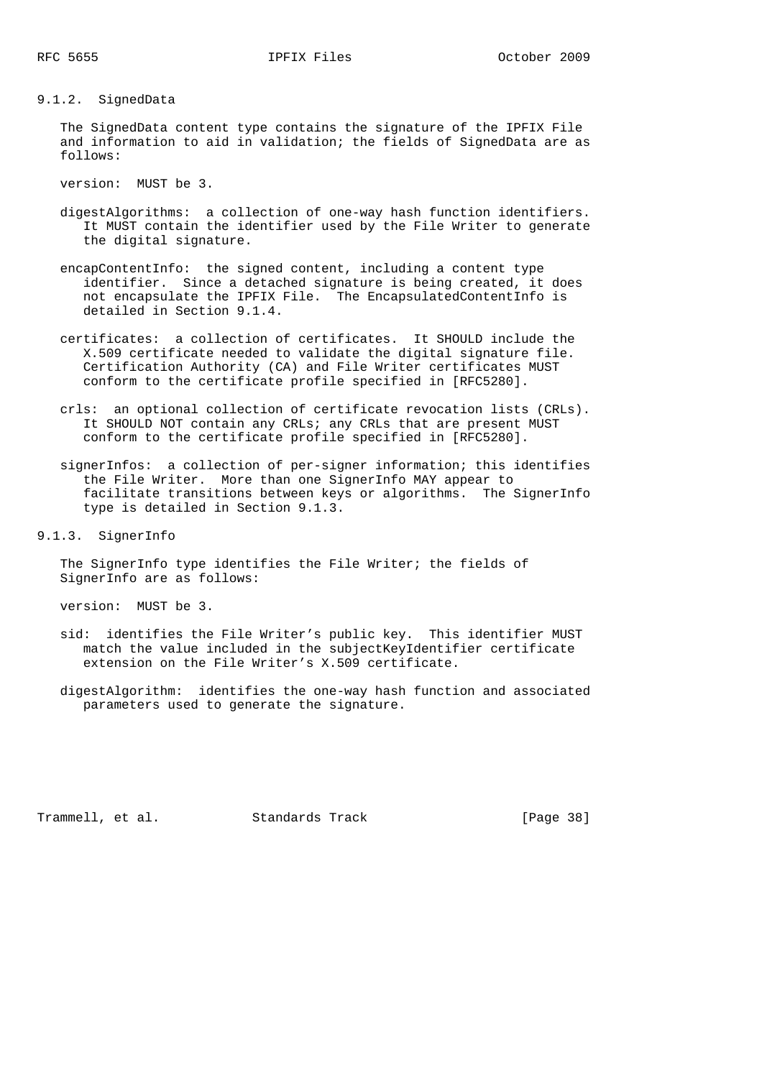#### 9.1.2. SignedData

 The SignedData content type contains the signature of the IPFIX File and information to aid in validation; the fields of SignedData are as follows:

version: MUST be 3.

- digestAlgorithms: a collection of one-way hash function identifiers. It MUST contain the identifier used by the File Writer to generate the digital signature.
- encapContentInfo: the signed content, including a content type identifier. Since a detached signature is being created, it does not encapsulate the IPFIX File. The EncapsulatedContentInfo is detailed in Section 9.1.4.
- certificates: a collection of certificates. It SHOULD include the X.509 certificate needed to validate the digital signature file. Certification Authority (CA) and File Writer certificates MUST conform to the certificate profile specified in [RFC5280].
- crls: an optional collection of certificate revocation lists (CRLs). It SHOULD NOT contain any CRLs; any CRLs that are present MUST conform to the certificate profile specified in [RFC5280].
- signerInfos: a collection of per-signer information; this identifies the File Writer. More than one SignerInfo MAY appear to facilitate transitions between keys or algorithms. The SignerInfo type is detailed in Section 9.1.3.

9.1.3. SignerInfo

 The SignerInfo type identifies the File Writer; the fields of SignerInfo are as follows:

version: MUST be 3.

- sid: identifies the File Writer's public key. This identifier MUST match the value included in the subjectKeyIdentifier certificate extension on the File Writer's X.509 certificate.
- digestAlgorithm: identifies the one-way hash function and associated parameters used to generate the signature.

Trammell, et al. Standards Track [Page 38]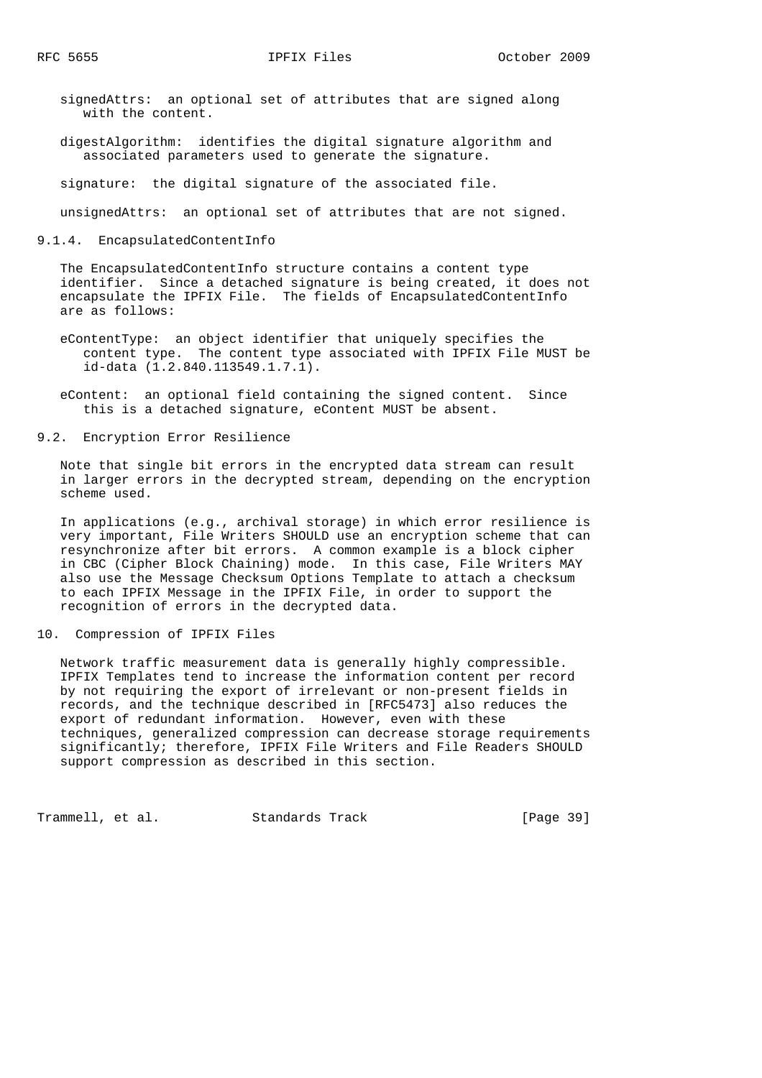signedAttrs: an optional set of attributes that are signed along with the content.

 digestAlgorithm: identifies the digital signature algorithm and associated parameters used to generate the signature.

signature: the digital signature of the associated file.

unsignedAttrs: an optional set of attributes that are not signed.

9.1.4. EncapsulatedContentInfo

 The EncapsulatedContentInfo structure contains a content type identifier. Since a detached signature is being created, it does not encapsulate the IPFIX File. The fields of EncapsulatedContentInfo are as follows:

- eContentType: an object identifier that uniquely specifies the content type. The content type associated with IPFIX File MUST be id-data (1.2.840.113549.1.7.1).
- eContent: an optional field containing the signed content. Since this is a detached signature, eContent MUST be absent.
- 9.2. Encryption Error Resilience

 Note that single bit errors in the encrypted data stream can result in larger errors in the decrypted stream, depending on the encryption scheme used.

 In applications (e.g., archival storage) in which error resilience is very important, File Writers SHOULD use an encryption scheme that can resynchronize after bit errors. A common example is a block cipher in CBC (Cipher Block Chaining) mode. In this case, File Writers MAY also use the Message Checksum Options Template to attach a checksum to each IPFIX Message in the IPFIX File, in order to support the recognition of errors in the decrypted data.

10. Compression of IPFIX Files

 Network traffic measurement data is generally highly compressible. IPFIX Templates tend to increase the information content per record by not requiring the export of irrelevant or non-present fields in records, and the technique described in [RFC5473] also reduces the export of redundant information. However, even with these techniques, generalized compression can decrease storage requirements significantly; therefore, IPFIX File Writers and File Readers SHOULD support compression as described in this section.

Trammell, et al. Standards Track [Page 39]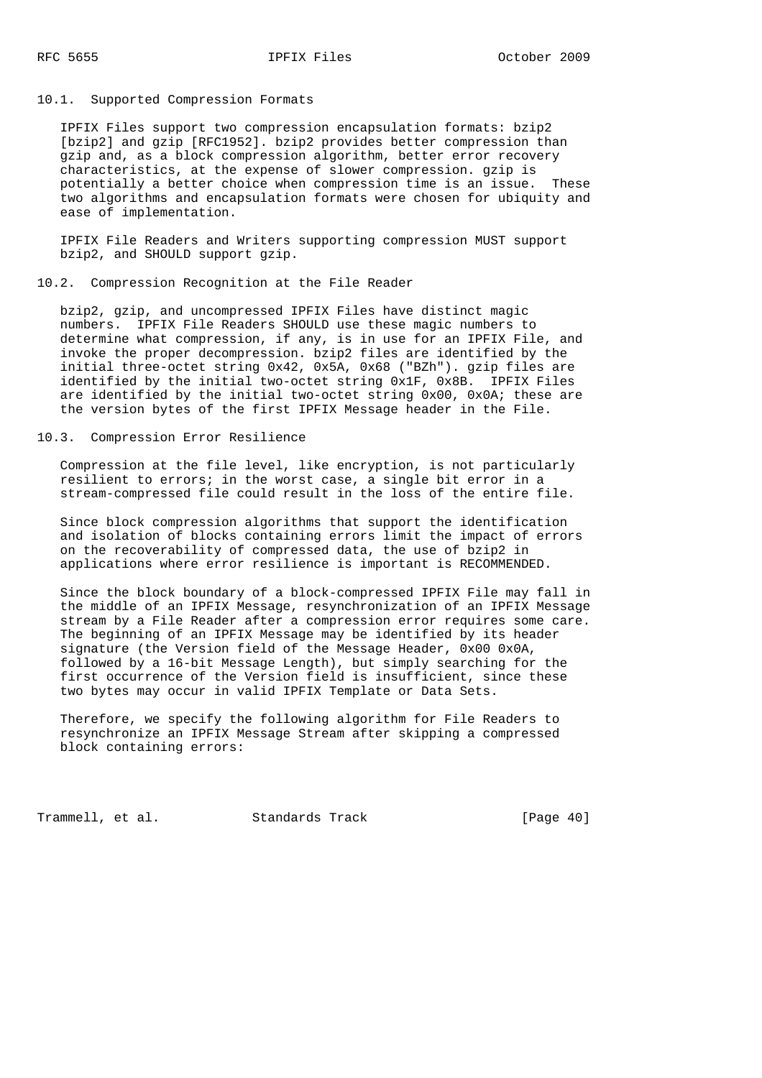#### 10.1. Supported Compression Formats

 IPFIX Files support two compression encapsulation formats: bzip2 [bzip2] and gzip [RFC1952]. bzip2 provides better compression than gzip and, as a block compression algorithm, better error recovery characteristics, at the expense of slower compression. gzip is potentially a better choice when compression time is an issue. These two algorithms and encapsulation formats were chosen for ubiquity and ease of implementation.

 IPFIX File Readers and Writers supporting compression MUST support bzip2, and SHOULD support gzip.

### 10.2. Compression Recognition at the File Reader

 bzip2, gzip, and uncompressed IPFIX Files have distinct magic numbers. IPFIX File Readers SHOULD use these magic numbers to determine what compression, if any, is in use for an IPFIX File, and invoke the proper decompression. bzip2 files are identified by the initial three-octet string 0x42, 0x5A, 0x68 ("BZh"). gzip files are identified by the initial two-octet string 0x1F, 0x8B. IPFIX Files are identified by the initial two-octet string 0x00, 0x0A; these are the version bytes of the first IPFIX Message header in the File.

#### 10.3. Compression Error Resilience

 Compression at the file level, like encryption, is not particularly resilient to errors; in the worst case, a single bit error in a stream-compressed file could result in the loss of the entire file.

 Since block compression algorithms that support the identification and isolation of blocks containing errors limit the impact of errors on the recoverability of compressed data, the use of bzip2 in applications where error resilience is important is RECOMMENDED.

 Since the block boundary of a block-compressed IPFIX File may fall in the middle of an IPFIX Message, resynchronization of an IPFIX Message stream by a File Reader after a compression error requires some care. The beginning of an IPFIX Message may be identified by its header signature (the Version field of the Message Header, 0x00 0x0A, followed by a 16-bit Message Length), but simply searching for the first occurrence of the Version field is insufficient, since these two bytes may occur in valid IPFIX Template or Data Sets.

 Therefore, we specify the following algorithm for File Readers to resynchronize an IPFIX Message Stream after skipping a compressed block containing errors:

Trammell, et al. Standards Track [Page 40]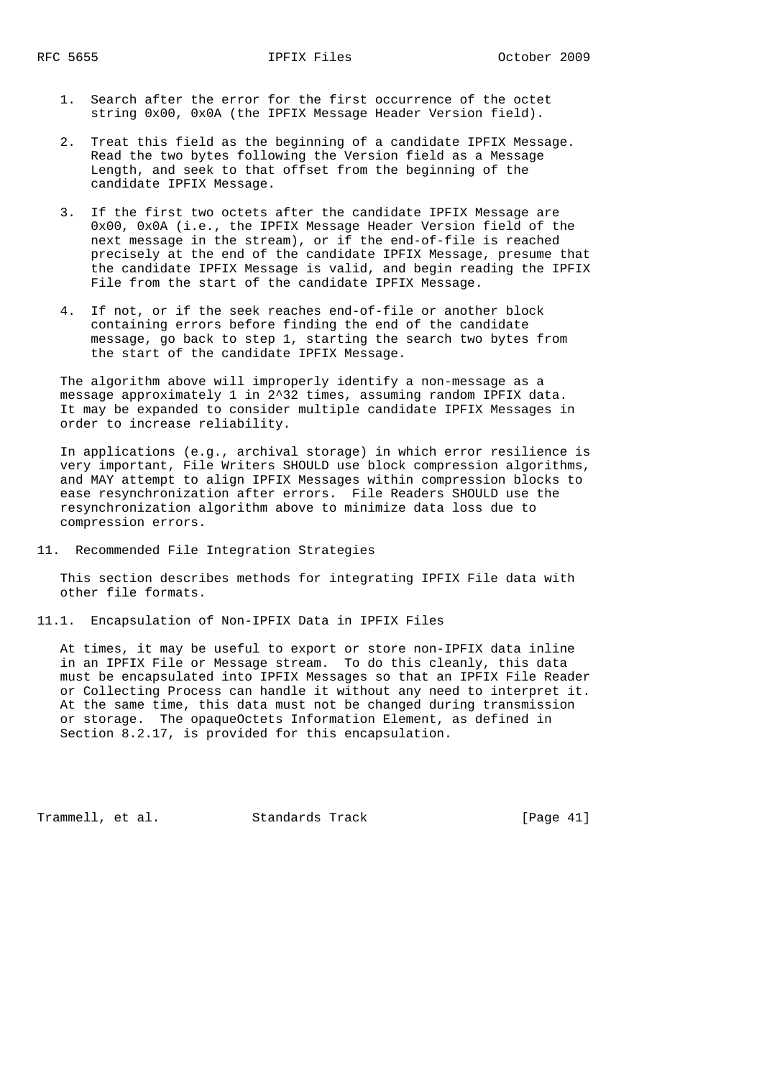- 1. Search after the error for the first occurrence of the octet string 0x00, 0x0A (the IPFIX Message Header Version field).
- 2. Treat this field as the beginning of a candidate IPFIX Message. Read the two bytes following the Version field as a Message Length, and seek to that offset from the beginning of the candidate IPFIX Message.
- 3. If the first two octets after the candidate IPFIX Message are 0x00, 0x0A (i.e., the IPFIX Message Header Version field of the next message in the stream), or if the end-of-file is reached precisely at the end of the candidate IPFIX Message, presume that the candidate IPFIX Message is valid, and begin reading the IPFIX File from the start of the candidate IPFIX Message.
- 4. If not, or if the seek reaches end-of-file or another block containing errors before finding the end of the candidate message, go back to step 1, starting the search two bytes from the start of the candidate IPFIX Message.

 The algorithm above will improperly identify a non-message as a message approximately 1 in 2^32 times, assuming random IPFIX data. It may be expanded to consider multiple candidate IPFIX Messages in order to increase reliability.

 In applications (e.g., archival storage) in which error resilience is very important, File Writers SHOULD use block compression algorithms, and MAY attempt to align IPFIX Messages within compression blocks to ease resynchronization after errors. File Readers SHOULD use the resynchronization algorithm above to minimize data loss due to compression errors.

11. Recommended File Integration Strategies

 This section describes methods for integrating IPFIX File data with other file formats.

11.1. Encapsulation of Non-IPFIX Data in IPFIX Files

 At times, it may be useful to export or store non-IPFIX data inline in an IPFIX File or Message stream. To do this cleanly, this data must be encapsulated into IPFIX Messages so that an IPFIX File Reader or Collecting Process can handle it without any need to interpret it. At the same time, this data must not be changed during transmission or storage. The opaqueOctets Information Element, as defined in Section 8.2.17, is provided for this encapsulation.

Trammell, et al. Standards Track [Page 41]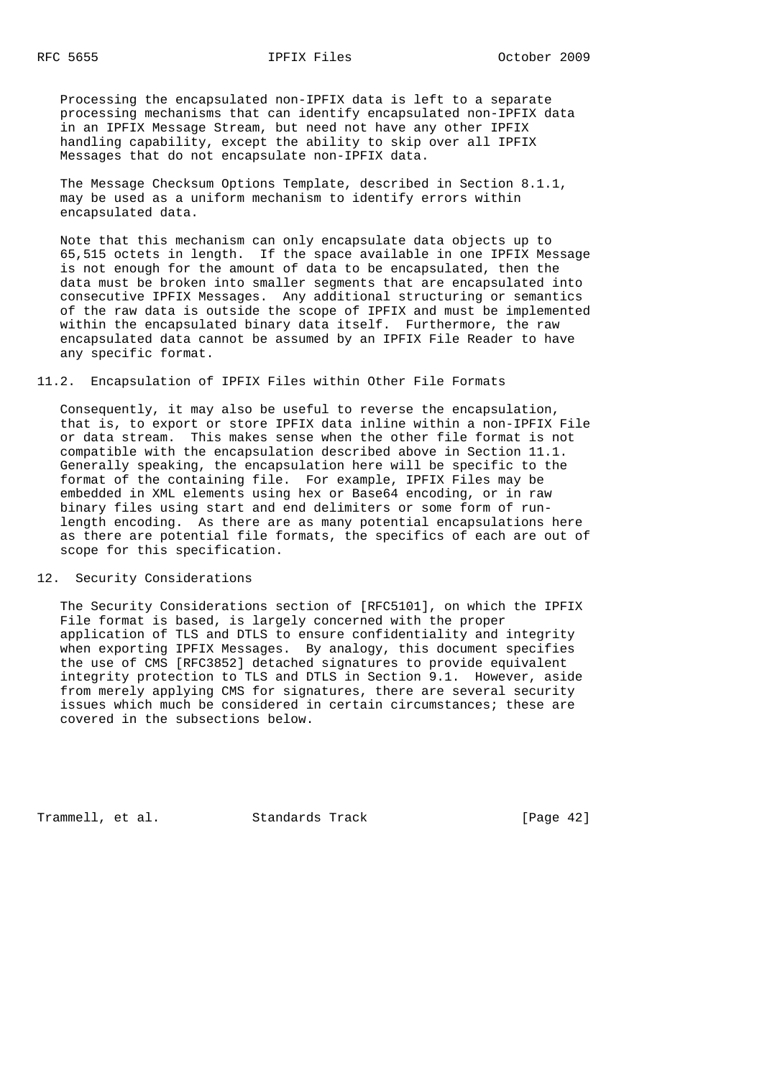Processing the encapsulated non-IPFIX data is left to a separate processing mechanisms that can identify encapsulated non-IPFIX data in an IPFIX Message Stream, but need not have any other IPFIX handling capability, except the ability to skip over all IPFIX Messages that do not encapsulate non-IPFIX data.

 The Message Checksum Options Template, described in Section 8.1.1, may be used as a uniform mechanism to identify errors within encapsulated data.

 Note that this mechanism can only encapsulate data objects up to 65,515 octets in length. If the space available in one IPFIX Message is not enough for the amount of data to be encapsulated, then the data must be broken into smaller segments that are encapsulated into consecutive IPFIX Messages. Any additional structuring or semantics of the raw data is outside the scope of IPFIX and must be implemented within the encapsulated binary data itself. Furthermore, the raw encapsulated data cannot be assumed by an IPFIX File Reader to have any specific format.

### 11.2. Encapsulation of IPFIX Files within Other File Formats

 Consequently, it may also be useful to reverse the encapsulation, that is, to export or store IPFIX data inline within a non-IPFIX File or data stream. This makes sense when the other file format is not compatible with the encapsulation described above in Section 11.1. Generally speaking, the encapsulation here will be specific to the format of the containing file. For example, IPFIX Files may be embedded in XML elements using hex or Base64 encoding, or in raw binary files using start and end delimiters or some form of run length encoding. As there are as many potential encapsulations here as there are potential file formats, the specifics of each are out of scope for this specification.

#### 12. Security Considerations

 The Security Considerations section of [RFC5101], on which the IPFIX File format is based, is largely concerned with the proper application of TLS and DTLS to ensure confidentiality and integrity when exporting IPFIX Messages. By analogy, this document specifies the use of CMS [RFC3852] detached signatures to provide equivalent integrity protection to TLS and DTLS in Section 9.1. However, aside from merely applying CMS for signatures, there are several security issues which much be considered in certain circumstances; these are covered in the subsections below.

Trammell, et al. Standards Track [Page 42]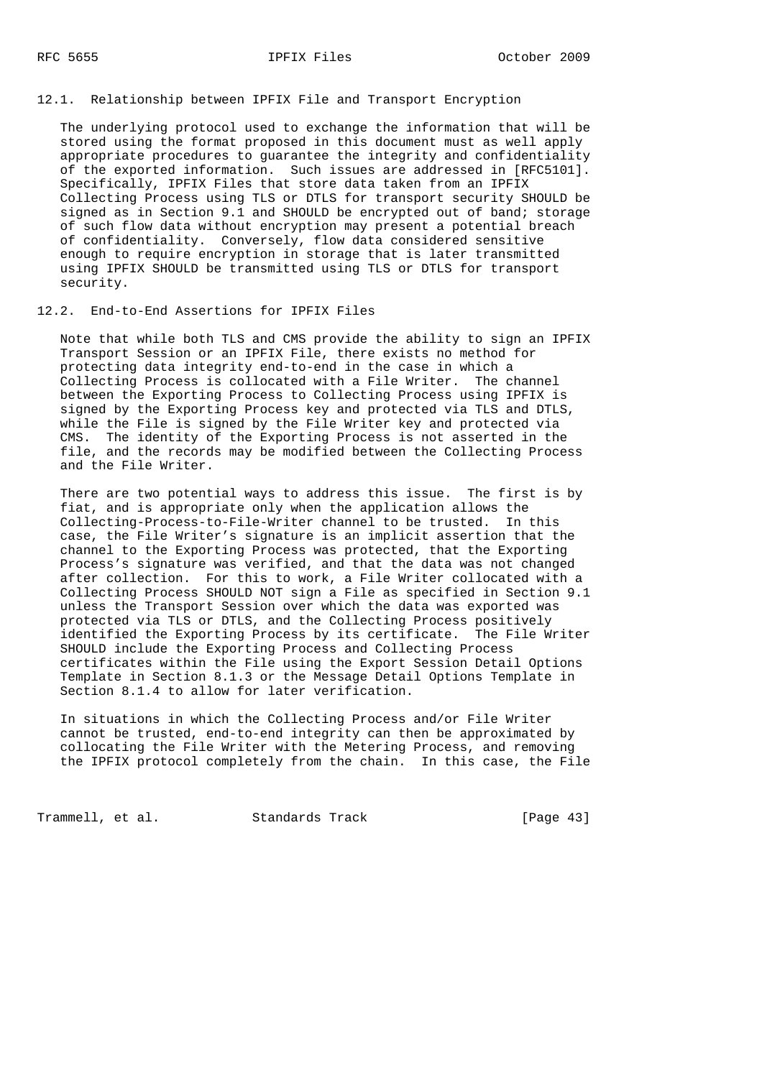## 12.1. Relationship between IPFIX File and Transport Encryption

 The underlying protocol used to exchange the information that will be stored using the format proposed in this document must as well apply appropriate procedures to guarantee the integrity and confidentiality of the exported information. Such issues are addressed in [RFC5101]. Specifically, IPFIX Files that store data taken from an IPFIX Collecting Process using TLS or DTLS for transport security SHOULD be signed as in Section 9.1 and SHOULD be encrypted out of band; storage of such flow data without encryption may present a potential breach of confidentiality. Conversely, flow data considered sensitive enough to require encryption in storage that is later transmitted using IPFIX SHOULD be transmitted using TLS or DTLS for transport security.

## 12.2. End-to-End Assertions for IPFIX Files

 Note that while both TLS and CMS provide the ability to sign an IPFIX Transport Session or an IPFIX File, there exists no method for protecting data integrity end-to-end in the case in which a Collecting Process is collocated with a File Writer. The channel between the Exporting Process to Collecting Process using IPFIX is signed by the Exporting Process key and protected via TLS and DTLS, while the File is signed by the File Writer key and protected via CMS. The identity of the Exporting Process is not asserted in the file, and the records may be modified between the Collecting Process and the File Writer.

 There are two potential ways to address this issue. The first is by fiat, and is appropriate only when the application allows the Collecting-Process-to-File-Writer channel to be trusted. In this case, the File Writer's signature is an implicit assertion that the channel to the Exporting Process was protected, that the Exporting Process's signature was verified, and that the data was not changed after collection. For this to work, a File Writer collocated with a Collecting Process SHOULD NOT sign a File as specified in Section 9.1 unless the Transport Session over which the data was exported was protected via TLS or DTLS, and the Collecting Process positively identified the Exporting Process by its certificate. The File Writer SHOULD include the Exporting Process and Collecting Process certificates within the File using the Export Session Detail Options Template in Section 8.1.3 or the Message Detail Options Template in Section 8.1.4 to allow for later verification.

 In situations in which the Collecting Process and/or File Writer cannot be trusted, end-to-end integrity can then be approximated by collocating the File Writer with the Metering Process, and removing the IPFIX protocol completely from the chain. In this case, the File

Trammell, et al. Standards Track [Page 43]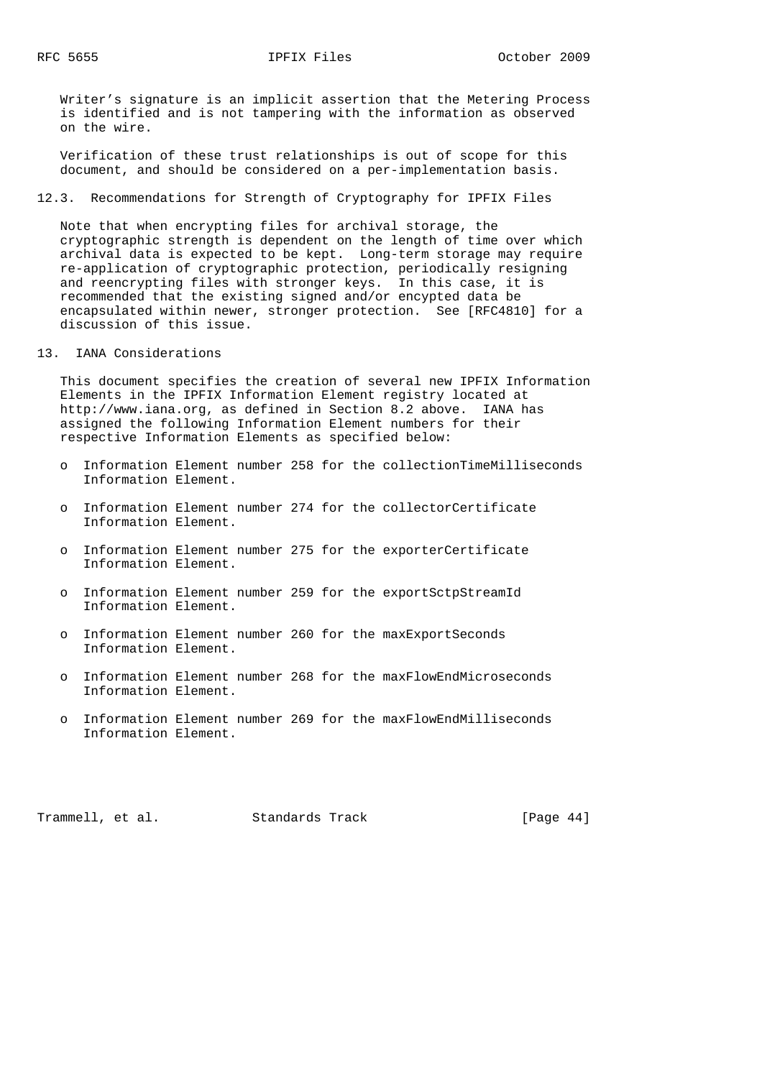Writer's signature is an implicit assertion that the Metering Process is identified and is not tampering with the information as observed on the wire.

 Verification of these trust relationships is out of scope for this document, and should be considered on a per-implementation basis.

### 12.3. Recommendations for Strength of Cryptography for IPFIX Files

 Note that when encrypting files for archival storage, the cryptographic strength is dependent on the length of time over which archival data is expected to be kept. Long-term storage may require re-application of cryptographic protection, periodically resigning and reencrypting files with stronger keys. In this case, it is recommended that the existing signed and/or encypted data be encapsulated within newer, stronger protection. See [RFC4810] for a discussion of this issue.

#### 13. IANA Considerations

 This document specifies the creation of several new IPFIX Information Elements in the IPFIX Information Element registry located at http://www.iana.org, as defined in Section 8.2 above. IANA has assigned the following Information Element numbers for their respective Information Elements as specified below:

- o Information Element number 258 for the collectionTimeMilliseconds Information Element.
- o Information Element number 274 for the collectorCertificate Information Element.
- o Information Element number 275 for the exporterCertificate Information Element.
- o Information Element number 259 for the exportSctpStreamId Information Element.
- o Information Element number 260 for the maxExportSeconds Information Element.
- o Information Element number 268 for the maxFlowEndMicroseconds Information Element.
- o Information Element number 269 for the maxFlowEndMilliseconds Information Element.

Trammell, et al. Standards Track [Page 44]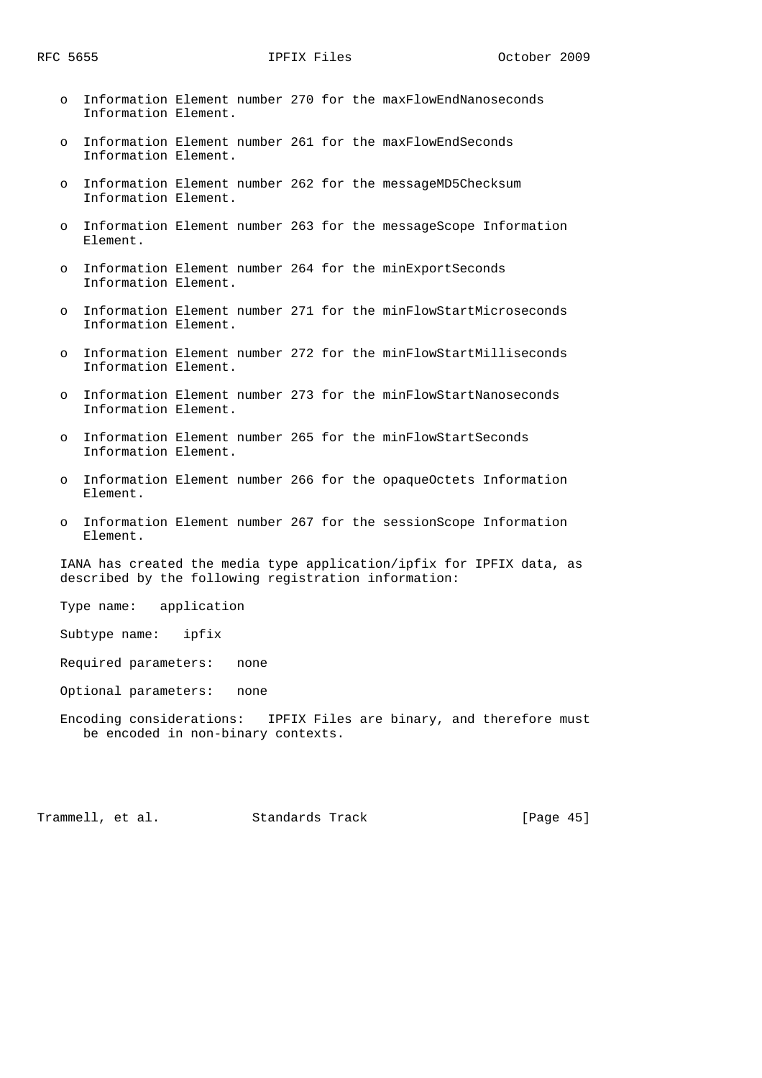- o Information Element number 270 for the maxFlowEndNanoseconds Information Element.
- o Information Element number 261 for the maxFlowEndSeconds Information Element.
- o Information Element number 262 for the messageMD5Checksum Information Element.
- o Information Element number 263 for the messageScope Information Element.
- o Information Element number 264 for the minExportSeconds Information Element.
- o Information Element number 271 for the minFlowStartMicroseconds Information Element.
- o Information Element number 272 for the minFlowStartMilliseconds Information Element.
- o Information Element number 273 for the minFlowStartNanoseconds Information Element.
- o Information Element number 265 for the minFlowStartSeconds Information Element.
- o Information Element number 266 for the opaqueOctets Information Element.
- o Information Element number 267 for the sessionScope Information Element.

 IANA has created the media type application/ipfix for IPFIX data, as described by the following registration information:

Type name: application

Subtype name: ipfix

- Required parameters: none
- Optional parameters: none
- Encoding considerations: IPFIX Files are binary, and therefore must be encoded in non-binary contexts.

Trammell, et al. Standards Track [Page 45]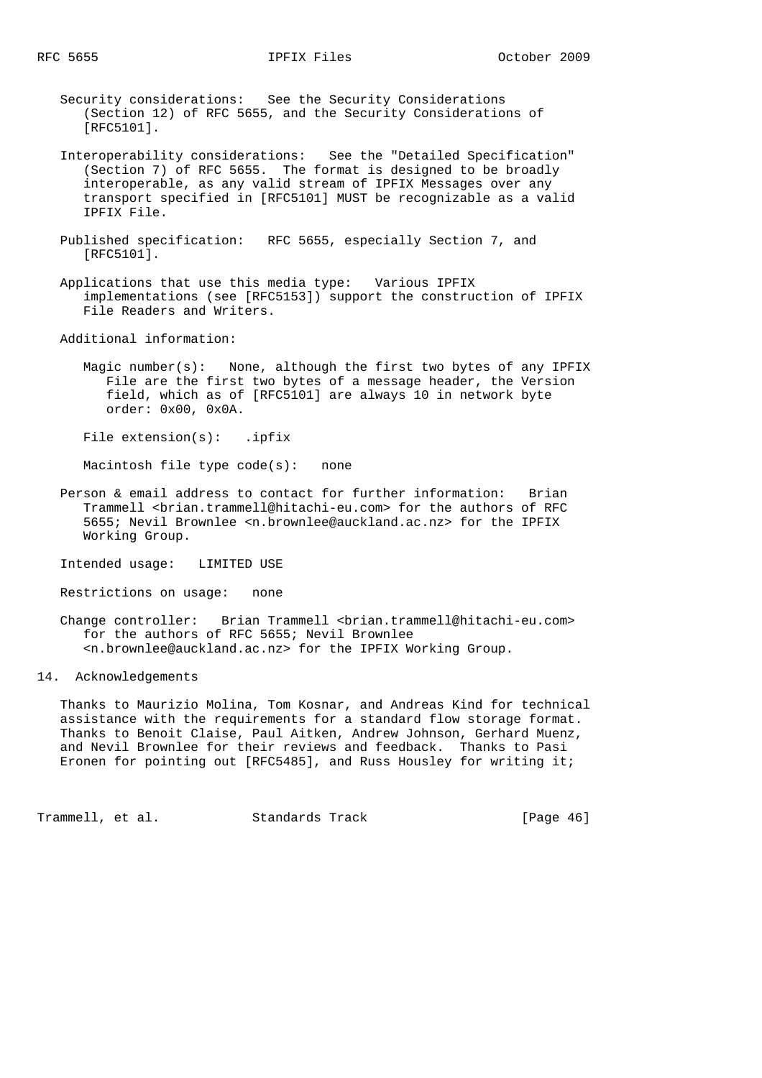- Security considerations: See the Security Considerations (Section 12) of RFC 5655, and the Security Considerations of [RFC5101].
- Interoperability considerations: See the "Detailed Specification" (Section 7) of RFC 5655. The format is designed to be broadly interoperable, as any valid stream of IPFIX Messages over any transport specified in [RFC5101] MUST be recognizable as a valid IPFIX File.
- Published specification: RFC 5655, especially Section 7, and [RFC5101].
- Applications that use this media type: Various IPFIX implementations (see [RFC5153]) support the construction of IPFIX File Readers and Writers.

Additional information:

 Magic number(s): None, although the first two bytes of any IPFIX File are the first two bytes of a message header, the Version field, which as of [RFC5101] are always 10 in network byte order: 0x00, 0x0A.

File extension(s): .ipfix

Macintosh file type code(s): none

- Person & email address to contact for further information: Brian Trammell <brian.trammell@hitachi-eu.com> for the authors of RFC 5655; Nevil Brownlee <n.brownlee@auckland.ac.nz> for the IPFIX Working Group.
- Intended usage: LIMITED USE
- Restrictions on usage: none
- Change controller: Brian Trammell <br/> <br/> <br/> <br/> <br/> <br/> <br/> <br/> <br/> $\label{eq:1}$  for the authors of RFC 5655; Nevil Brownlee <n.brownlee@auckland.ac.nz> for the IPFIX Working Group.

14. Acknowledgements

 Thanks to Maurizio Molina, Tom Kosnar, and Andreas Kind for technical assistance with the requirements for a standard flow storage format. Thanks to Benoit Claise, Paul Aitken, Andrew Johnson, Gerhard Muenz, and Nevil Brownlee for their reviews and feedback. Thanks to Pasi Eronen for pointing out [RFC5485], and Russ Housley for writing it;

Trammell, et al. Standards Track [Page 46]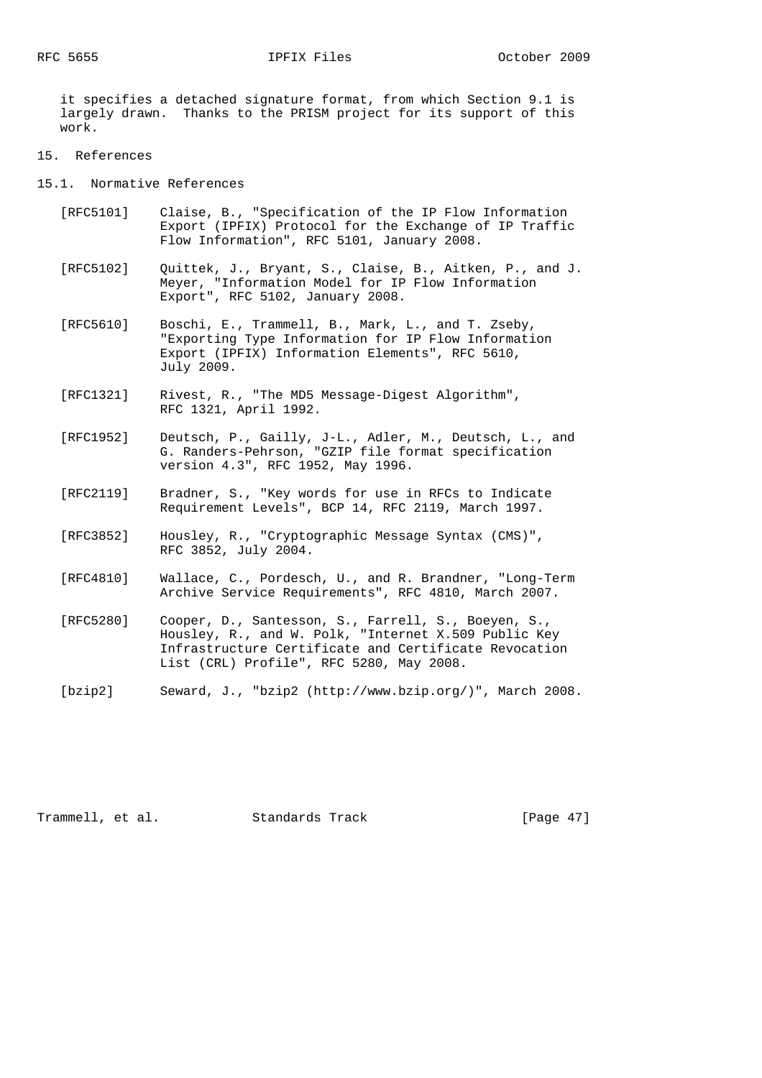it specifies a detached signature format, from which Section 9.1 is largely drawn. Thanks to the PRISM project for its support of this work.

- 15. References
- 15.1. Normative References
	- [RFC5101] Claise, B., "Specification of the IP Flow Information Export (IPFIX) Protocol for the Exchange of IP Traffic Flow Information", RFC 5101, January 2008.
	- [RFC5102] Quittek, J., Bryant, S., Claise, B., Aitken, P., and J. Meyer, "Information Model for IP Flow Information Export", RFC 5102, January 2008.
	- [RFC5610] Boschi, E., Trammell, B., Mark, L., and T. Zseby, "Exporting Type Information for IP Flow Information Export (IPFIX) Information Elements", RFC 5610, July 2009.
	- [RFC1321] Rivest, R., "The MD5 Message-Digest Algorithm", RFC 1321, April 1992.
	- [RFC1952] Deutsch, P., Gailly, J-L., Adler, M., Deutsch, L., and G. Randers-Pehrson, "GZIP file format specification version 4.3", RFC 1952, May 1996.
	- [RFC2119] Bradner, S., "Key words for use in RFCs to Indicate Requirement Levels", BCP 14, RFC 2119, March 1997.
	- [RFC3852] Housley, R., "Cryptographic Message Syntax (CMS)", RFC 3852, July 2004.
	- [RFC4810] Wallace, C., Pordesch, U., and R. Brandner, "Long-Term Archive Service Requirements", RFC 4810, March 2007.
	- [RFC5280] Cooper, D., Santesson, S., Farrell, S., Boeyen, S., Housley, R., and W. Polk, "Internet X.509 Public Key Infrastructure Certificate and Certificate Revocation List (CRL) Profile", RFC 5280, May 2008.
	- [bzip2] Seward, J., "bzip2 (http://www.bzip.org/)", March 2008.

Trammell, et al. Standards Track [Page 47]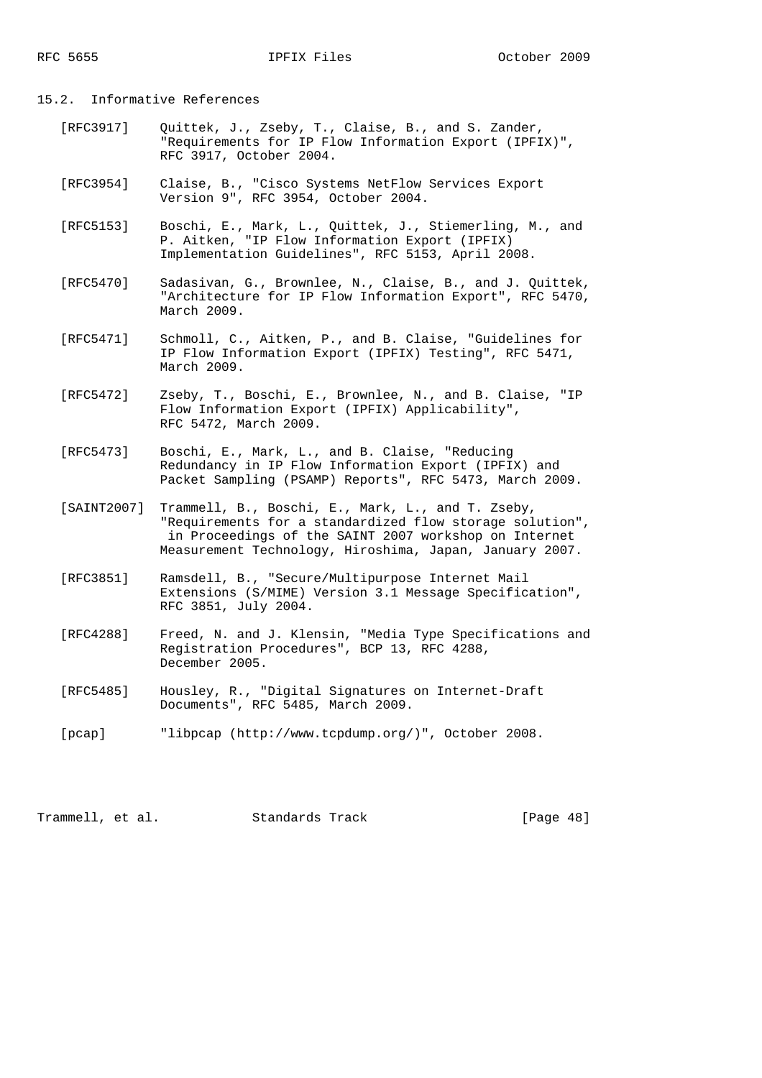### 15.2. Informative References

- [RFC3917] Quittek, J., Zseby, T., Claise, B., and S. Zander, "Requirements for IP Flow Information Export (IPFIX)", RFC 3917, October 2004.
- [RFC3954] Claise, B., "Cisco Systems NetFlow Services Export Version 9", RFC 3954, October 2004.
- [RFC5153] Boschi, E., Mark, L., Quittek, J., Stiemerling, M., and P. Aitken, "IP Flow Information Export (IPFIX) Implementation Guidelines", RFC 5153, April 2008.
- [RFC5470] Sadasivan, G., Brownlee, N., Claise, B., and J. Quittek, "Architecture for IP Flow Information Export", RFC 5470, March 2009.
- [RFC5471] Schmoll, C., Aitken, P., and B. Claise, "Guidelines for IP Flow Information Export (IPFIX) Testing", RFC 5471, March 2009.
- [RFC5472] Zseby, T., Boschi, E., Brownlee, N., and B. Claise, "IP Flow Information Export (IPFIX) Applicability", RFC 5472, March 2009.
- [RFC5473] Boschi, E., Mark, L., and B. Claise, "Reducing Redundancy in IP Flow Information Export (IPFIX) and Packet Sampling (PSAMP) Reports", RFC 5473, March 2009.
- [SAINT2007] Trammell, B., Boschi, E., Mark, L., and T. Zseby, "Requirements for a standardized flow storage solution", in Proceedings of the SAINT 2007 workshop on Internet Measurement Technology, Hiroshima, Japan, January 2007.
- [RFC3851] Ramsdell, B., "Secure/Multipurpose Internet Mail Extensions (S/MIME) Version 3.1 Message Specification", RFC 3851, July 2004.
- [RFC4288] Freed, N. and J. Klensin, "Media Type Specifications and Registration Procedures", BCP 13, RFC 4288, December 2005.
- [RFC5485] Housley, R., "Digital Signatures on Internet-Draft Documents", RFC 5485, March 2009.
- [pcap] "libpcap (http://www.tcpdump.org/)", October 2008.

Trammell, et al. Standards Track [Page 48]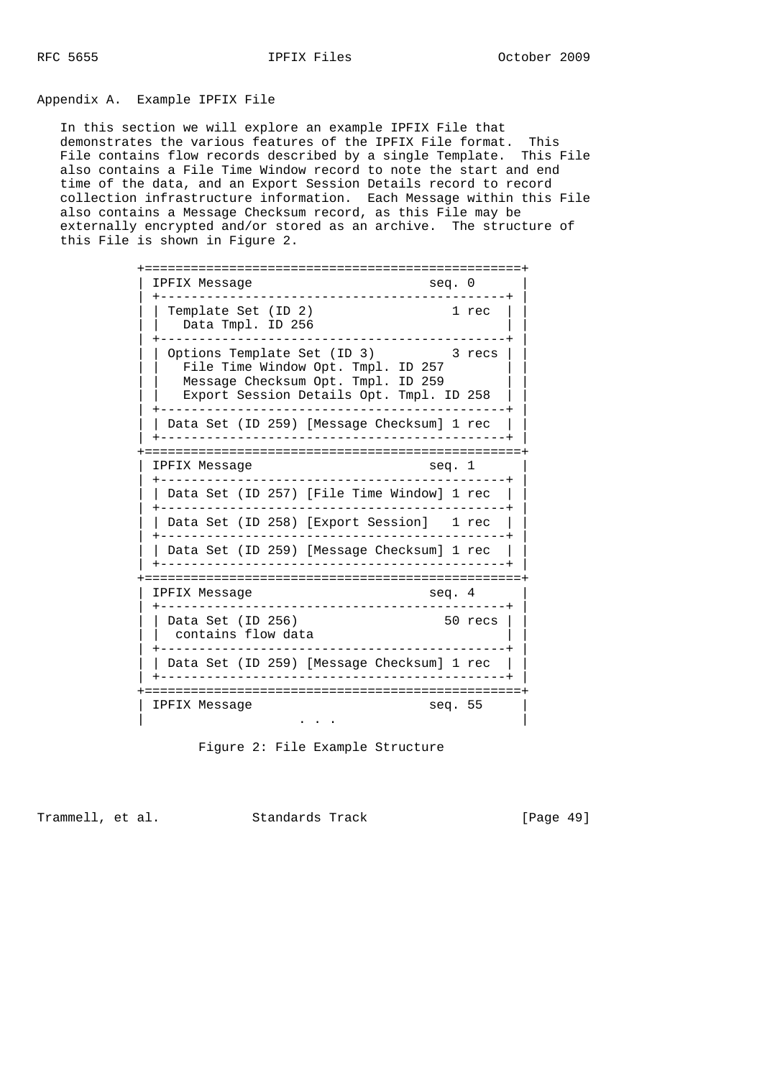Appendix A. Example IPFIX File

 In this section we will explore an example IPFIX File that demonstrates the various features of the IPFIX File format. This File contains flow records described by a single Template. This File also contains a File Time Window record to note the start and end time of the data, and an Export Session Details record to record collection infrastructure information. Each Message within this File also contains a Message Checksum record, as this File may be externally encrypted and/or stored as an archive. The structure of this File is shown in Figure 2.

| IPFIX Messaqe<br>seq. 0<br>_____________________<br>-------------                                                                                          |         |
|------------------------------------------------------------------------------------------------------------------------------------------------------------|---------|
| Template Set (ID 2)<br>Data Tmpl. ID 256                                                                                                                   | 1 rec   |
| Options Template Set (ID 3) 3 recs<br>File Time Window Opt. Tmpl. ID 257<br>Message Checksum Opt. Tmpl. ID 259<br>Export Session Details Opt. Tmpl. ID 258 |         |
| ----------------------<br>Data Set (ID 259) [Message Checksum] 1 rec<br>----------------------------                                                       |         |
| IPFIX Messaqe<br>seq. 1<br><u>_____________</u>                                                                                                            |         |
| Data Set (ID 257) [File Time Window] 1 rec                                                                                                                 |         |
| Data Set (ID 258) [Export Session] 1 rec<br>----------------------------------                                                                             |         |
| Data Set (ID 259) [Message Checksum] 1 rec                                                                                                                 |         |
| IPFIX Message<br>seq. 4                                                                                                                                    |         |
| Data Set (ID 256)<br>contains flow data<br>--------------                                                                                                  | 50 recs |
| Data Set (ID 259) [Message Checksum] 1 rec                                                                                                                 |         |
| seq. $55$<br>IPFIX Message                                                                                                                                 |         |

Figure 2: File Example Structure

Trammell, et al. Standards Track [Page 49]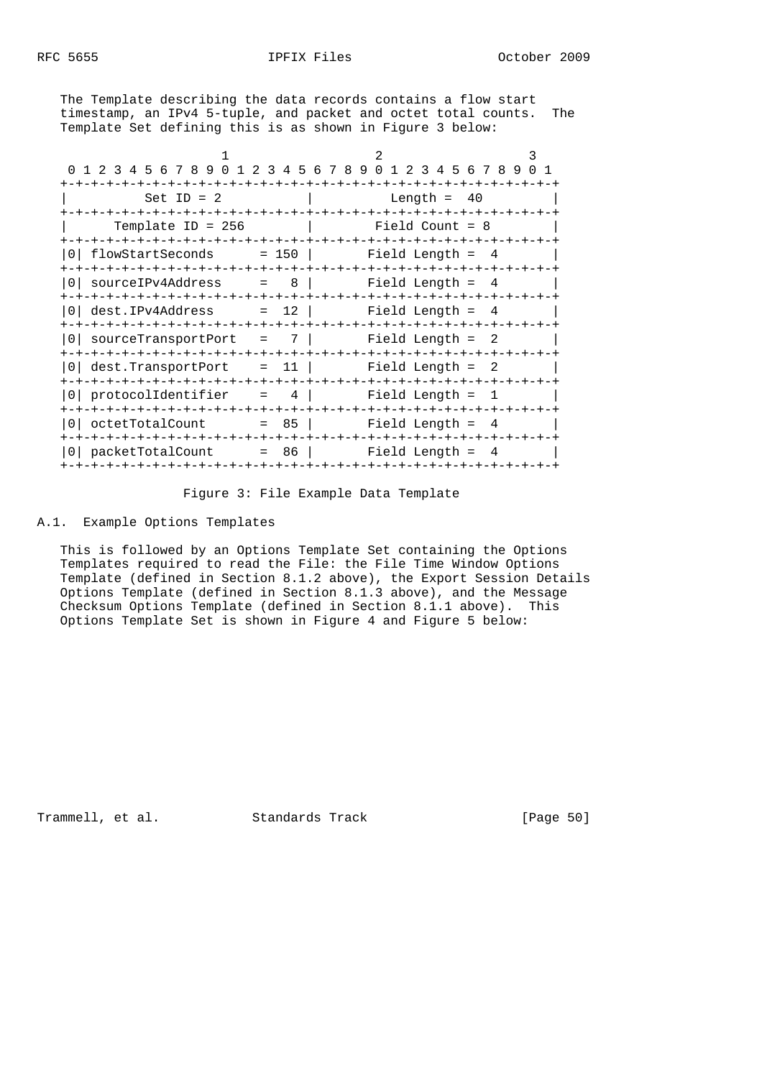The Template describing the data records contains a flow start timestamp, an IPv4 5-tuple, and packet and octet total counts. The Template Set defining this is as shown in Figure 3 below:

| 1 2 3 4 5 6 7 8 9<br>23<br>$\Omega$<br>1            | 4 5 6 7 8 9<br>$\Omega$<br>1 2 3 4 5 6 7 8 9 | 0 1 |
|-----------------------------------------------------|----------------------------------------------|-----|
|                                                     |                                              |     |
| $Set ID = 2$                                        | Length $=$<br>- 40                           |     |
| -+-+-+-+-+-+-+-+-+                                  | -+-+-+-+-+                                   |     |
| Template ID = $256$                                 | Field Count = $8$                            |     |
| -+-+-+-+-+-+-+-+-+-+-+                              |                                              |     |
| flowStartSeconds                                    | $= 150$ $ $ Field Length $=$<br>4            |     |
|                                                     |                                              |     |
| $= 8$<br>sourceIPv4Address                          | Field Length =<br>- 4                        |     |
|                                                     |                                              |     |
| dest.IPv4Address<br>$= 12$                          | Field Length =<br>4                          |     |
|                                                     |                                              |     |
| 7 <sup>1</sup><br>sourceTransportPort<br>$\sim$ $=$ | Field Length = 2                             |     |
|                                                     |                                              |     |
| dest.TransportPort                                  | $=$ 11  <br>Field Length =                   |     |
|                                                     |                                              |     |
| 4  <br>protocolIdentifier<br>$\equiv$               | Field Length =                               |     |
|                                                     |                                              |     |
| $= 85$  <br>octetTotalCount                         | Field Length =<br>4                          |     |
| -+-+-+-+-+-+-+-+-+-+-+-+-+-+-+-                     | -+-+-+-+-+-+-+-+-+-+-+-+-+-+-+-+-            |     |
| $= 86$  <br>packetTotalCount                        | Field Length =<br>4                          |     |
|                                                     |                                              |     |

Figure 3: File Example Data Template

## A.1. Example Options Templates

 This is followed by an Options Template Set containing the Options Templates required to read the File: the File Time Window Options Template (defined in Section 8.1.2 above), the Export Session Details Options Template (defined in Section 8.1.3 above), and the Message Checksum Options Template (defined in Section 8.1.1 above). This Options Template Set is shown in Figure 4 and Figure 5 below:

Trammell, et al. Standards Track [Page 50]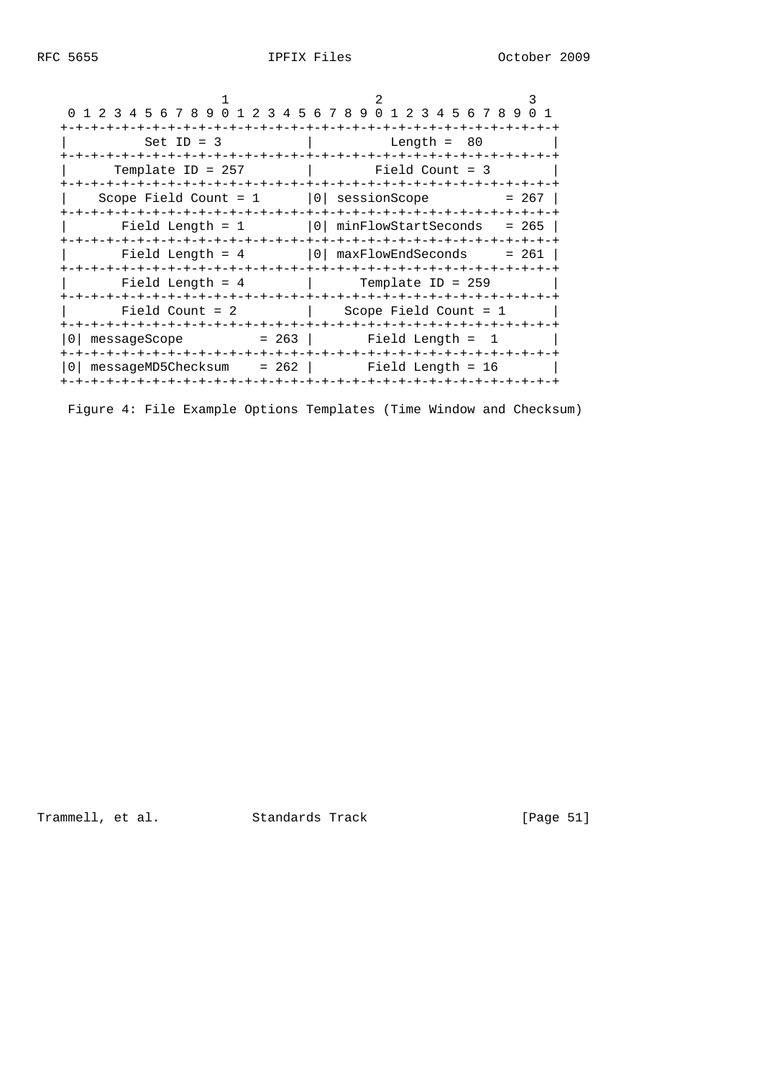| 0 1 2 3 4 5 6 7 8 9 0 1 2 3 4 5 6 7 8 9 0 1 2 3 4 5 6 7 8 9 0 1 |                                                                                                                |         |
|-----------------------------------------------------------------|----------------------------------------------------------------------------------------------------------------|---------|
|                                                                 |                                                                                                                |         |
| Set ID = $3$                                                    | a dh'anns anns an t-Iomraidh anns an t-Iomraidh an 1960. Iomraidh an 1960 an t-Iomraidh an t-Iomraidh an t-Iom |         |
|                                                                 |                                                                                                                |         |
| $Template ID = 257$                                             | Field Count = 3                                                                                                |         |
|                                                                 |                                                                                                                |         |
| Scope Field Count = $1$   0  sessionScope = $267$               |                                                                                                                |         |
|                                                                 |                                                                                                                |         |
|                                                                 | Field Length = $1$   0  minFlowStartSeconds                                                                    | $= 265$ |
|                                                                 |                                                                                                                |         |
|                                                                 |                                                                                                                | = 261   |
|                                                                 |                                                                                                                |         |
| Field Length = $4$ Template ID = 259                            |                                                                                                                |         |
|                                                                 |                                                                                                                |         |
| Field Count $= 2$                                               | Scope Field Count = $1$                                                                                        |         |
|                                                                 |                                                                                                                |         |
| $messageScope$ = 263   Field Length =                           | $\mathbf{1}$                                                                                                   |         |
|                                                                 |                                                                                                                |         |
| $messageMD5Checksum = 262$ Field Length = 16                    |                                                                                                                |         |
|                                                                 |                                                                                                                |         |

Figure 4: File Example Options Templates (Time Window and Checksum)

Trammell, et al. Standards Track [Page 51]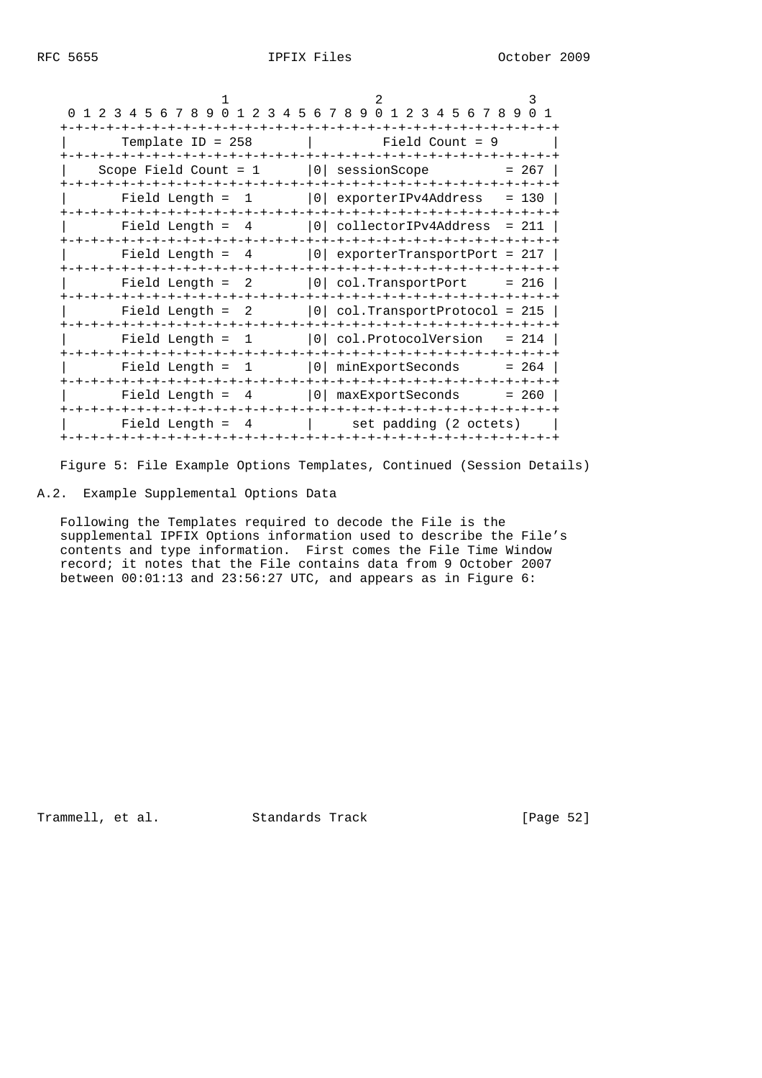|                                                             | 3                                                    |  |
|-------------------------------------------------------------|------------------------------------------------------|--|
| 0 1 2 3 4 5 6 7 8 9 0 1 2 3 4 5 6 7 8 9 0 1 2 3 4 5 6 7 8 9 | 0 1                                                  |  |
| Template ID = $258$<br>-+-+-+-+-+-+-+-+-+-+-+-+-+-+-        | Field Count = $9$<br>-+-+-+-+-+-+-+-+-+-+-+-+-+-+-+- |  |
| Scope Field Count = $1$                                     | 0   sessionScope<br>$= 267$                          |  |
| Field Length $=$ 1                                          | 0 exporterIPv4Address<br>$= 130$                     |  |
| Field Length $= 4$                                          | $ 0 $ collectorIPv4Address = 211                     |  |
| Field Length $= 4$                                          | $ 0 $ exporterTransportPort = 217                    |  |
| Field Length $= 2$                                          | 0  col.TransportPort<br>$= 216$                      |  |
| Field Length $= 2$                                          | $ 0 $ col.TransportProtocol = 215                    |  |
| Field Length $=$ 1                                          | 0   col. ProtocolVersion<br>$= 214$                  |  |
| Field Length $= 1$                                          | 0   minExportSeconds<br>$= 264$                      |  |
| Field Length $= 4$                                          | (0)<br>$= 260$<br>maxExportSeconds                   |  |
| Field Length $=$ 4                                          | set padding (2 octets)                               |  |

Figure 5: File Example Options Templates, Continued (Session Details)

## A.2. Example Supplemental Options Data

 Following the Templates required to decode the File is the supplemental IPFIX Options information used to describe the File's contents and type information. First comes the File Time Window record; it notes that the File contains data from 9 October 2007 between 00:01:13 and 23:56:27 UTC, and appears as in Figure 6:

Trammell, et al. Standards Track [Page 52]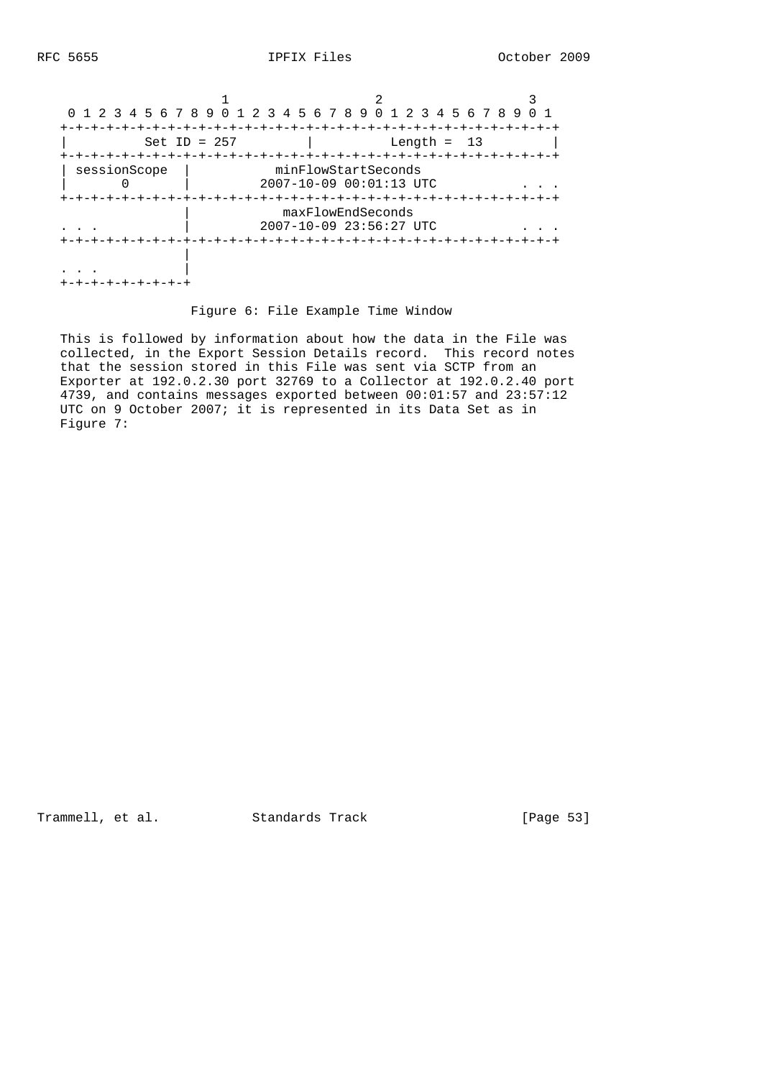| 0 1 2 3 4 5 6 7 8 9 0 1 2 3 4 5 6 7 8 9 0 1 2 3 4 5 6 7 8 9 |                   |                                                        |                      |
|-------------------------------------------------------------|-------------------|--------------------------------------------------------|----------------------|
| $Set ID = 257$                                              |                   | -+-+-+-+-+-+-+-+-+-+-+-+-+-+-+-+-+-+-+-                | Length = $13$        |
| sessionScope                                                |                   | minFlowStartSeconds<br>$2007 - 10 - 09$ $00:01:13$ UTC |                      |
|                                                             | -+-+-+-+-+-+-+-+- | maxFlowEndSeconds<br>2007-10-09 23:56:27 UTC           | $-+ - + - + - + - +$ |
|                                                             | +-+-+-+-+-+       | -+-+-+-+-+-+-+-+-+-+-+-+-+-+-+                         |                      |
| -+-+-+-+-+-+                                                |                   |                                                        |                      |

## Figure 6: File Example Time Window

 This is followed by information about how the data in the File was collected, in the Export Session Details record. This record notes that the session stored in this File was sent via SCTP from an Exporter at 192.0.2.30 port 32769 to a Collector at 192.0.2.40 port 4739, and contains messages exported between 00:01:57 and 23:57:12 UTC on 9 October 2007; it is represented in its Data Set as in Figure 7:

Trammell, et al. Standards Track [Page 53]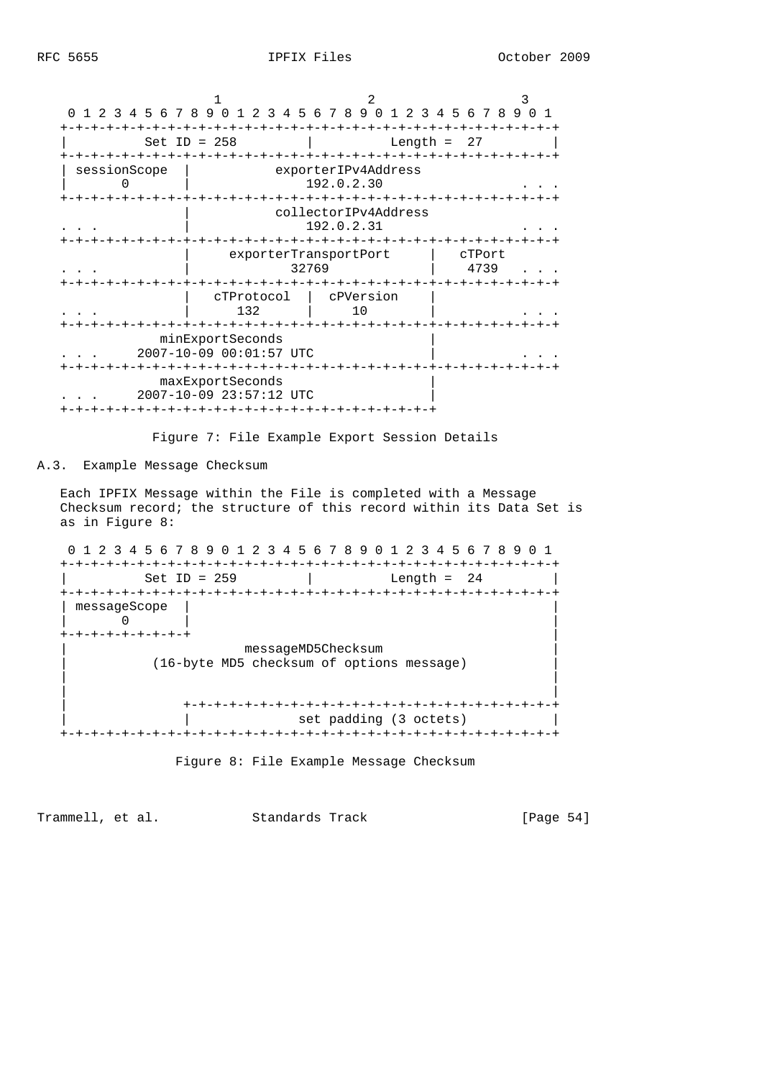| $\Omega$     | 1 2 3 4 5 6 7 8 9 0 1 2 3 4 5 6 7 8 9 0 1 2 3 4 5 6 7 8 9 |                                    | 0 <sub>1</sub> |
|--------------|-----------------------------------------------------------|------------------------------------|----------------|
|              | Set ID = $258$                                            | Length $=$                         | -27            |
| sessionScope |                                                           | exporterIPv4Address<br>192.0.2.30  |                |
|              |                                                           | collectorIPv4Address<br>192.0.2.31 |                |
|              | exporterTransportPort<br>32769                            |                                    | cTPort<br>4739 |
|              | cTProtocol<br>132                                         | cPVersion<br>10                    |                |
|              | minExportSeconds<br>2007-10-09 00:01:57 UTC               |                                    |                |
|              | maxExportSeconds<br>2007-10-09 23:57:12 UTC               |                                    |                |

Figure 7: File Example Export Session Details

# A.3. Example Message Checksum

 Each IPFIX Message within the File is completed with a Message Checksum record; the structure of this record within its Data Set is as in Figure 8:

 0 1 2 3 4 5 6 7 8 9 0 1 2 3 4 5 6 7 8 9 0 1 2 3 4 5 6 7 8 9 0 1 +-+-+-+-+-+-+-+-+-+-+-+-+-+-+-+-+-+-+-+-+-+-+-+-+-+-+-+-+-+-+-+-+ |<br>| Set ID = 259 | Length = 24 | +-+-+-+-+-+-+-+-+-+-+-+-+-+-+-+-+-+-+-+-+-+-+-+-+-+-+-+-+-+-+-+-+ | messageScope | |  $| 0$  +-+-+-+-+-+-+-+-+ | | messageMD5Checksum | | (16-byte MD5 checksum of options message) | | | | | | +-+-+-+-+-+-+-+-+-+-+-+-+-+-+-+-+-+-+-+-+-+-+-+-+ | | set padding (3 octets) | +-+-+-+-+-+-+-+-+-+-+-+-+-+-+-+-+-+-+-+-+-+-+-+-+-+-+-+-+-+-+-+-+



Trammell, et al. Standards Track [Page 54]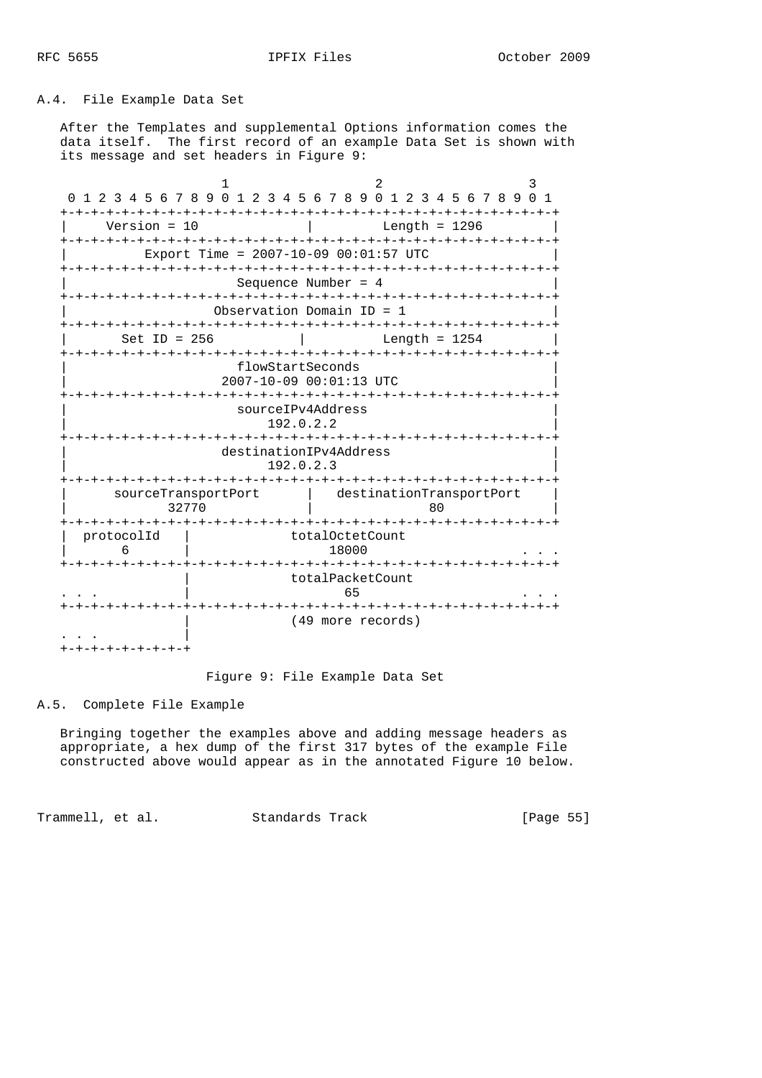## A.4. File Example Data Set

 After the Templates and supplemental Options information comes the data itself. The first record of an example Data Set is shown with its message and set headers in Figure 9:

|                              |                  | 0 1 2 3 4 5 6 7 8 9 0 1 2 3 4 5 6 7 8 9 0 1 2 3 4 5 6 7 8 9 0 1 |  |
|------------------------------|------------------|-----------------------------------------------------------------|--|
| Version = $10$               |                  | Length = $1296$                                                 |  |
|                              |                  | Export Time = $2007-10-09$ 00:01:57 UTC                         |  |
|                              |                  | Sequence Number = $4$                                           |  |
|                              |                  | Observation Domain $ID = 1$                                     |  |
| Set ID = $256$               |                  | Length = $1254$                                                 |  |
|                              | flowStartSeconds | 2007-10-09 00:01:13 UTC                                         |  |
|                              |                  | sourceIPv4Address<br>192.0.2.2                                  |  |
|                              |                  | destinationIPv4Address<br>192.0.2.3                             |  |
| sourceTransportPort<br>32770 |                  | destinationTransportPort<br>80                                  |  |
| protocolId<br>6              |                  | totalOctetCount<br>18000                                        |  |
|                              |                  | totalPacketCount<br>65                                          |  |
| <b>-+-+-+-+-+-+</b>          |                  | (49 more records)                                               |  |

Figure 9: File Example Data Set

## A.5. Complete File Example

 Bringing together the examples above and adding message headers as appropriate, a hex dump of the first 317 bytes of the example File constructed above would appear as in the annotated Figure 10 below.

Trammell, et al. Standards Track [Page 55]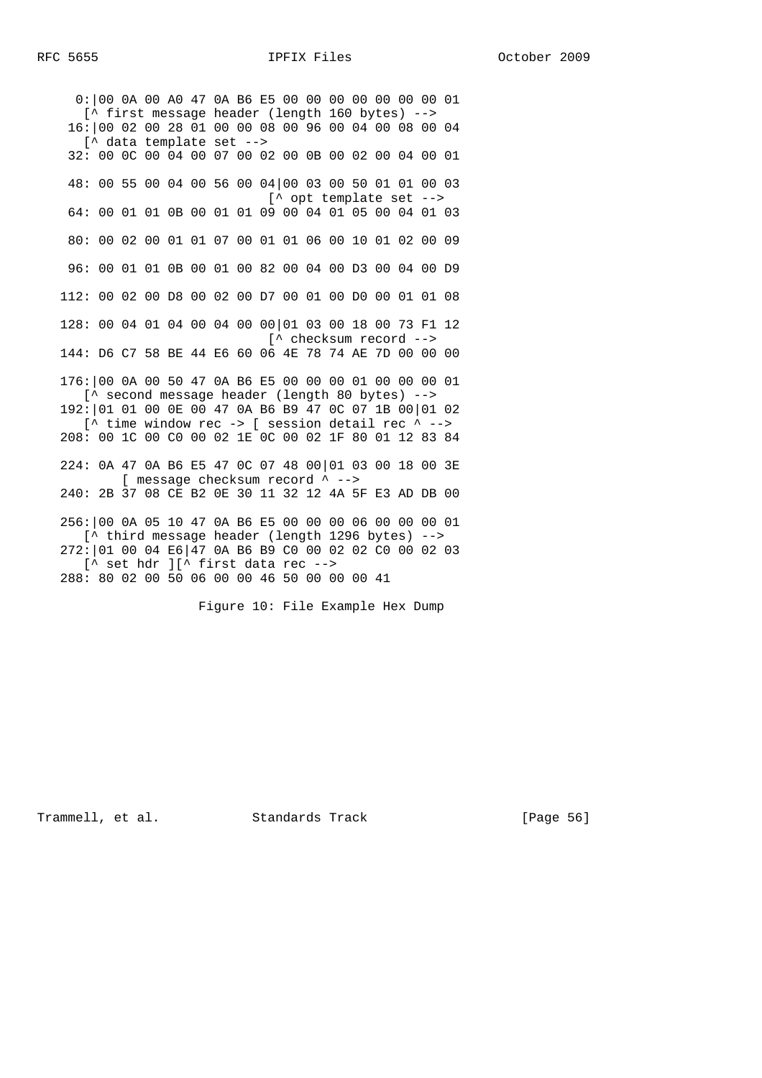0:|00 0A 00 A0 47 0A B6 E5 00 00 00 00 00 00 00 01 [^ first message header (length 160 bytes) --> 16:|00 02 00 28 01 00 00 08 00 96 00 04 00 08 00 04 [^ data template set --> 32: 00 0C 00 04 00 07 00 02 00 0B 00 02 00 04 00 01 48: 00 55 00 04 00 56 00 04|00 03 00 50 01 01 00 03 [^ opt template set --> 64: 00 01 01 0B 00 01 01 09 00 04 01 05 00 04 01 03 80: 00 02 00 01 01 07 00 01 01 06 00 10 01 02 00 09 96: 00 01 01 0B 00 01 00 82 00 04 00 D3 00 04 00 D9 112: 00 02 00 D8 00 02 00 D7 00 01 00 D0 00 01 01 08 128: 00 04 01 04 00 04 00 00|01 03 00 18 00 73 F1 12 [^ checksum record --> 144: D6 C7 58 BE 44 E6 60 06 4E 78 74 AE 7D 00 00 00 176:|00 0A 00 50 47 0A B6 E5 00 00 00 01 00 00 00 01 [^ second message header (length 80 bytes) --> 192:|01 01 00 0E 00 47 0A B6 B9 47 0C 07 1B 00|01 02 [ $^{\wedge}$  time window rec -> [ session detail rec  $^{\wedge}$  --> 208: 00 1C 00 C0 00 02 1E 0C 00 02 1F 80 01 12 83 84 224: 0A 47 0A B6 E5 47 0C 07 48 00|01 03 00 18 00 3E [ message checksum record  $\sim$  --> 240: 2B 37 08 CE B2 0E 30 11 32 12 4A 5F E3 AD DB 00 256:|00 0A 05 10 47 0A B6 E5 00 00 00 06 00 00 00 01 [^ third message header (length 1296 bytes) --> 272:|01 00 04 E6|47 0A B6 B9 C0 00 02 02 C0 00 02 03 [^ set hdr ][^ first data rec --> 288: 80 02 00 50 06 00 00 46 50 00 00 00 41

Figure 10: File Example Hex Dump

Trammell, et al. Standards Track [Page 56]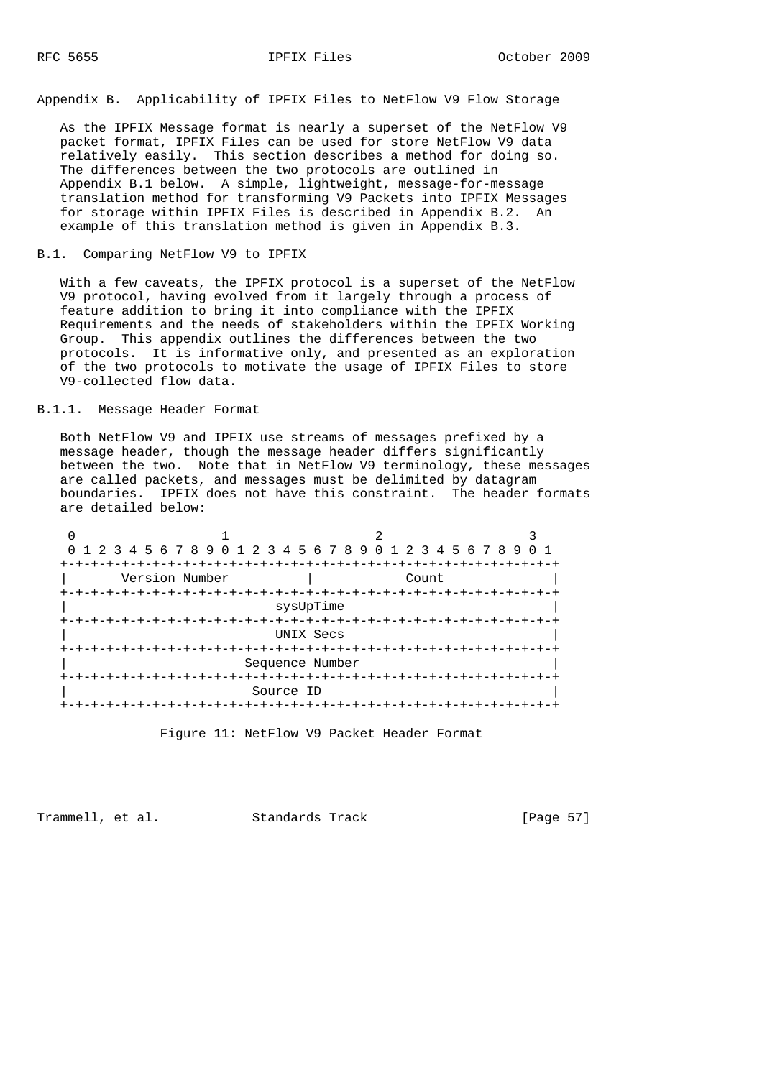Appendix B. Applicability of IPFIX Files to NetFlow V9 Flow Storage

 As the IPFIX Message format is nearly a superset of the NetFlow V9 packet format, IPFIX Files can be used for store NetFlow V9 data relatively easily. This section describes a method for doing so. The differences between the two protocols are outlined in Appendix B.1 below. A simple, lightweight, message-for-message translation method for transforming V9 Packets into IPFIX Messages for storage within IPFIX Files is described in Appendix B.2. An example of this translation method is given in Appendix B.3.

#### B.1. Comparing NetFlow V9 to IPFIX

 With a few caveats, the IPFIX protocol is a superset of the NetFlow V9 protocol, having evolved from it largely through a process of feature addition to bring it into compliance with the IPFIX Requirements and the needs of stakeholders within the IPFIX Working Group. This appendix outlines the differences between the two protocols. It is informative only, and presented as an exploration of the two protocols to motivate the usage of IPFIX Files to store V9-collected flow data.

### B.1.1. Message Header Format

 Both NetFlow V9 and IPFIX use streams of messages prefixed by a message header, though the message header differs significantly between the two. Note that in NetFlow V9 terminology, these messages are called packets, and messages must be delimited by datagram boundaries. IPFIX does not have this constraint. The header formats are detailed below:





Trammell, et al. Standards Track [Page 57]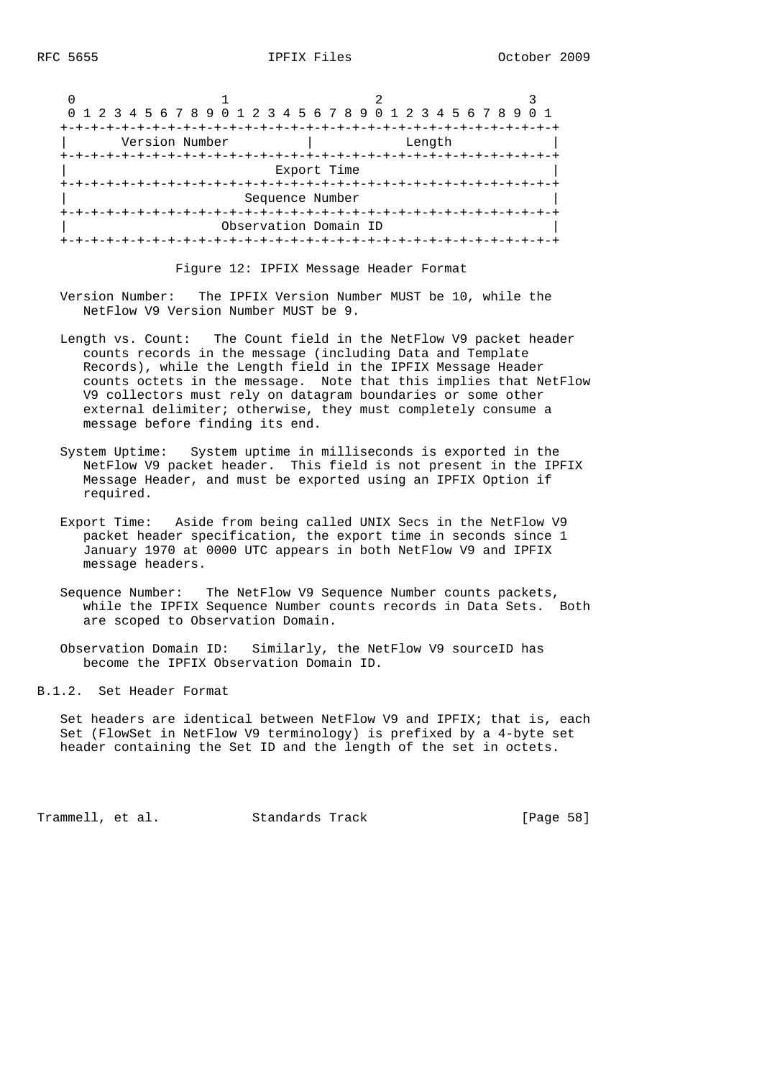| 0 1 2 3 4 5 6 7 8 9 0 1 2 3 4 5 6 7 8 9 0 1 2 3 4 5 6 7 8 9 |                       |        |  |
|-------------------------------------------------------------|-----------------------|--------|--|
|                                                             |                       |        |  |
| Version Number                                              |                       | Length |  |
|                                                             |                       |        |  |
|                                                             | Export Time           |        |  |
|                                                             | Sequence Number       |        |  |
|                                                             | Observation Domain ID |        |  |
|                                                             |                       |        |  |

Figure 12: IPFIX Message Header Format

- Version Number: The IPFIX Version Number MUST be 10, while the NetFlow V9 Version Number MUST be 9.
- Length vs. Count: The Count field in the NetFlow V9 packet header counts records in the message (including Data and Template Records), while the Length field in the IPFIX Message Header counts octets in the message. Note that this implies that NetFlow V9 collectors must rely on datagram boundaries or some other external delimiter; otherwise, they must completely consume a message before finding its end.
- System Uptime: System uptime in milliseconds is exported in the NetFlow V9 packet header. This field is not present in the IPFIX Message Header, and must be exported using an IPFIX Option if required.
- Export Time: Aside from being called UNIX Secs in the NetFlow V9 packet header specification, the export time in seconds since 1 January 1970 at 0000 UTC appears in both NetFlow V9 and IPFIX message headers.
- Sequence Number: The NetFlow V9 Sequence Number counts packets, while the IPFIX Sequence Number counts records in Data Sets. Both are scoped to Observation Domain.

 Observation Domain ID: Similarly, the NetFlow V9 sourceID has become the IPFIX Observation Domain ID.

B.1.2. Set Header Format

 Set headers are identical between NetFlow V9 and IPFIX; that is, each Set (FlowSet in NetFlow V9 terminology) is prefixed by a 4-byte set header containing the Set ID and the length of the set in octets.

Trammell, et al. Standards Track [Page 58]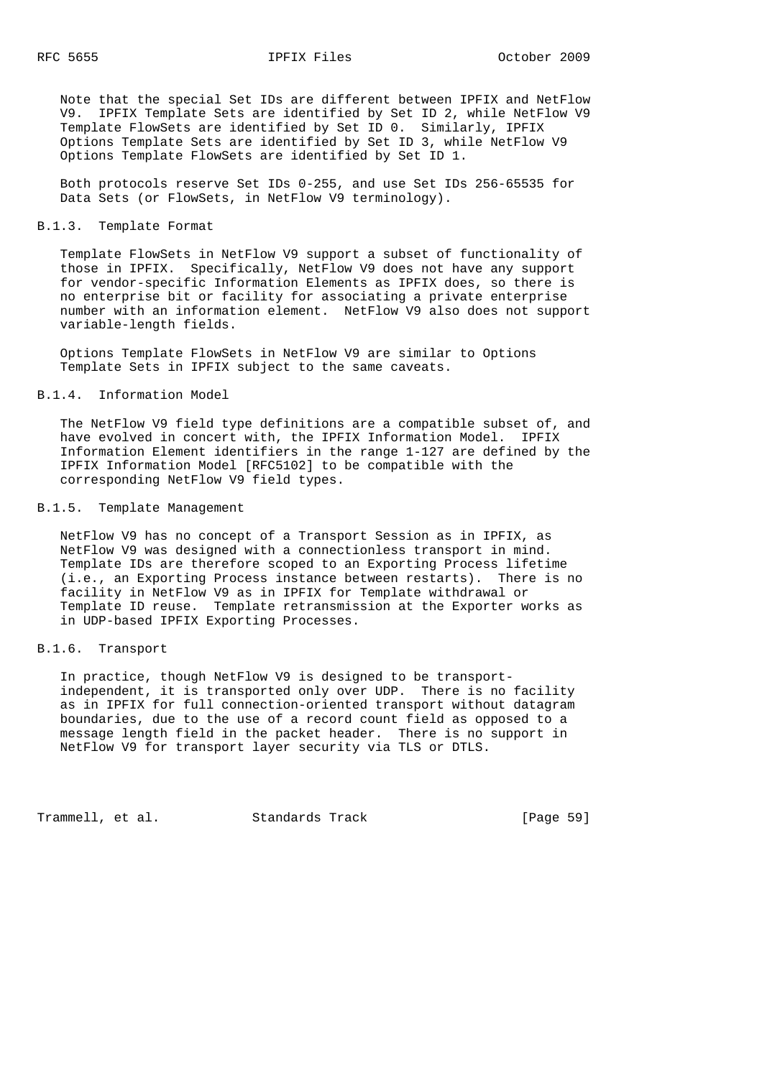Note that the special Set IDs are different between IPFIX and NetFlow V9. IPFIX Template Sets are identified by Set ID 2, while NetFlow V9 Template FlowSets are identified by Set ID 0. Similarly, IPFIX Options Template Sets are identified by Set ID 3, while NetFlow V9 Options Template FlowSets are identified by Set ID 1.

 Both protocols reserve Set IDs 0-255, and use Set IDs 256-65535 for Data Sets (or FlowSets, in NetFlow V9 terminology).

B.1.3. Template Format

 Template FlowSets in NetFlow V9 support a subset of functionality of those in IPFIX. Specifically, NetFlow V9 does not have any support for vendor-specific Information Elements as IPFIX does, so there is no enterprise bit or facility for associating a private enterprise number with an information element. NetFlow V9 also does not support variable-length fields.

 Options Template FlowSets in NetFlow V9 are similar to Options Template Sets in IPFIX subject to the same caveats.

B.1.4. Information Model

 The NetFlow V9 field type definitions are a compatible subset of, and have evolved in concert with, the IPFIX Information Model. IPFIX Information Element identifiers in the range 1-127 are defined by the IPFIX Information Model [RFC5102] to be compatible with the corresponding NetFlow V9 field types.

B.1.5. Template Management

 NetFlow V9 has no concept of a Transport Session as in IPFIX, as NetFlow V9 was designed with a connectionless transport in mind. Template IDs are therefore scoped to an Exporting Process lifetime (i.e., an Exporting Process instance between restarts). There is no facility in NetFlow V9 as in IPFIX for Template withdrawal or Template ID reuse. Template retransmission at the Exporter works as in UDP-based IPFIX Exporting Processes.

B.1.6. Transport

 In practice, though NetFlow V9 is designed to be transport independent, it is transported only over UDP. There is no facility as in IPFIX for full connection-oriented transport without datagram boundaries, due to the use of a record count field as opposed to a message length field in the packet header. There is no support in NetFlow V9 for transport layer security via TLS or DTLS.

Trammell, et al. Standards Track [Page 59]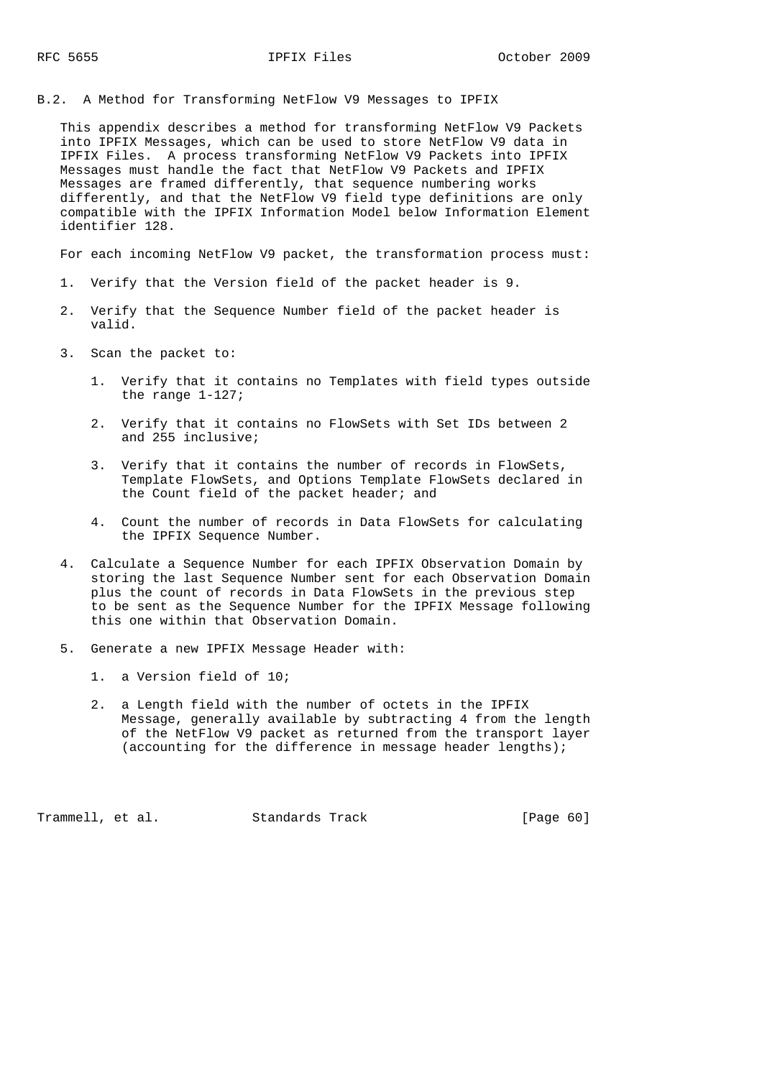B.2. A Method for Transforming NetFlow V9 Messages to IPFIX

 This appendix describes a method for transforming NetFlow V9 Packets into IPFIX Messages, which can be used to store NetFlow V9 data in IPFIX Files. A process transforming NetFlow V9 Packets into IPFIX Messages must handle the fact that NetFlow V9 Packets and IPFIX Messages are framed differently, that sequence numbering works differently, and that the NetFlow V9 field type definitions are only compatible with the IPFIX Information Model below Information Element identifier 128.

For each incoming NetFlow V9 packet, the transformation process must:

- 1. Verify that the Version field of the packet header is 9.
- 2. Verify that the Sequence Number field of the packet header is valid.
- 3. Scan the packet to:
	- 1. Verify that it contains no Templates with field types outside the range 1-127;
	- 2. Verify that it contains no FlowSets with Set IDs between 2 and 255 inclusive;
	- 3. Verify that it contains the number of records in FlowSets, Template FlowSets, and Options Template FlowSets declared in the Count field of the packet header; and
	- 4. Count the number of records in Data FlowSets for calculating the IPFIX Sequence Number.
- 4. Calculate a Sequence Number for each IPFIX Observation Domain by storing the last Sequence Number sent for each Observation Domain plus the count of records in Data FlowSets in the previous step to be sent as the Sequence Number for the IPFIX Message following this one within that Observation Domain.
- 5. Generate a new IPFIX Message Header with:
	- 1. a Version field of 10;
	- 2. a Length field with the number of octets in the IPFIX Message, generally available by subtracting 4 from the length of the NetFlow V9 packet as returned from the transport layer (accounting for the difference in message header lengths);

Trammell, et al. Standards Track [Page 60]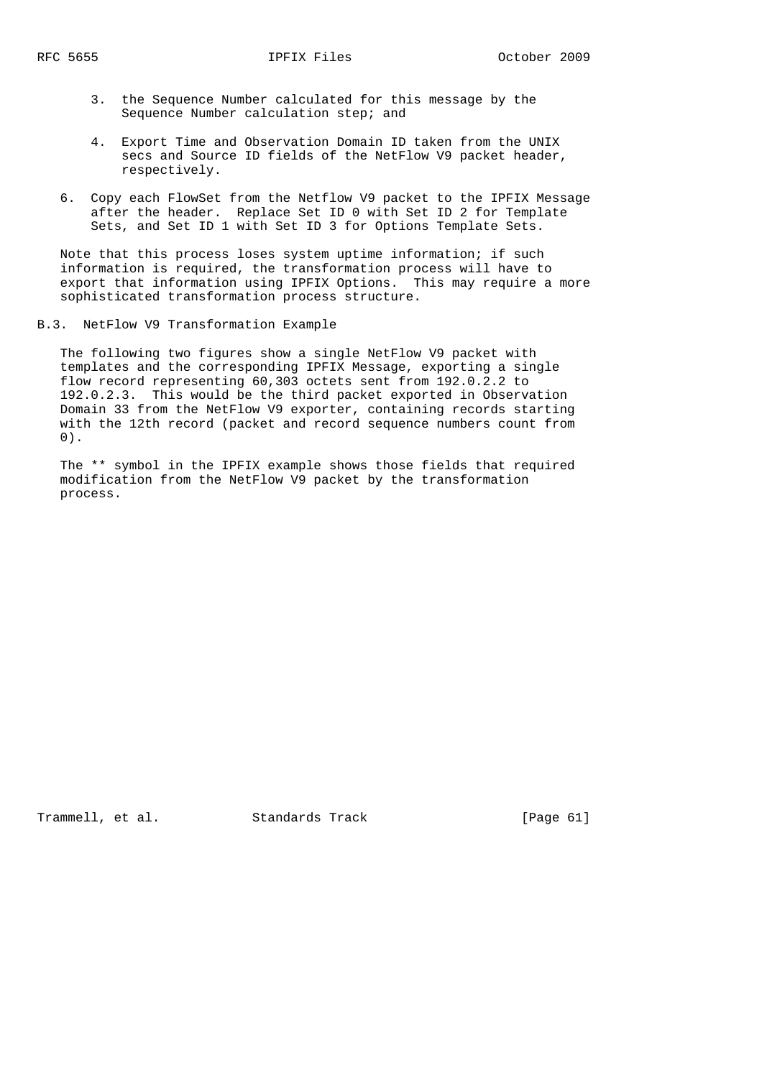- 3. the Sequence Number calculated for this message by the Sequence Number calculation step; and
- 4. Export Time and Observation Domain ID taken from the UNIX secs and Source ID fields of the NetFlow V9 packet header, respectively.
- 6. Copy each FlowSet from the Netflow V9 packet to the IPFIX Message after the header. Replace Set ID 0 with Set ID 2 for Template Sets, and Set ID 1 with Set ID 3 for Options Template Sets.

 Note that this process loses system uptime information; if such information is required, the transformation process will have to export that information using IPFIX Options. This may require a more sophisticated transformation process structure.

B.3. NetFlow V9 Transformation Example

 The following two figures show a single NetFlow V9 packet with templates and the corresponding IPFIX Message, exporting a single flow record representing 60,303 octets sent from 192.0.2.2 to 192.0.2.3. This would be the third packet exported in Observation Domain 33 from the NetFlow V9 exporter, containing records starting with the 12th record (packet and record sequence numbers count from 0).

 The \*\* symbol in the IPFIX example shows those fields that required modification from the NetFlow V9 packet by the transformation process.

Trammell, et al. Standards Track [Page 61]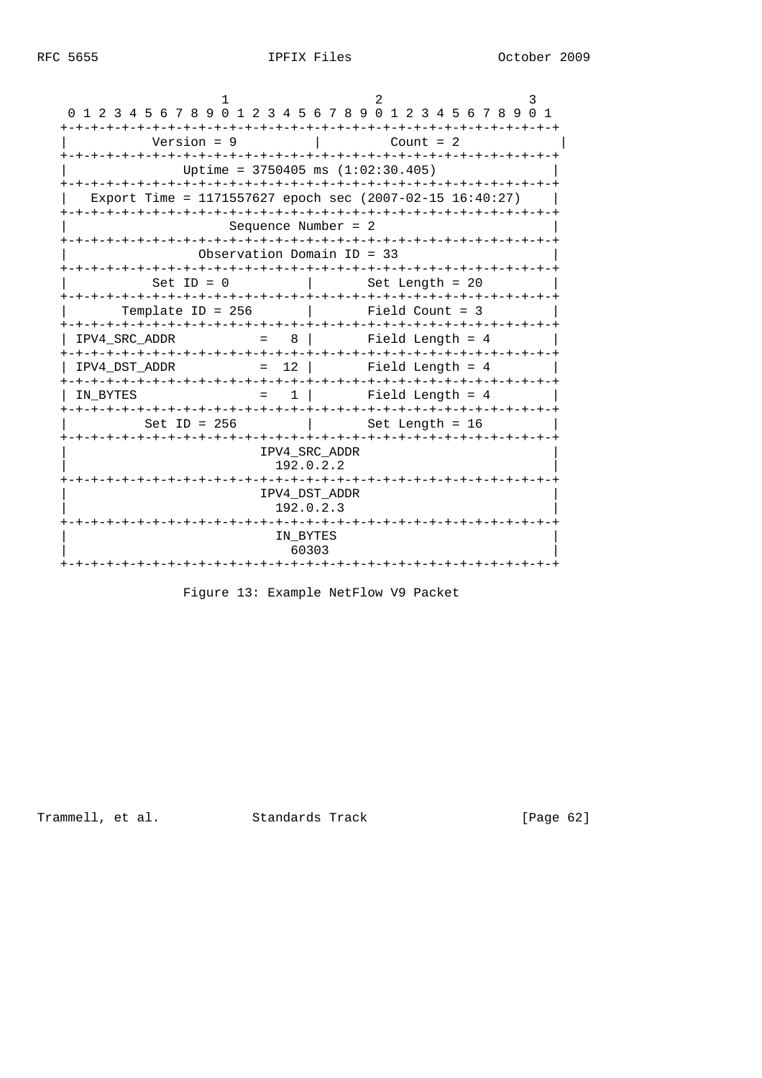| 1 2 3 4 5 6 7 8 9 0 1 2 3 4 5 6 7 8 9 0 1 2 3 4 5 6 7 8 9 0 1<br>$\Omega$ |                            |       |                    |             |  |  |  |
|---------------------------------------------------------------------------|----------------------------|-------|--------------------|-------------|--|--|--|
| Version = $9$                                                             |                            |       |                    | Count = $2$ |  |  |  |
| Uptime = $3750405$ ms $(1:02:30.405)$                                     |                            |       |                    |             |  |  |  |
| Export Time = 1171557627 epoch sec $(2007-02-15 16:40:27)$                |                            |       |                    |             |  |  |  |
| Sequence Number = $2$                                                     |                            |       |                    |             |  |  |  |
| Observation Domain $ID = 33$                                              |                            |       |                    |             |  |  |  |
| Set ID = $0$                                                              |                            |       | Set Length = $20$  |             |  |  |  |
| Template ID = $256$                                                       |                            |       | Field Count = $3$  |             |  |  |  |
| $= 8$<br>IPV4 SRC ADDR                                                    |                            |       | Field Length = $4$ |             |  |  |  |
| IPV4 DST ADDR                                                             | $= 12$                     |       | Field Length = $4$ |             |  |  |  |
| IN BYTES<br>$=$                                                           | $1 \mid$                   |       | Field Length $= 4$ |             |  |  |  |
| Set ID = $256$                                                            |                            |       | Set Length = $16$  |             |  |  |  |
|                                                                           | IPV4 SRC ADDR<br>192.0.2.2 |       |                    |             |  |  |  |
|                                                                           | IPV4 DST ADDR<br>192.0.2.3 |       |                    |             |  |  |  |
|                                                                           | IN BYTES                   | 60303 |                    |             |  |  |  |
|                                                                           |                            |       |                    |             |  |  |  |

Figure 13: Example NetFlow V9 Packet

Trammell, et al. Standards Track

[Page 62]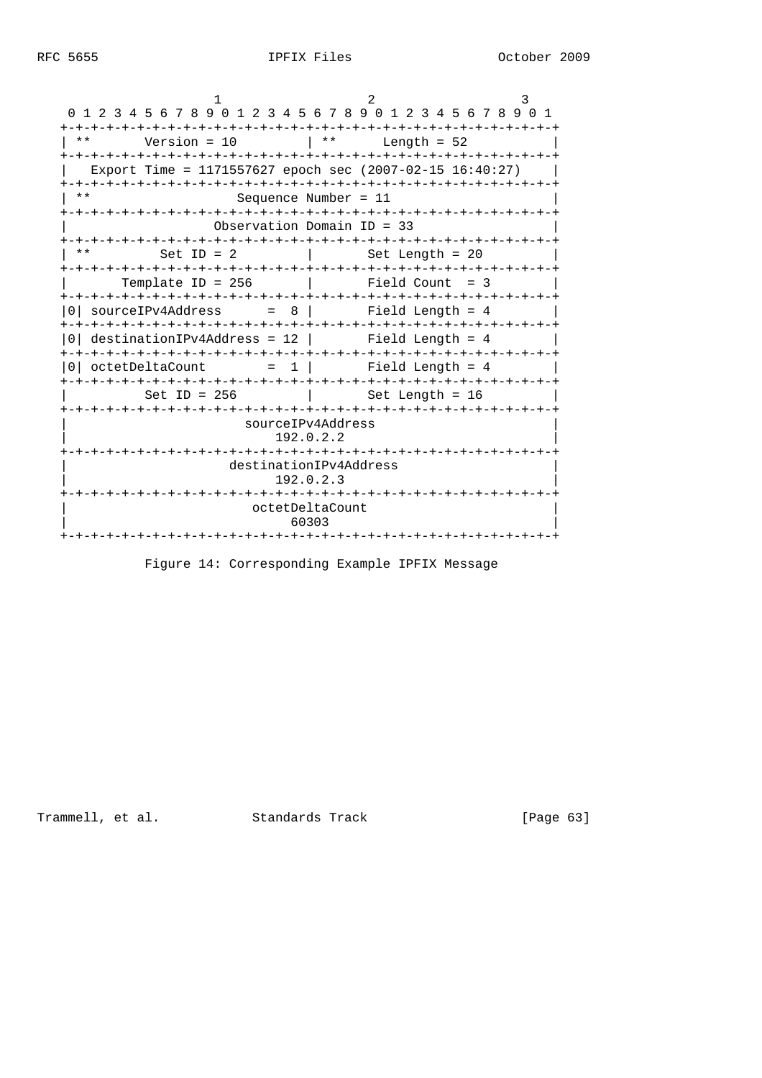|          | 0 1 2 3 4 5 6 7 8 9 0 1 2 3 4 5 6 7 8 9 0 1 2 3 4 5 6 7 8 9 0 1 |                                     |       |                    |  |
|----------|-----------------------------------------------------------------|-------------------------------------|-------|--------------------|--|
| * *      | Version = $10$                                                  |                                     | $***$ | Length = $52$      |  |
|          | Export Time = 1171557627 epoch sec $(2007-02-15 16:40:27)$      |                                     |       |                    |  |
| $* *$    |                                                                 | Sequence Number = $11$              |       |                    |  |
|          |                                                                 | Observation Domain $ID = 33$        |       |                    |  |
| $***$    | Set ID = $2$                                                    |                                     |       | Set Length = $20$  |  |
|          | Template ID = $256$                                             |                                     |       | $Field Count = 3$  |  |
| $\Omega$ | sourceIPv4Address                                               | $= 8$                               |       | Field Length = $4$ |  |
| ()       | $destinationIPv4Address = 12$                                   |                                     |       | Field Length $= 4$ |  |
| 0 I      | octetDeltaCount                                                 | $= 1$                               |       | Field Length $= 4$ |  |
|          | Set ID = $256$                                                  |                                     |       | Set Length = $16$  |  |
|          |                                                                 | sourceIPv4Address<br>192.0.2.2      |       |                    |  |
|          |                                                                 | destinationIPv4Address<br>192.0.2.3 |       |                    |  |
|          |                                                                 | octetDeltaCount<br>60303            |       |                    |  |
|          |                                                                 | -+-+-+-+-+-+                        |       |                    |  |

Figure 14: Corresponding Example IPFIX Message

Trammell, et al. Standards Track [Page 63]